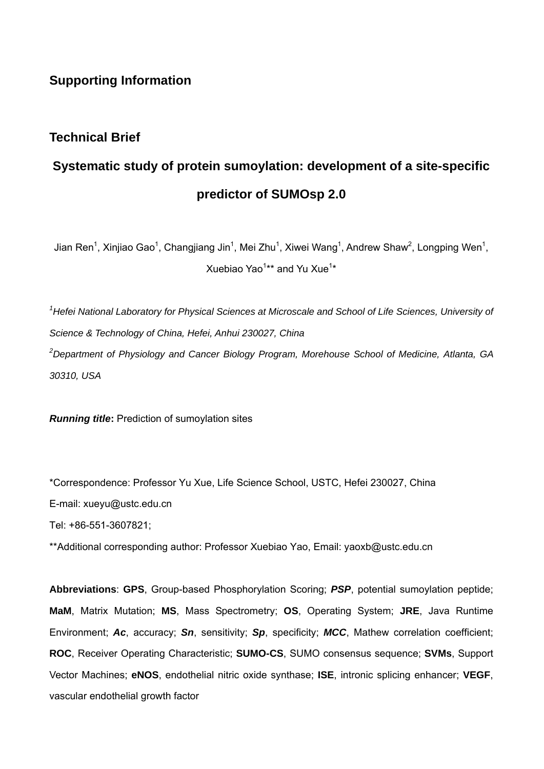# **Supporting Information**

# **Technical Brief**

# **Systematic study of protein sumoylation: development of a site-specific predictor of SUMOsp 2.0**

Jian Ren<sup>1</sup>, Xinjiao Gao<sup>1</sup>, Changjiang Jin<sup>1</sup>, Mei Zhu<sup>1</sup>, Xiwei Wang<sup>1</sup>, Andrew Shaw<sup>2</sup>, Longping Wen<sup>1</sup>, Xuebiao Yao<sup>1\*\*</sup> and Yu Xue<sup>1\*</sup>

<sup>1</sup> Hefei National Laboratory for Physical Sciences at Microscale and School of Life Sciences, University of *Science & Technology of China, Hefei, Anhui 230027, China 2 Department of Physiology and Cancer Biology Program, Morehouse School of Medicine, Atlanta, GA 30310, USA* 

*Running title***:** Prediction of sumoylation sites

\*Correspondence: Professor Yu Xue, Life Science School, USTC, Hefei 230027, China E-mail: xueyu@ustc.edu.cn

Tel: +86-551-3607821;

\*\*Additional corresponding author: Professor Xuebiao Yao, Email: yaoxb@ustc.edu.cn

**Abbreviations**: **GPS**, Group-based Phosphorylation Scoring; *PSP*, potential sumoylation peptide; **MaM**, Matrix Mutation; **MS**, Mass Spectrometry; **OS**, Operating System; **JRE**, Java Runtime Environment; *Ac*, accuracy; *Sn*, sensitivity; *Sp*, specificity; *MCC*, Mathew correlation coefficient; **ROC**, Receiver Operating Characteristic; **SUMO-CS**, SUMO consensus sequence; **SVMs**, Support Vector Machines; **eNOS**, endothelial nitric oxide synthase; **ISE**, intronic splicing enhancer; **VEGF**, vascular endothelial growth factor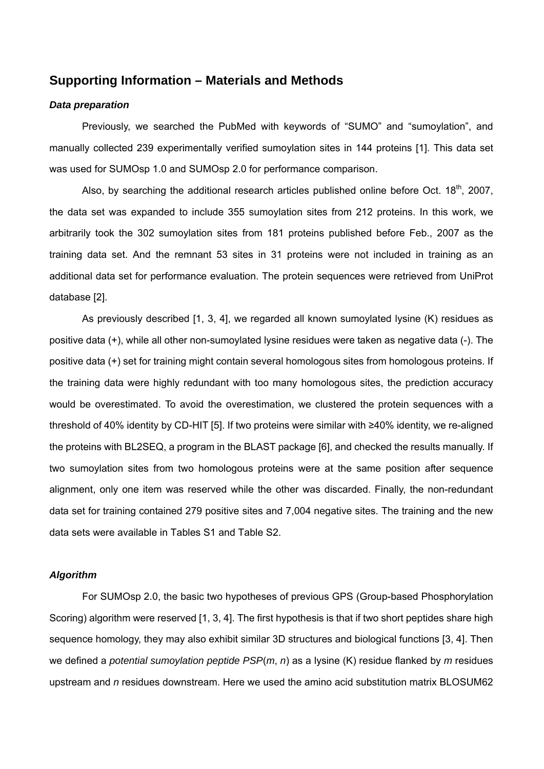# **Supporting Information – Materials and Methods**

### *Data preparation*

Previously, we searched the PubMed with keywords of "SUMO" and "sumoylation", and manually collected 239 experimentally verified sumoylation sites in 144 proteins [1]. This data set was used for SUMOsp 1.0 and SUMOsp 2.0 for performance comparison.

Also, by searching the additional research articles published online before Oct.  $18<sup>th</sup>$ , 2007, the data set was expanded to include 355 sumoylation sites from 212 proteins. In this work, we arbitrarily took the 302 sumoylation sites from 181 proteins published before Feb., 2007 as the training data set. And the remnant 53 sites in 31 proteins were not included in training as an additional data set for performance evaluation. The protein sequences were retrieved from UniProt database [2].

As previously described [1, 3, 4], we regarded all known sumoylated lysine (K) residues as positive data (+), while all other non-sumoylated lysine residues were taken as negative data (-). The positive data (+) set for training might contain several homologous sites from homologous proteins. If the training data were highly redundant with too many homologous sites, the prediction accuracy would be overestimated. To avoid the overestimation, we clustered the protein sequences with a threshold of 40% identity by CD-HIT [5]. If two proteins were similar with ≥40% identity, we re-aligned the proteins with BL2SEQ, a program in the BLAST package [6], and checked the results manually. If two sumoylation sites from two homologous proteins were at the same position after sequence alignment, only one item was reserved while the other was discarded. Finally, the non-redundant data set for training contained 279 positive sites and 7,004 negative sites. The training and the new data sets were available in Tables S1 and Table S2.

### *Algorithm*

For SUMOsp 2.0, the basic two hypotheses of previous GPS (Group-based Phosphorylation Scoring) algorithm were reserved [1, 3, 4]. The first hypothesis is that if two short peptides share high sequence homology, they may also exhibit similar 3D structures and biological functions [3, 4]. Then we defined a *potential sumoylation peptide PSP*(*m*, *n*) as a lysine (K) residue flanked by *m* residues upstream and *n* residues downstream. Here we used the amino acid substitution matrix BLOSUM62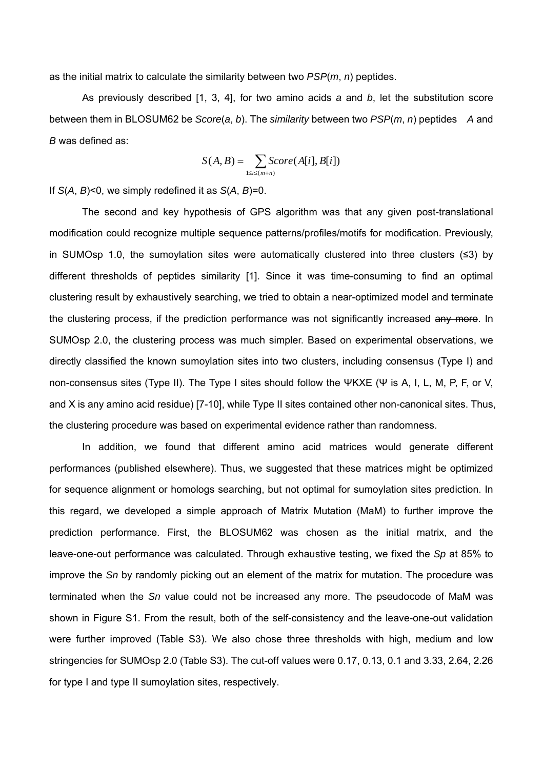as the initial matrix to calculate the similarity between two *PSP*(*m*, *n*) peptides.

As previously described [1, 3, 4], for two amino acids *a* and *b*, let the substitution score between them in BLOSUM62 be *Score*(*a*, *b*). The *similarity* between two *PSP*(*m*, *n*) peptides *A* and *B* was defined as:

$$
S(A, B) = \sum_{1 \le i \le (m+n)} Score(A[i], B[i])
$$

If *S*(*A*, *B*)<0, we simply redefined it as *S*(*A*, *B*)=0.

The second and key hypothesis of GPS algorithm was that any given post-translational modification could recognize multiple sequence patterns/profiles/motifs for modification. Previously, in SUMOsp 1.0, the sumoylation sites were automatically clustered into three clusters (≤3) by different thresholds of peptides similarity [1]. Since it was time-consuming to find an optimal clustering result by exhaustively searching, we tried to obtain a near-optimized model and terminate the clustering process, if the prediction performance was not significantly increased any more. In SUMOsp 2.0, the clustering process was much simpler. Based on experimental observations, we directly classified the known sumoylation sites into two clusters, including consensus (Type I) and non-consensus sites (Type II). The Type I sites should follow the ΨKXE (Ψ is A, I, L, M, P, F, or V, and X is any amino acid residue) [7-10], while Type II sites contained other non-canonical sites. Thus, the clustering procedure was based on experimental evidence rather than randomness.

In addition, we found that different amino acid matrices would generate different performances (published elsewhere). Thus, we suggested that these matrices might be optimized for sequence alignment or homologs searching, but not optimal for sumoylation sites prediction. In this regard, we developed a simple approach of Matrix Mutation (MaM) to further improve the prediction performance. First, the BLOSUM62 was chosen as the initial matrix, and the leave-one-out performance was calculated. Through exhaustive testing, we fixed the *Sp* at 85% to improve the *Sn* by randomly picking out an element of the matrix for mutation. The procedure was terminated when the *Sn* value could not be increased any more. The pseudocode of MaM was shown in Figure S1. From the result, both of the self-consistency and the leave-one-out validation were further improved (Table S3). We also chose three thresholds with high, medium and low stringencies for SUMOsp 2.0 (Table S3). The cut-off values were 0.17, 0.13, 0.1 and 3.33, 2.64, 2.26 for type I and type II sumoylation sites, respectively.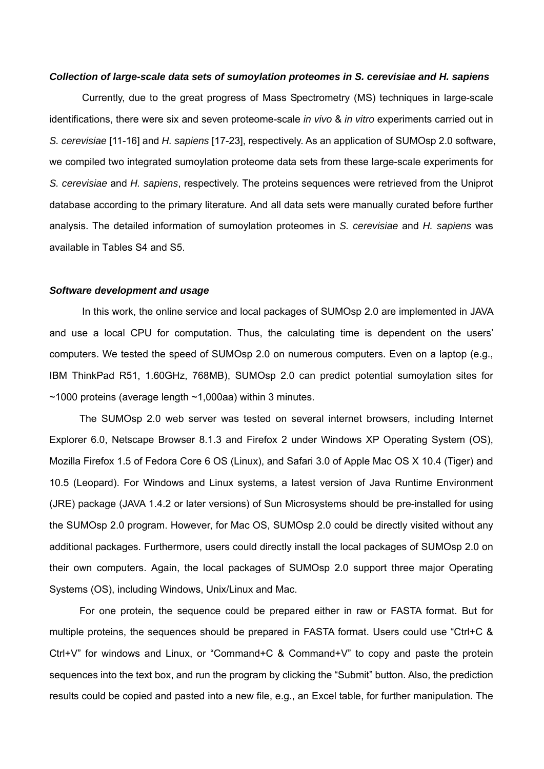#### *Collection of large-scale data sets of sumoylation proteomes in S. cerevisiae and H. sapiens*

Currently, due to the great progress of Mass Spectrometry (MS) techniques in large-scale identifications, there were six and seven proteome-scale *in vivo* & *in vitro* experiments carried out in *S. cerevisiae* [11-16] and *H. sapiens* [17-23], respectively. As an application of SUMOsp 2.0 software, we compiled two integrated sumoylation proteome data sets from these large-scale experiments for *S. cerevisiae* and *H. sapiens*, respectively. The proteins sequences were retrieved from the Uniprot database according to the primary literature. And all data sets were manually curated before further analysis. The detailed information of sumoylation proteomes in *S. cerevisiae* and *H. sapiens* was available in Tables S4 and S5.

#### *Software development and usage*

In this work, the online service and local packages of SUMOsp 2.0 are implemented in JAVA and use a local CPU for computation. Thus, the calculating time is dependent on the users' computers. We tested the speed of SUMOsp 2.0 on numerous computers. Even on a laptop (e.g., IBM ThinkPad R51, 1.60GHz, 768MB), SUMOsp 2.0 can predict potential sumoylation sites for  $\sim$ 1000 proteins (average length  $\sim$ 1,000aa) within 3 minutes.

The SUMOsp 2.0 web server was tested on several internet browsers, including Internet Explorer 6.0, Netscape Browser 8.1.3 and Firefox 2 under Windows XP Operating System (OS), Mozilla Firefox 1.5 of Fedora Core 6 OS (Linux), and Safari 3.0 of Apple Mac OS X 10.4 (Tiger) and 10.5 (Leopard). For Windows and Linux systems, a latest version of Java Runtime Environment (JRE) package (JAVA 1.4.2 or later versions) of Sun Microsystems should be pre-installed for using the SUMOsp 2.0 program. However, for Mac OS, SUMOsp 2.0 could be directly visited without any additional packages. Furthermore, users could directly install the local packages of SUMOsp 2.0 on their own computers. Again, the local packages of SUMOsp 2.0 support three major Operating Systems (OS), including Windows, Unix/Linux and Mac.

For one protein, the sequence could be prepared either in raw or FASTA format. But for multiple proteins, the sequences should be prepared in FASTA format. Users could use "Ctrl+C & Ctrl+V" for windows and Linux, or "Command+C & Command+V" to copy and paste the protein sequences into the text box, and run the program by clicking the "Submit" button. Also, the prediction results could be copied and pasted into a new file, e.g., an Excel table, for further manipulation. The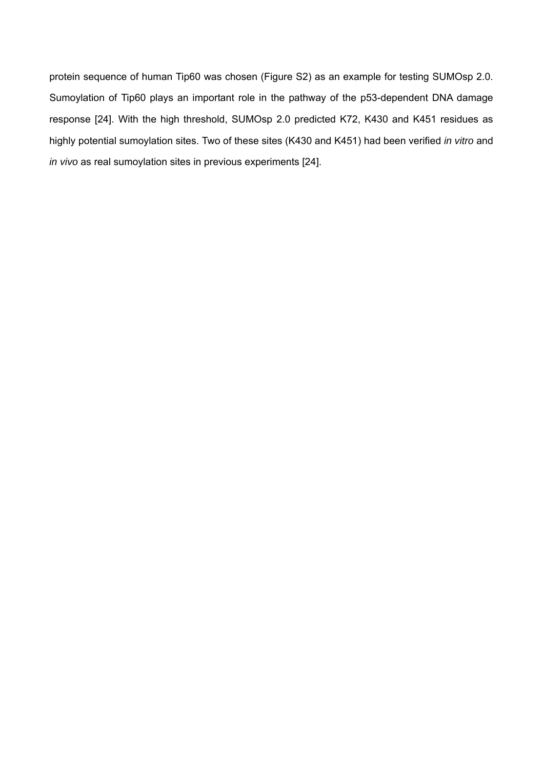protein sequence of human Tip60 was chosen (Figure S2) as an example for testing SUMOsp 2.0. Sumoylation of Tip60 plays an important role in the pathway of the p53-dependent DNA damage response [24]. With the high threshold, SUMOsp 2.0 predicted K72, K430 and K451 residues as highly potential sumoylation sites. Two of these sites (K430 and K451) had been verified *in vitro* and *in vivo* as real sumoylation sites in previous experiments [24].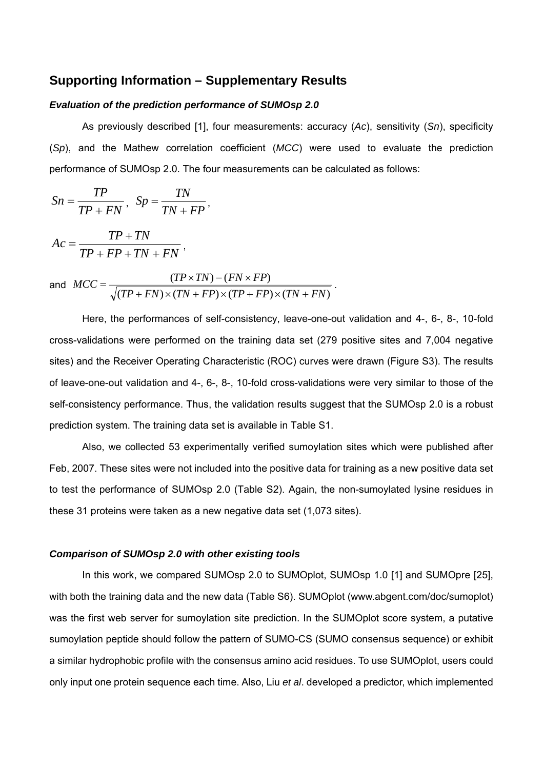# **Supporting Information – Supplementary Results**

## *Evaluation of the prediction performance of SUMOsp 2.0*

As previously described [1], four measurements: accuracy (*Ac*), sensitivity (*Sn*), specificity (*Sp*), and the Mathew correlation coefficient (*MCC*) were used to evaluate the prediction performance of SUMOsp 2.0. The four measurements can be calculated as follows:

$$
Sn = \frac{TP}{TP + FN}, \ \ Sp = \frac{TN}{TN + FP},
$$

 $TP + FP + TN + FN$  $AC = \frac{TP + TN}{TP + TN}$  $+FP+TN+$  $= \frac{TP + TN}{TP - TN - TN}$ 

and 
$$
MCC = \frac{(TP \times TN) - (FN \times FP)}{\sqrt{(TP + FN) \times (TN + FP) \times (TP + FP) \times (TN + FN)}}.
$$

Here, the performances of self-consistency, leave-one-out validation and 4-, 6-, 8-, 10-fold cross-validations were performed on the training data set (279 positive sites and 7,004 negative sites) and the Receiver Operating Characteristic (ROC) curves were drawn (Figure S3). The results of leave-one-out validation and 4-, 6-, 8-, 10-fold cross-validations were very similar to those of the self-consistency performance. Thus, the validation results suggest that the SUMOsp 2.0 is a robust prediction system. The training data set is available in Table S1.

Also, we collected 53 experimentally verified sumoylation sites which were published after Feb, 2007. These sites were not included into the positive data for training as a new positive data set to test the performance of SUMOsp 2.0 (Table S2). Again, the non-sumoylated lysine residues in these 31 proteins were taken as a new negative data set (1,073 sites).

#### *Comparison of SUMOsp 2.0 with other existing tools*

In this work, we compared SUMOsp 2.0 to SUMOplot, SUMOsp 1.0 [1] and SUMOpre [25], with both the training data and the new data (Table S6). SUMOplot (www.abgent.com/doc/sumoplot) was the first web server for sumoylation site prediction. In the SUMOplot score system, a putative sumoylation peptide should follow the pattern of SUMO-CS (SUMO consensus sequence) or exhibit a similar hydrophobic profile with the consensus amino acid residues. To use SUMOplot, users could only input one protein sequence each time. Also, Liu *et al*. developed a predictor, which implemented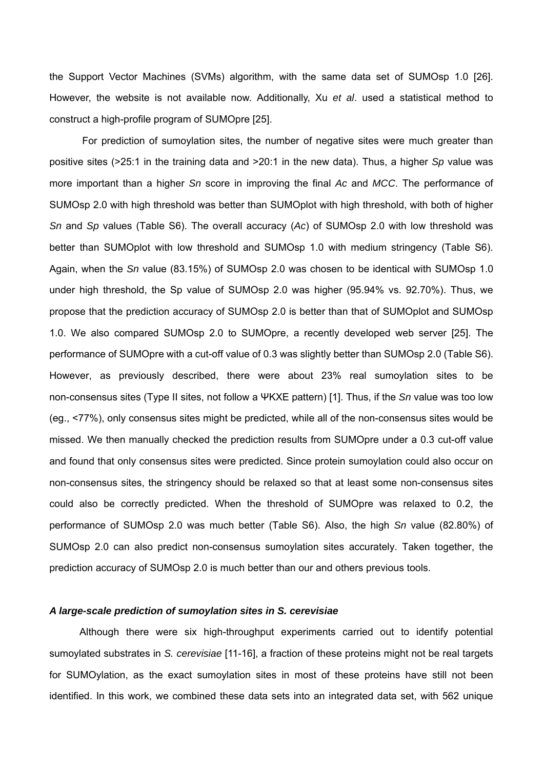the Support Vector Machines (SVMs) algorithm, with the same data set of SUMOsp 1.0 [26]. However, the website is not available now. Additionally, Xu *et al*. used a statistical method to construct a high-profile program of SUMOpre [25].

For prediction of sumoylation sites, the number of negative sites were much greater than positive sites (>25:1 in the training data and >20:1 in the new data). Thus, a higher *Sp* value was more important than a higher *Sn* score in improving the final *Ac* and *MCC*. The performance of SUMOsp 2.0 with high threshold was better than SUMOplot with high threshold, with both of higher *Sn* and *Sp* values (Table S6). The overall accuracy (*Ac*) of SUMOsp 2.0 with low threshold was better than SUMOplot with low threshold and SUMOsp 1.0 with medium stringency (Table S6). Again, when the *Sn* value (83.15%) of SUMOsp 2.0 was chosen to be identical with SUMOsp 1.0 under high threshold, the Sp value of SUMOsp 2.0 was higher (95.94% vs. 92.70%). Thus, we propose that the prediction accuracy of SUMOsp 2.0 is better than that of SUMOplot and SUMOsp 1.0. We also compared SUMOsp 2.0 to SUMOpre, a recently developed web server [25]. The performance of SUMOpre with a cut-off value of 0.3 was slightly better than SUMOsp 2.0 (Table S6). However, as previously described, there were about 23% real sumoylation sites to be non-consensus sites (Type II sites, not follow a ΨKXE pattern) [1]. Thus, if the *Sn* value was too low (eg., <77%), only consensus sites might be predicted, while all of the non-consensus sites would be missed. We then manually checked the prediction results from SUMOpre under a 0.3 cut-off value and found that only consensus sites were predicted. Since protein sumoylation could also occur on non-consensus sites, the stringency should be relaxed so that at least some non-consensus sites could also be correctly predicted. When the threshold of SUMOpre was relaxed to 0.2, the performance of SUMOsp 2.0 was much better (Table S6). Also, the high *Sn* value (82.80%) of SUMOsp 2.0 can also predict non-consensus sumoylation sites accurately. Taken together, the prediction accuracy of SUMOsp 2.0 is much better than our and others previous tools.

## *A large-scale prediction of sumoylation sites in S. cerevisiae*

Although there were six high-throughput experiments carried out to identify potential sumoylated substrates in *S. cerevisiae* [11-16], a fraction of these proteins might not be real targets for SUMOylation, as the exact sumoylation sites in most of these proteins have still not been identified. In this work, we combined these data sets into an integrated data set, with 562 unique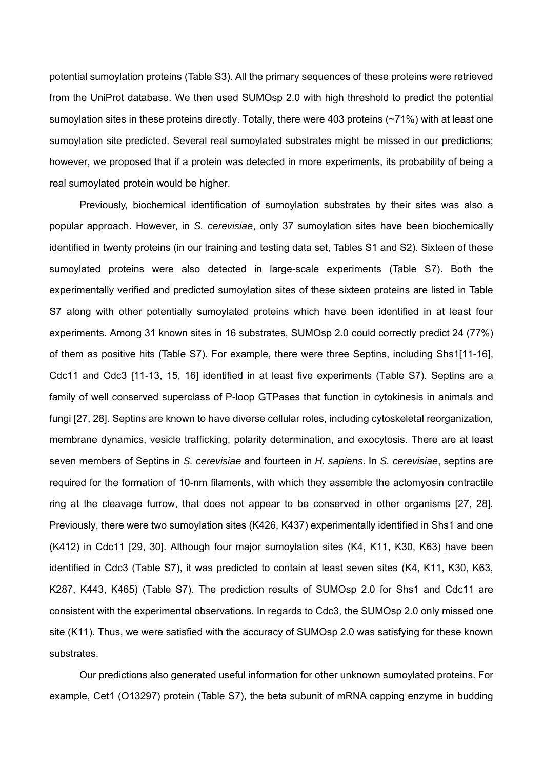potential sumoylation proteins (Table S3). All the primary sequences of these proteins were retrieved from the UniProt database. We then used SUMOsp 2.0 with high threshold to predict the potential sumoylation sites in these proteins directly. Totally, there were 403 proteins (~71%) with at least one sumoylation site predicted. Several real sumoylated substrates might be missed in our predictions; however, we proposed that if a protein was detected in more experiments, its probability of being a real sumoylated protein would be higher.

Previously, biochemical identification of sumoylation substrates by their sites was also a popular approach. However, in *S. cerevisiae*, only 37 sumoylation sites have been biochemically identified in twenty proteins (in our training and testing data set, Tables S1 and S2). Sixteen of these sumoylated proteins were also detected in large-scale experiments (Table S7). Both the experimentally verified and predicted sumoylation sites of these sixteen proteins are listed in Table S7 along with other potentially sumoylated proteins which have been identified in at least four experiments. Among 31 known sites in 16 substrates, SUMOsp 2.0 could correctly predict 24 (77%) of them as positive hits (Table S7). For example, there were three Septins, including Shs1[11-16], Cdc11 and Cdc3 [11-13, 15, 16] identified in at least five experiments (Table S7). Septins are a family of well conserved superclass of P-loop GTPases that function in cytokinesis in animals and fungi [27, 28]. Septins are known to have diverse cellular roles, including cytoskeletal reorganization, membrane dynamics, vesicle trafficking, polarity determination, and exocytosis. There are at least seven members of Septins in *S. cerevisiae* and fourteen in *H. sapiens*. In *S. cerevisiae*, septins are required for the formation of 10-nm filaments, with which they assemble the actomyosin contractile ring at the cleavage furrow, that does not appear to be conserved in other organisms [27, 28]. Previously, there were two sumoylation sites (K426, K437) experimentally identified in Shs1 and one (K412) in Cdc11 [29, 30]. Although four major sumoylation sites (K4, K11, K30, K63) have been identified in Cdc3 (Table S7), it was predicted to contain at least seven sites (K4, K11, K30, K63, K287, K443, K465) (Table S7). The prediction results of SUMOsp 2.0 for Shs1 and Cdc11 are consistent with the experimental observations. In regards to Cdc3, the SUMOsp 2.0 only missed one site (K11). Thus, we were satisfied with the accuracy of SUMOsp 2.0 was satisfying for these known substrates.

Our predictions also generated useful information for other unknown sumoylated proteins. For example, Cet1 (O13297) protein (Table S7), the beta subunit of mRNA capping enzyme in budding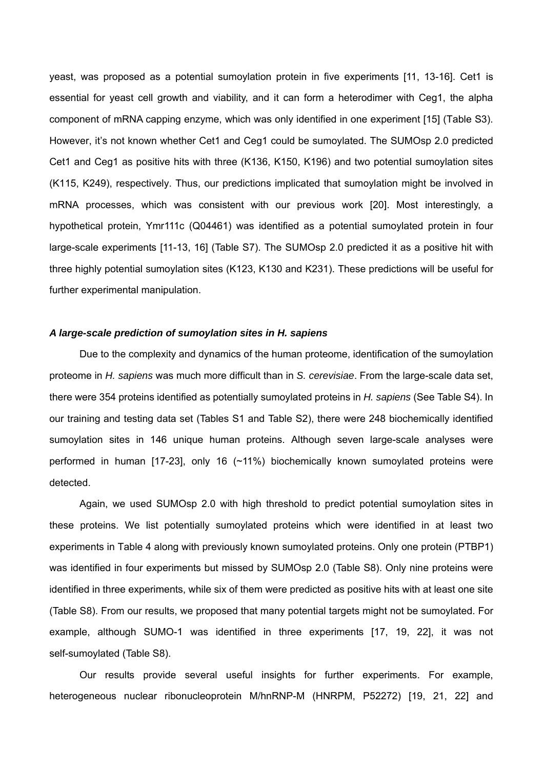yeast, was proposed as a potential sumoylation protein in five experiments [11, 13-16]. Cet1 is essential for yeast cell growth and viability, and it can form a heterodimer with Ceg1, the alpha component of mRNA capping enzyme, which was only identified in one experiment [15] (Table S3). However, it's not known whether Cet1 and Ceg1 could be sumoylated. The SUMOsp 2.0 predicted Cet1 and Ceg1 as positive hits with three (K136, K150, K196) and two potential sumoylation sites (K115, K249), respectively. Thus, our predictions implicated that sumoylation might be involved in mRNA processes, which was consistent with our previous work [20]. Most interestingly, a hypothetical protein, Ymr111c (Q04461) was identified as a potential sumoylated protein in four large-scale experiments [11-13, 16] (Table S7). The SUMOsp 2.0 predicted it as a positive hit with three highly potential sumoylation sites (K123, K130 and K231). These predictions will be useful for further experimental manipulation.

#### *A large-scale prediction of sumoylation sites in H. sapiens*

Due to the complexity and dynamics of the human proteome, identification of the sumoylation proteome in *H. sapiens* was much more difficult than in *S. cerevisiae*. From the large-scale data set, there were 354 proteins identified as potentially sumoylated proteins in *H. sapiens* (See Table S4). In our training and testing data set (Tables S1 and Table S2), there were 248 biochemically identified sumoylation sites in 146 unique human proteins. Although seven large-scale analyses were performed in human [17-23], only 16 (~11%) biochemically known sumoylated proteins were detected.

Again, we used SUMOsp 2.0 with high threshold to predict potential sumoylation sites in these proteins. We list potentially sumoylated proteins which were identified in at least two experiments in Table 4 along with previously known sumoylated proteins. Only one protein (PTBP1) was identified in four experiments but missed by SUMOsp 2.0 (Table S8). Only nine proteins were identified in three experiments, while six of them were predicted as positive hits with at least one site (Table S8). From our results, we proposed that many potential targets might not be sumoylated. For example, although SUMO-1 was identified in three experiments [17, 19, 22], it was not self-sumoylated (Table S8).

Our results provide several useful insights for further experiments. For example, heterogeneous nuclear ribonucleoprotein M/hnRNP-M (HNRPM, P52272) [19, 21, 22] and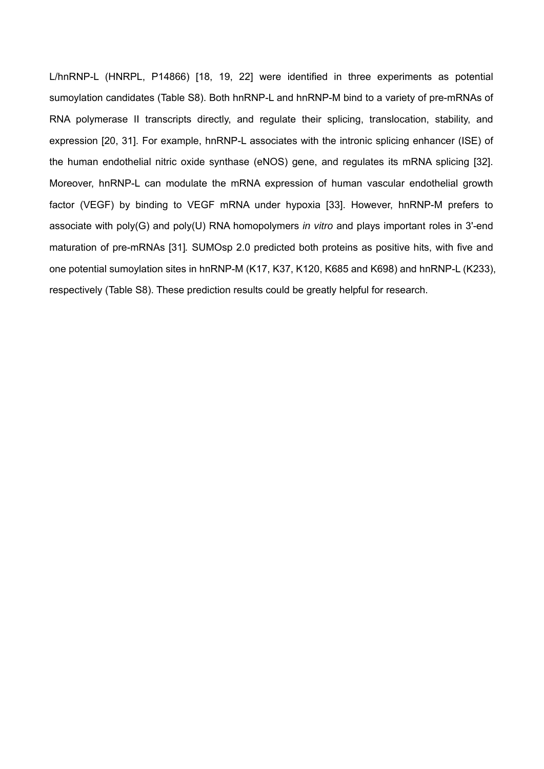L/hnRNP-L (HNRPL, P14866) [18, 19, 22] were identified in three experiments as potential sumoylation candidates (Table S8). Both hnRNP-L and hnRNP-M bind to a variety of pre-mRNAs of RNA polymerase II transcripts directly, and regulate their splicing, translocation, stability, and expression [20, 31]. For example, hnRNP-L associates with the intronic splicing enhancer (ISE) of the human endothelial nitric oxide synthase (eNOS) gene, and regulates its mRNA splicing [32]. Moreover, hnRNP-L can modulate the mRNA expression of human vascular endothelial growth factor (VEGF) by binding to VEGF mRNA under hypoxia [33]. However, hnRNP-M prefers to associate with poly(G) and poly(U) RNA homopolymers *in vitro* and plays important roles in 3'-end maturation of pre-mRNAs [31]*.* SUMOsp 2.0 predicted both proteins as positive hits, with five and one potential sumoylation sites in hnRNP-M (K17, K37, K120, K685 and K698) and hnRNP-L (K233), respectively (Table S8). These prediction results could be greatly helpful for research.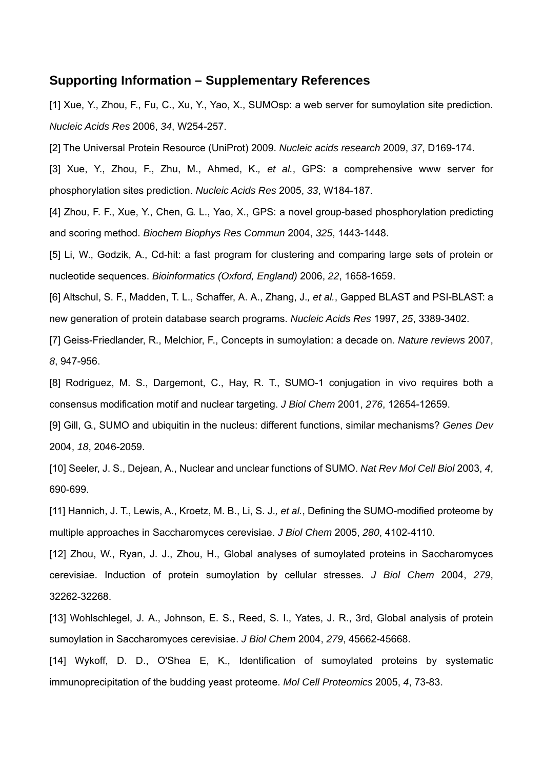# **Supporting Information – Supplementary References**

[1] Xue, Y., Zhou, F., Fu, C., Xu, Y., Yao, X., SUMOsp: a web server for sumoylation site prediction. *Nucleic Acids Res* 2006, *34*, W254-257.

[2] The Universal Protein Resource (UniProt) 2009. *Nucleic acids research* 2009, *37*, D169-174.

[3] Xue, Y., Zhou, F., Zhu, M., Ahmed, K.*, et al.*, GPS: a comprehensive www server for phosphorylation sites prediction. *Nucleic Acids Res* 2005, *33*, W184-187.

[4] Zhou, F. F., Xue, Y., Chen, G. L., Yao, X., GPS: a novel group-based phosphorylation predicting and scoring method. *Biochem Biophys Res Commun* 2004, *325*, 1443-1448.

[5] Li, W., Godzik, A., Cd-hit: a fast program for clustering and comparing large sets of protein or nucleotide sequences. *Bioinformatics (Oxford, England)* 2006, *22*, 1658-1659.

[6] Altschul, S. F., Madden, T. L., Schaffer, A. A., Zhang, J.*, et al.*, Gapped BLAST and PSI-BLAST: a new generation of protein database search programs. *Nucleic Acids Res* 1997, *25*, 3389-3402.

[7] Geiss-Friedlander, R., Melchior, F., Concepts in sumoylation: a decade on. *Nature reviews* 2007, *8*, 947-956.

[8] Rodriguez, M. S., Dargemont, C., Hay, R. T., SUMO-1 conjugation in vivo requires both a consensus modification motif and nuclear targeting. *J Biol Chem* 2001, *276*, 12654-12659.

[9] Gill, G., SUMO and ubiquitin in the nucleus: different functions, similar mechanisms? *Genes Dev*  2004, *18*, 2046-2059.

[10] Seeler, J. S., Dejean, A., Nuclear and unclear functions of SUMO. *Nat Rev Mol Cell Biol* 2003, *4*, 690-699.

[11] Hannich, J. T., Lewis, A., Kroetz, M. B., Li, S. J.*, et al.*, Defining the SUMO-modified proteome by multiple approaches in Saccharomyces cerevisiae. *J Biol Chem* 2005, *280*, 4102-4110.

[12] Zhou, W., Ryan, J. J., Zhou, H., Global analyses of sumoylated proteins in Saccharomyces cerevisiae. Induction of protein sumoylation by cellular stresses. *J Biol Chem* 2004, *279*, 32262-32268.

[13] Wohlschlegel, J. A., Johnson, E. S., Reed, S. I., Yates, J. R., 3rd, Global analysis of protein sumoylation in Saccharomyces cerevisiae. *J Biol Chem* 2004, *279*, 45662-45668.

[14] Wykoff, D. D., O'Shea E, K., Identification of sumoylated proteins by systematic immunoprecipitation of the budding yeast proteome. *Mol Cell Proteomics* 2005, *4*, 73-83.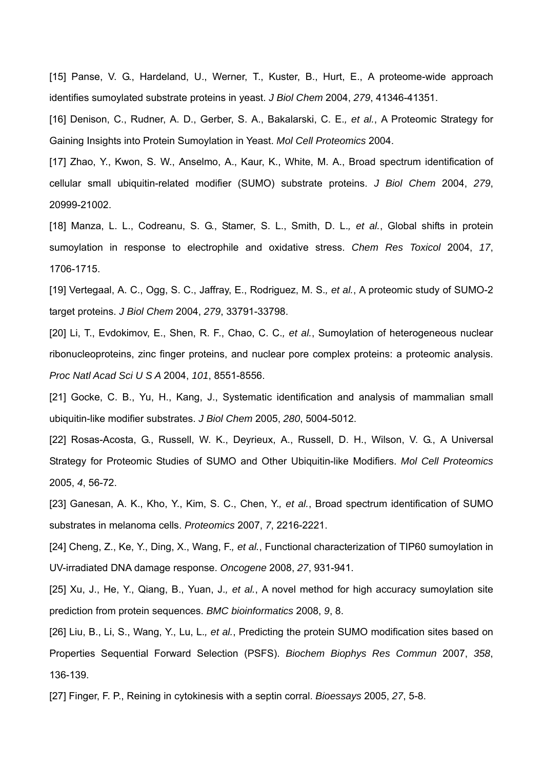[15] Panse, V. G., Hardeland, U., Werner, T., Kuster, B., Hurt, E., A proteome-wide approach identifies sumoylated substrate proteins in yeast. *J Biol Chem* 2004, *279*, 41346-41351.

[16] Denison, C., Rudner, A. D., Gerber, S. A., Bakalarski, C. E.*, et al.*, A Proteomic Strategy for Gaining Insights into Protein Sumoylation in Yeast. *Mol Cell Proteomics* 2004.

[17] Zhao, Y., Kwon, S. W., Anselmo, A., Kaur, K., White, M. A., Broad spectrum identification of cellular small ubiquitin-related modifier (SUMO) substrate proteins. *J Biol Chem* 2004, *279*, 20999-21002.

[18] Manza, L. L., Codreanu, S. G., Stamer, S. L., Smith, D. L.*, et al.*, Global shifts in protein sumoylation in response to electrophile and oxidative stress. *Chem Res Toxicol* 2004, *17*, 1706-1715.

[19] Vertegaal, A. C., Ogg, S. C., Jaffray, E., Rodriguez, M. S.*, et al.*, A proteomic study of SUMO-2 target proteins. *J Biol Chem* 2004, *279*, 33791-33798.

[20] Li, T., Evdokimov, E., Shen, R. F., Chao, C. C.*, et al.*, Sumoylation of heterogeneous nuclear ribonucleoproteins, zinc finger proteins, and nuclear pore complex proteins: a proteomic analysis. *Proc Natl Acad Sci U S A* 2004, *101*, 8551-8556.

[21] Gocke, C. B., Yu, H., Kang, J., Systematic identification and analysis of mammalian small ubiquitin-like modifier substrates. *J Biol Chem* 2005, *280*, 5004-5012.

[22] Rosas-Acosta, G., Russell, W. K., Deyrieux, A., Russell, D. H., Wilson, V. G., A Universal Strategy for Proteomic Studies of SUMO and Other Ubiquitin-like Modifiers. *Mol Cell Proteomics*  2005, *4*, 56-72.

[23] Ganesan, A. K., Kho, Y., Kim, S. C., Chen, Y.*, et al.*, Broad spectrum identification of SUMO substrates in melanoma cells. *Proteomics* 2007, *7*, 2216-2221.

[24] Cheng, Z., Ke, Y., Ding, X., Wang, F.*, et al.*, Functional characterization of TIP60 sumoylation in UV-irradiated DNA damage response. *Oncogene* 2008, *27*, 931-941.

[25] Xu, J., He, Y., Qiang, B., Yuan, J.*, et al.*, A novel method for high accuracy sumoylation site prediction from protein sequences. *BMC bioinformatics* 2008, *9*, 8.

[26] Liu, B., Li, S., Wang, Y., Lu, L., et al., Predicting the protein SUMO modification sites based on Properties Sequential Forward Selection (PSFS). *Biochem Biophys Res Commun* 2007, *358*, 136-139.

[27] Finger, F. P., Reining in cytokinesis with a septin corral. *Bioessays* 2005, *27*, 5-8.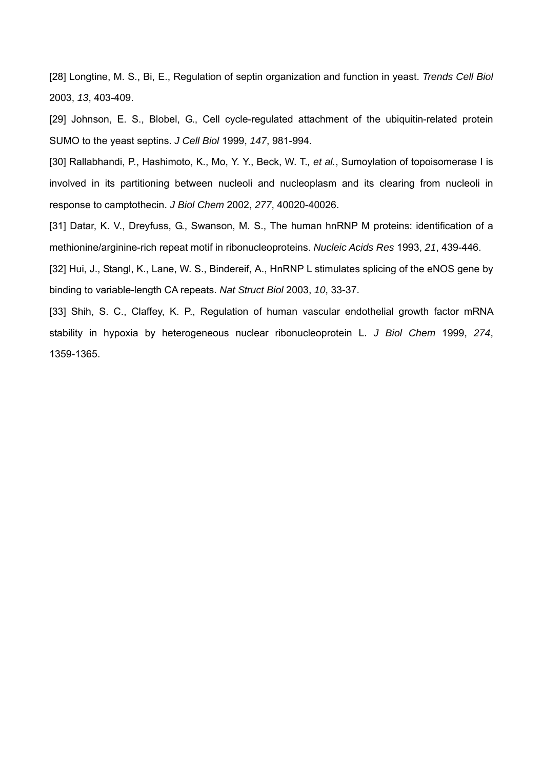[28] Longtine, M. S., Bi, E., Regulation of septin organization and function in yeast. *Trends Cell Biol*  2003, *13*, 403-409.

[29] Johnson, E. S., Blobel, G., Cell cycle-regulated attachment of the ubiquitin-related protein SUMO to the yeast septins. *J Cell Biol* 1999, *147*, 981-994.

[30] Rallabhandi, P., Hashimoto, K., Mo, Y. Y., Beck, W. T.*, et al.*, Sumoylation of topoisomerase I is involved in its partitioning between nucleoli and nucleoplasm and its clearing from nucleoli in response to camptothecin. *J Biol Chem* 2002, *277*, 40020-40026.

[31] Datar, K. V., Dreyfuss, G., Swanson, M. S., The human hnRNP M proteins: identification of a methionine/arginine-rich repeat motif in ribonucleoproteins. *Nucleic Acids Res* 1993, *21*, 439-446.

[32] Hui, J., Stangl, K., Lane, W. S., Bindereif, A., HnRNP L stimulates splicing of the eNOS gene by binding to variable-length CA repeats. *Nat Struct Biol* 2003, *10*, 33-37.

[33] Shih, S. C., Claffey, K. P., Regulation of human vascular endothelial growth factor mRNA stability in hypoxia by heterogeneous nuclear ribonucleoprotein L. *J Biol Chem* 1999, *274*, 1359-1365.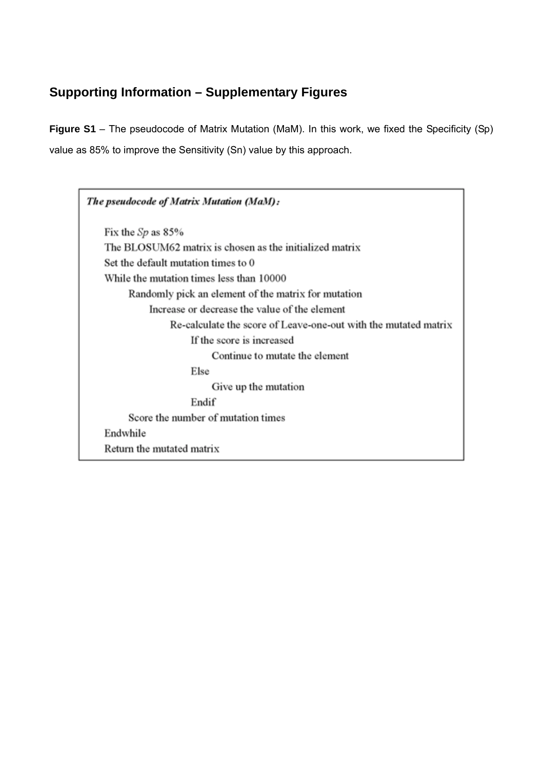# **Supporting Information – Supplementary Figures**

**Figure S1** – The pseudocode of Matrix Mutation (MaM). In this work, we fixed the Specificity (Sp) value as 85% to improve the Sensitivity (Sn) value by this approach.

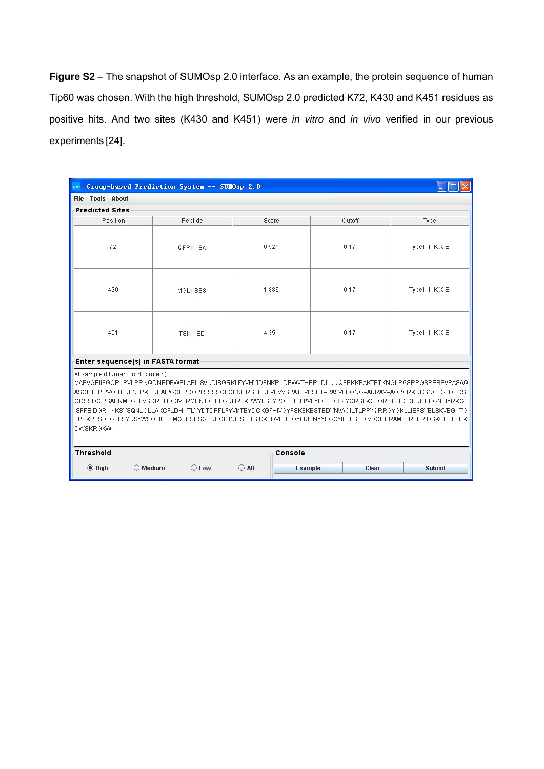**Figure S2** – The snapshot of SUMOsp 2.0 interface. As an example, the protein sequence of human Tip60 was chosen. With the high threshold, SUMOsp 2.0 predicted K72, K430 and K451 residues as positive hits. And two sites (K430 and K451) were *in vitro* and *in vivo* verified in our previous experiments [24].

|                                                                                                                                                                                                                                                                                                                                                                                                                                                                                                                                                                                                  | Group-based Prediction System -- SUMOsp 2.0 |                                  |        |                |  |  |
|--------------------------------------------------------------------------------------------------------------------------------------------------------------------------------------------------------------------------------------------------------------------------------------------------------------------------------------------------------------------------------------------------------------------------------------------------------------------------------------------------------------------------------------------------------------------------------------------------|---------------------------------------------|----------------------------------|--------|----------------|--|--|
| <b>File Tools About</b>                                                                                                                                                                                                                                                                                                                                                                                                                                                                                                                                                                          |                                             |                                  |        |                |  |  |
| <b>Predicted Sites</b>                                                                                                                                                                                                                                                                                                                                                                                                                                                                                                                                                                           |                                             |                                  |        |                |  |  |
| Position                                                                                                                                                                                                                                                                                                                                                                                                                                                                                                                                                                                         | Peptide                                     | Score                            | Cutoff | Type           |  |  |
| 72                                                                                                                                                                                                                                                                                                                                                                                                                                                                                                                                                                                               | <b>QFPKKEA</b>                              | 0.521                            | 0.17   | Typel: Ѱ-К-Х-Е |  |  |
| 430<br>1.886<br>0.17<br>Typel: Ψ-K-X-E<br><b>MGLKSES</b>                                                                                                                                                                                                                                                                                                                                                                                                                                                                                                                                         |                                             |                                  |        |                |  |  |
| 451                                                                                                                                                                                                                                                                                                                                                                                                                                                                                                                                                                                              | <b>TSIKKED</b>                              | 4.351                            | 0.17   | Typel: Ѱ-К-Х-Е |  |  |
| Enter sequence(s) in FASTA format                                                                                                                                                                                                                                                                                                                                                                                                                                                                                                                                                                |                                             |                                  |        |                |  |  |
| >Example (Human Tip60 protein)<br>MAEVGEIIEGCRLPVLRRNQDNEDEWPLAEILSVKDISGRKLFYVHYIDFNKRLDEWVTHERLDLKKIQFPKKEAKTPTKNGLPGSRPGSPEREVPASAQİ<br>ASGKTLPIPVQITLRFNLPKEREAIPGGEPDQPLSSSSCLQPNHRSTKRKVEVVSPATPVPSETAPASVFPQNGAARRAVAAQPGRKRKSNCLGTDEDS<br>@DSSDGIPSAPRMTGSLVSDRSHDDIVTRMKNIECIELGRHRLKPWYFSPYPQELTTLPVLYLCEFCLKYGRSLKCLQRHLTKCDLRHPPGNEIYRKGT<br>IISFFEIDGRKNKSYSQNLCLLAKCFLDHKTLYYDTDPFLFYVMTEYDCKGFHIVGYFSKEKESTEDYNVACILTLPPYQRRGYGKLLIEFSYELSKVEGKTG<br>TPEKPLSDLGLLSYRSYWSQTILEILMGLKSESGERPQITINEISEITSIKKEDVISTLQYLNLINYYKGQYILTLSEDIVDGHERAMLKRLLRIDSKCLHFTPK<br><b>DWSKRGKW</b> |                                             |                                  |        |                |  |  |
| <b>Threshold</b>                                                                                                                                                                                                                                                                                                                                                                                                                                                                                                                                                                                 |                                             | Console                          |        |                |  |  |
| $\odot$ High                                                                                                                                                                                                                                                                                                                                                                                                                                                                                                                                                                                     | C Low<br><b>Medium</b>                      | $\bigcirc$ All<br><b>Example</b> | Clear  | <b>Submit</b>  |  |  |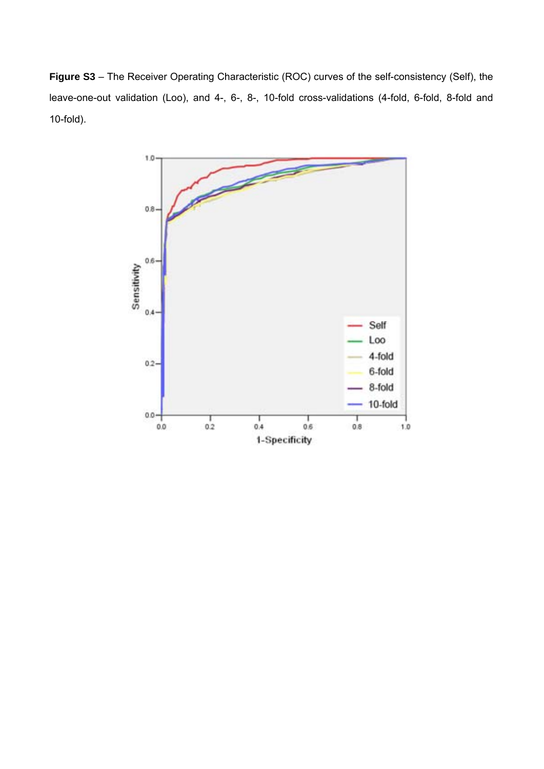**Figure S3** – The Receiver Operating Characteristic (ROC) curves of the self-consistency (Self), the leave-one-out validation (Loo), and 4-, 6-, 8-, 10-fold cross-validations (4-fold, 6-fold, 8-fold and 10-fold).

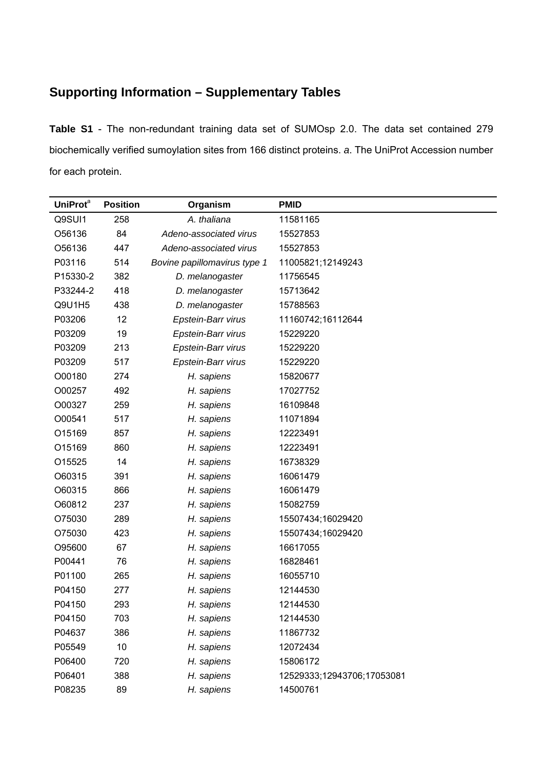# **Supporting Information – Supplementary Tables**

**Table S1** - The non-redundant training data set of SUMOsp 2.0. The data set contained 279 biochemically verified sumoylation sites from 166 distinct proteins. *a*. The UniProt Accession number for each protein.

|                      | <b>Position</b> |                              | <b>PMID</b>                |
|----------------------|-----------------|------------------------------|----------------------------|
| UniProt <sup>a</sup> |                 | Organism                     |                            |
| Q9SUI1               | 258             | A. thaliana                  | 11581165                   |
| O56136               | 84              | Adeno-associated virus       | 15527853                   |
| O56136               | 447             | Adeno-associated virus       | 15527853                   |
| P03116               | 514             | Bovine papillomavirus type 1 | 11005821;12149243          |
| P15330-2             | 382             | D. melanogaster              | 11756545                   |
| P33244-2             | 418             | D. melanogaster              | 15713642                   |
| Q9U1H5               | 438             | D. melanogaster              | 15788563                   |
| P03206               | 12              | Epstein-Barr virus           | 11160742;16112644          |
| P03209               | 19              | Epstein-Barr virus           | 15229220                   |
| P03209               | 213             | Epstein-Barr virus           | 15229220                   |
| P03209               | 517             | Epstein-Barr virus           | 15229220                   |
| O00180               | 274             | H. sapiens                   | 15820677                   |
| O00257               | 492             | H. sapiens                   | 17027752                   |
| O00327               | 259             | H. sapiens                   | 16109848                   |
| O00541               | 517             | H. sapiens                   | 11071894                   |
| O15169               | 857             | H. sapiens                   | 12223491                   |
| O15169               | 860             | H. sapiens                   | 12223491                   |
| O15525               | 14              | H. sapiens                   | 16738329                   |
| O60315               | 391             | H. sapiens                   | 16061479                   |
| O60315               | 866             | H. sapiens                   | 16061479                   |
| O60812               | 237             | H. sapiens                   | 15082759                   |
| O75030               | 289             | H. sapiens                   | 15507434;16029420          |
| O75030               | 423             | H. sapiens                   | 15507434;16029420          |
| O95600               | 67              | H. sapiens                   | 16617055                   |
| P00441               | 76              | H. sapiens                   | 16828461                   |
| P01100               | 265             | H. sapiens                   | 16055710                   |
| P04150               | 277             | H. sapiens                   | 12144530                   |
| P04150               | 293             | H. sapiens                   | 12144530                   |
| P04150               | 703             | H. sapiens                   | 12144530                   |
| P04637               | 386             | H. sapiens                   | 11867732                   |
| P05549               | 10              | H. sapiens                   | 12072434                   |
| P06400               | 720             | H. sapiens                   | 15806172                   |
| P06401               | 388             | H. sapiens                   | 12529333;12943706;17053081 |
| P08235               | 89              | H. sapiens                   | 14500761                   |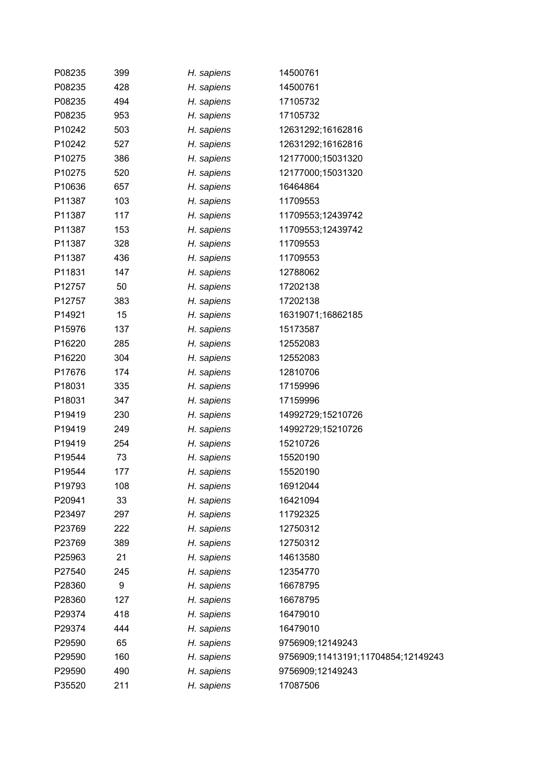| P08235 | 399 | H. sapiens | 14500761                           |
|--------|-----|------------|------------------------------------|
| P08235 | 428 | H. sapiens | 14500761                           |
| P08235 | 494 | H. sapiens | 17105732                           |
| P08235 | 953 | H. sapiens | 17105732                           |
| P10242 | 503 | H. sapiens | 12631292;16162816                  |
| P10242 | 527 | H. sapiens | 12631292;16162816                  |
| P10275 | 386 | H. sapiens | 12177000;15031320                  |
| P10275 | 520 | H. sapiens | 12177000;15031320                  |
| P10636 | 657 | H. sapiens | 16464864                           |
| P11387 | 103 | H. sapiens | 11709553                           |
| P11387 | 117 | H. sapiens | 11709553;12439742                  |
| P11387 | 153 | H. sapiens | 11709553;12439742                  |
| P11387 | 328 | H. sapiens | 11709553                           |
| P11387 | 436 | H. sapiens | 11709553                           |
| P11831 | 147 | H. sapiens | 12788062                           |
| P12757 | 50  | H. sapiens | 17202138                           |
| P12757 | 383 | H. sapiens | 17202138                           |
| P14921 | 15  | H. sapiens | 16319071;16862185                  |
| P15976 | 137 | H. sapiens | 15173587                           |
| P16220 | 285 | H. sapiens | 12552083                           |
| P16220 | 304 | H. sapiens | 12552083                           |
| P17676 | 174 | H. sapiens | 12810706                           |
| P18031 | 335 | H. sapiens | 17159996                           |
| P18031 | 347 | H. sapiens | 17159996                           |
| P19419 | 230 | H. sapiens | 14992729;15210726                  |
| P19419 | 249 | H. sapiens | 14992729;15210726                  |
| P19419 | 254 | H. sapiens | 15210726                           |
| P19544 | 73  | H. sapiens | 15520190                           |
| P19544 | 177 | H. sapiens | 15520190                           |
| P19793 | 108 | H. sapiens | 16912044                           |
| P20941 | 33  | H. sapiens | 16421094                           |
| P23497 | 297 | H. sapiens | 11792325                           |
| P23769 | 222 | H. sapiens | 12750312                           |
| P23769 | 389 | H. sapiens | 12750312                           |
| P25963 | 21  | H. sapiens | 14613580                           |
| P27540 | 245 | H. sapiens | 12354770                           |
| P28360 | 9   | H. sapiens | 16678795                           |
| P28360 | 127 | H. sapiens | 16678795                           |
| P29374 | 418 | H. sapiens | 16479010                           |
| P29374 | 444 | H. sapiens | 16479010                           |
| P29590 | 65  | H. sapiens | 9756909;12149243                   |
| P29590 | 160 | H. sapiens | 9756909;11413191;11704854;12149243 |
| P29590 | 490 | H. sapiens | 9756909;12149243                   |
| P35520 | 211 | H. sapiens | 17087506                           |
|        |     |            |                                    |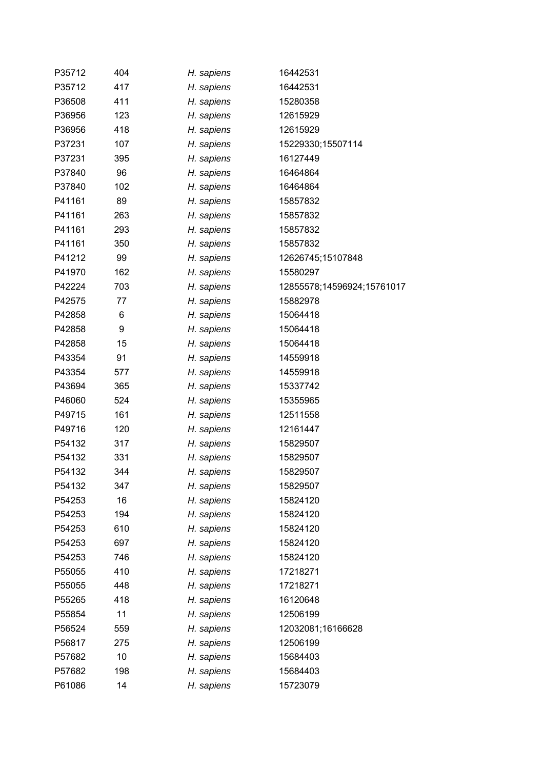| P35712 | 404 | H. sapiens | 16442531                   |
|--------|-----|------------|----------------------------|
| P35712 | 417 | H. sapiens | 16442531                   |
| P36508 | 411 | H. sapiens | 15280358                   |
| P36956 | 123 | H. sapiens | 12615929                   |
| P36956 | 418 | H. sapiens | 12615929                   |
| P37231 | 107 | H. sapiens | 15229330;15507114          |
| P37231 | 395 | H. sapiens | 16127449                   |
| P37840 | 96  | H. sapiens | 16464864                   |
| P37840 | 102 | H. sapiens | 16464864                   |
| P41161 | 89  | H. sapiens | 15857832                   |
| P41161 | 263 | H. sapiens | 15857832                   |
| P41161 | 293 | H. sapiens | 15857832                   |
| P41161 | 350 | H. sapiens | 15857832                   |
| P41212 | 99  | H. sapiens | 12626745;15107848          |
| P41970 | 162 | H. sapiens | 15580297                   |
| P42224 | 703 | H. sapiens | 12855578;14596924;15761017 |
| P42575 | 77  | H. sapiens | 15882978                   |
| P42858 | 6   | H. sapiens | 15064418                   |
| P42858 | 9   | H. sapiens | 15064418                   |
| P42858 | 15  | H. sapiens | 15064418                   |
| P43354 | 91  | H. sapiens | 14559918                   |
| P43354 | 577 | H. sapiens | 14559918                   |
| P43694 | 365 | H. sapiens | 15337742                   |
| P46060 | 524 | H. sapiens | 15355965                   |
| P49715 | 161 | H. sapiens | 12511558                   |
| P49716 | 120 | H. sapiens | 12161447                   |
| P54132 | 317 | H. sapiens | 15829507                   |
| P54132 | 331 | H. sapiens | 15829507                   |
| P54132 | 344 | H. sapiens | 15829507                   |
| P54132 | 347 | H. sapiens | 15829507                   |
| P54253 | 16  | H. sapiens | 15824120                   |
| P54253 | 194 | H. sapiens | 15824120                   |
| P54253 | 610 | H. sapiens | 15824120                   |
| P54253 | 697 | H. sapiens | 15824120                   |
| P54253 | 746 | H. sapiens | 15824120                   |
| P55055 | 410 | H. sapiens | 17218271                   |
| P55055 | 448 | H. sapiens | 17218271                   |
| P55265 | 418 | H. sapiens | 16120648                   |
| P55854 | 11  | H. sapiens | 12506199                   |
| P56524 | 559 | H. sapiens | 12032081;16166628          |
| P56817 | 275 | H. sapiens | 12506199                   |
| P57682 | 10  | H. sapiens | 15684403                   |
| P57682 | 198 | H. sapiens | 15684403                   |
| P61086 | 14  | H. sapiens | 15723079                   |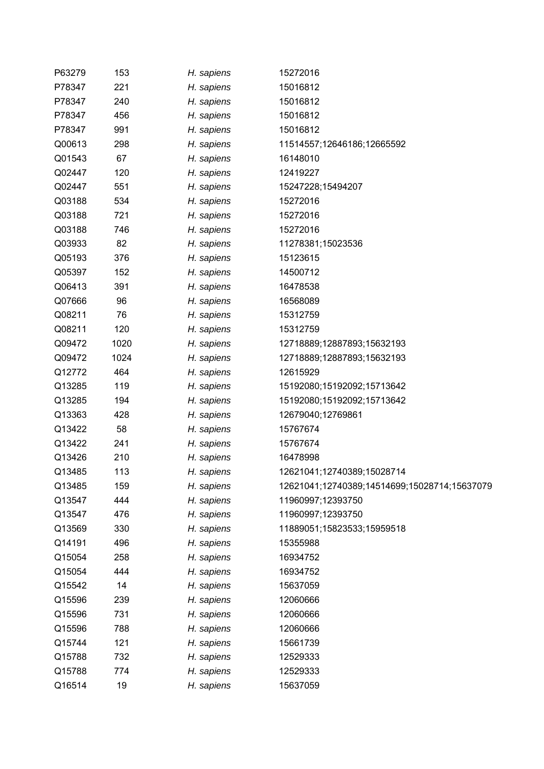| P63279 | 153  | H. sapiens | 15272016                                     |
|--------|------|------------|----------------------------------------------|
| P78347 | 221  | H. sapiens | 15016812                                     |
| P78347 | 240  | H. sapiens | 15016812                                     |
| P78347 | 456  | H. sapiens | 15016812                                     |
| P78347 | 991  | H. sapiens | 15016812                                     |
| Q00613 | 298  | H. sapiens | 11514557;12646186;12665592                   |
| Q01543 | 67   | H. sapiens | 16148010                                     |
| Q02447 | 120  | H. sapiens | 12419227                                     |
| Q02447 | 551  | H. sapiens | 15247228;15494207                            |
| Q03188 | 534  | H. sapiens | 15272016                                     |
| Q03188 | 721  | H. sapiens | 15272016                                     |
| Q03188 | 746  | H. sapiens | 15272016                                     |
| Q03933 | 82   | H. sapiens | 11278381;15023536                            |
| Q05193 | 376  | H. sapiens | 15123615                                     |
| Q05397 | 152  | H. sapiens | 14500712                                     |
| Q06413 | 391  | H. sapiens | 16478538                                     |
| Q07666 | 96   | H. sapiens | 16568089                                     |
| Q08211 | 76   | H. sapiens | 15312759                                     |
| Q08211 | 120  | H. sapiens | 15312759                                     |
| Q09472 | 1020 | H. sapiens | 12718889;12887893;15632193                   |
| Q09472 | 1024 | H. sapiens | 12718889;12887893;15632193                   |
| Q12772 | 464  | H. sapiens | 12615929                                     |
| Q13285 | 119  | H. sapiens | 15192080;15192092;15713642                   |
| Q13285 | 194  | H. sapiens | 15192080;15192092;15713642                   |
| Q13363 | 428  | H. sapiens | 12679040;12769861                            |
| Q13422 | 58   | H. sapiens | 15767674                                     |
| Q13422 | 241  | H. sapiens | 15767674                                     |
| Q13426 | 210  | H. sapiens | 16478998                                     |
| Q13485 | 113  | H. sapiens | 12621041;12740389;15028714                   |
| Q13485 | 159  | H. sapiens | 12621041;12740389;14514699;15028714;15637079 |
| Q13547 | 444  | H. sapiens | 11960997;12393750                            |
| Q13547 | 476  | H. sapiens | 11960997;12393750                            |
| Q13569 | 330  | H. sapiens | 11889051;15823533;15959518                   |
| Q14191 | 496  | H. sapiens | 15355988                                     |
| Q15054 | 258  | H. sapiens | 16934752                                     |
| Q15054 | 444  | H. sapiens | 16934752                                     |
| Q15542 | 14   | H. sapiens | 15637059                                     |
| Q15596 | 239  | H. sapiens | 12060666                                     |
| Q15596 | 731  | H. sapiens | 12060666                                     |
| Q15596 | 788  | H. sapiens | 12060666                                     |
| Q15744 | 121  | H. sapiens | 15661739                                     |
| Q15788 | 732  | H. sapiens | 12529333                                     |
| Q15788 | 774  | H. sapiens | 12529333                                     |
| Q16514 | 19   | H. sapiens | 15637059                                     |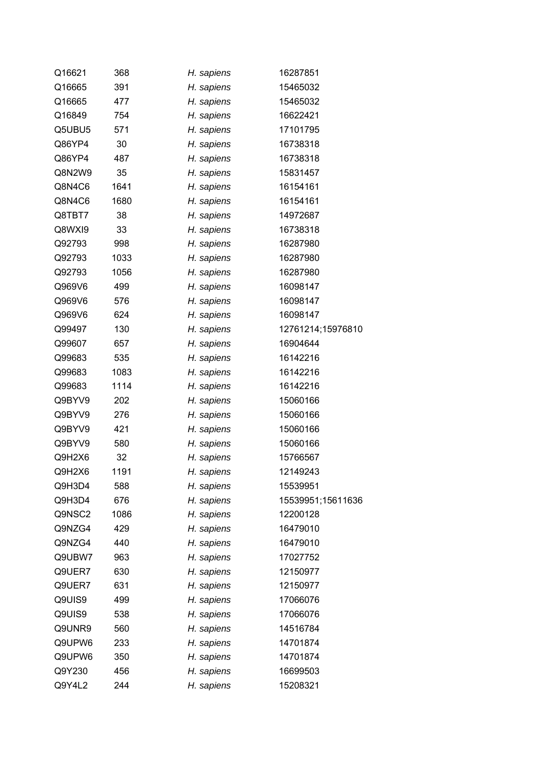| Q16621 | 368  | H. sapiens | 16287851          |
|--------|------|------------|-------------------|
| Q16665 | 391  | H. sapiens | 15465032          |
| Q16665 | 477  | H. sapiens | 15465032          |
| Q16849 | 754  | H. sapiens | 16622421          |
| Q5UBU5 | 571  | H. sapiens | 17101795          |
| Q86YP4 | 30   | H. sapiens | 16738318          |
| Q86YP4 | 487  | H. sapiens | 16738318          |
| Q8N2W9 | 35   | H. sapiens | 15831457          |
| Q8N4C6 | 1641 | H. sapiens | 16154161          |
| Q8N4C6 | 1680 | H. sapiens | 16154161          |
| Q8TBT7 | 38   | H. sapiens | 14972687          |
| Q8WXI9 | 33   | H. sapiens | 16738318          |
| Q92793 | 998  | H. sapiens | 16287980          |
| Q92793 | 1033 | H. sapiens | 16287980          |
| Q92793 | 1056 | H. sapiens | 16287980          |
| Q969V6 | 499  | H. sapiens | 16098147          |
| Q969V6 | 576  | H. sapiens | 16098147          |
| Q969V6 | 624  | H. sapiens | 16098147          |
| Q99497 | 130  | H. sapiens | 12761214;15976810 |
| Q99607 | 657  | H. sapiens | 16904644          |
| Q99683 | 535  | H. sapiens | 16142216          |
| Q99683 | 1083 | H. sapiens | 16142216          |
| Q99683 | 1114 | H. sapiens | 16142216          |
| Q9BYV9 | 202  | H. sapiens | 15060166          |
| Q9BYV9 | 276  | H. sapiens | 15060166          |
| Q9BYV9 | 421  | H. sapiens | 15060166          |
| Q9BYV9 | 580  | H. sapiens | 15060166          |
| Q9H2X6 | 32   | H. sapiens | 15766567          |
| Q9H2X6 | 1191 | H. sapiens | 12149243          |
| Q9H3D4 | 588  | H. sapiens | 15539951          |
| Q9H3D4 | 676  | H. sapiens | 15539951;15611636 |
| Q9NSC2 | 1086 | H. sapiens | 12200128          |
| Q9NZG4 | 429  | H. sapiens | 16479010          |
| Q9NZG4 | 440  | H. sapiens | 16479010          |
| Q9UBW7 | 963  | H. sapiens | 17027752          |
| Q9UER7 | 630  | H. sapiens | 12150977          |
| Q9UER7 | 631  | H. sapiens | 12150977          |
| Q9UIS9 | 499  | H. sapiens | 17066076          |
| Q9UIS9 | 538  | H. sapiens | 17066076          |
| Q9UNR9 | 560  | H. sapiens | 14516784          |
| Q9UPW6 | 233  | H. sapiens | 14701874          |
| Q9UPW6 | 350  | H. sapiens | 14701874          |
| Q9Y230 | 456  | H. sapiens | 16699503          |
| Q9Y4L2 | 244  | H. sapiens | 15208321          |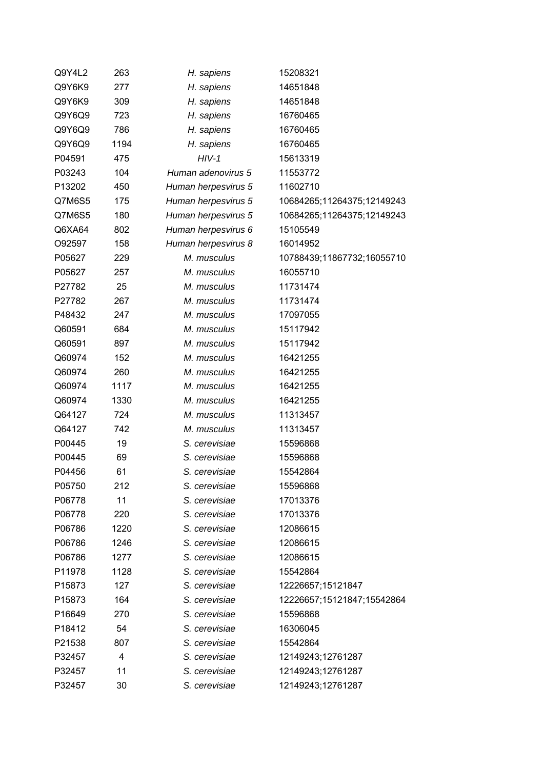| Q9Y4L2 | 263  | H. sapiens          | 15208321                   |
|--------|------|---------------------|----------------------------|
| Q9Y6K9 | 277  | H. sapiens          | 14651848                   |
| Q9Y6K9 | 309  | H. sapiens          | 14651848                   |
| Q9Y6Q9 | 723  | H. sapiens          | 16760465                   |
| Q9Y6Q9 | 786  | H. sapiens          | 16760465                   |
| Q9Y6Q9 | 1194 | H. sapiens          | 16760465                   |
| P04591 | 475  | $HIV-1$             | 15613319                   |
| P03243 | 104  | Human adenovirus 5  | 11553772                   |
| P13202 | 450  | Human herpesvirus 5 | 11602710                   |
| Q7M6S5 | 175  | Human herpesvirus 5 | 10684265;11264375;12149243 |
| Q7M6S5 | 180  | Human herpesvirus 5 | 10684265;11264375;12149243 |
| Q6XA64 | 802  | Human herpesvirus 6 | 15105549                   |
| O92597 | 158  | Human herpesvirus 8 | 16014952                   |
| P05627 | 229  | M. musculus         | 10788439;11867732;16055710 |
| P05627 | 257  | M. musculus         | 16055710                   |
| P27782 | 25   | M. musculus         | 11731474                   |
| P27782 | 267  | M. musculus         | 11731474                   |
| P48432 | 247  | M. musculus         | 17097055                   |
| Q60591 | 684  | M. musculus         | 15117942                   |
| Q60591 | 897  | M. musculus         | 15117942                   |
| Q60974 | 152  | M. musculus         | 16421255                   |
| Q60974 | 260  | M. musculus         | 16421255                   |
| Q60974 | 1117 | M. musculus         | 16421255                   |
| Q60974 | 1330 | M. musculus         | 16421255                   |
| Q64127 | 724  | M. musculus         | 11313457                   |
| Q64127 | 742  | M. musculus         | 11313457                   |
| P00445 | 19   | S. cerevisiae       | 15596868                   |
| P00445 | 69   | S. cerevisiae       | 15596868                   |
| P04456 | 61   | S. cerevisiae       | 15542864                   |
| P05750 | 212  | S. cerevisiae       | 15596868                   |
| P06778 | 11   | S. cerevisiae       | 17013376                   |
| P06778 | 220  | S. cerevisiae       | 17013376                   |
| P06786 | 1220 | S. cerevisiae       | 12086615                   |
| P06786 | 1246 | S. cerevisiae       | 12086615                   |
| P06786 | 1277 | S. cerevisiae       | 12086615                   |
| P11978 | 1128 | S. cerevisiae       | 15542864                   |
| P15873 | 127  | S. cerevisiae       | 12226657;15121847          |
| P15873 | 164  | S. cerevisiae       | 12226657;15121847;15542864 |
| P16649 | 270  | S. cerevisiae       | 15596868                   |
| P18412 | 54   | S. cerevisiae       | 16306045                   |
| P21538 | 807  | S. cerevisiae       | 15542864                   |
| P32457 | 4    | S. cerevisiae       | 12149243;12761287          |
| P32457 | 11   | S. cerevisiae       | 12149243;12761287          |
| P32457 | 30   | S. cerevisiae       | 12149243;12761287          |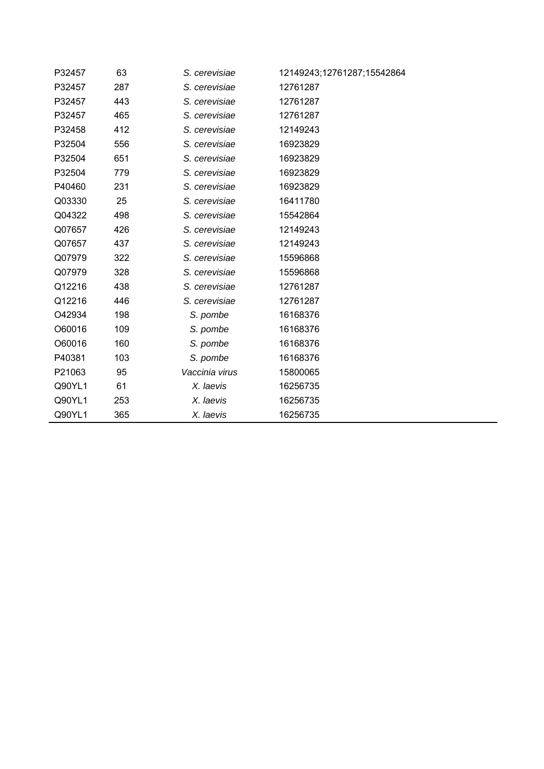| P32457 | 63  | S. cerevisiae  | 12149243;12761287;15542864 |  |
|--------|-----|----------------|----------------------------|--|
| P32457 | 287 | S. cerevisiae  | 12761287                   |  |
| P32457 | 443 | S. cerevisiae  | 12761287                   |  |
| P32457 | 465 | S. cerevisiae  | 12761287                   |  |
| P32458 | 412 | S. cerevisiae  | 12149243                   |  |
| P32504 | 556 | S. cerevisiae  | 16923829                   |  |
| P32504 | 651 | S. cerevisiae  | 16923829                   |  |
| P32504 | 779 | S. cerevisiae  | 16923829                   |  |
| P40460 | 231 | S. cerevisiae  | 16923829                   |  |
| Q03330 | 25  | S. cerevisiae  | 16411780                   |  |
| Q04322 | 498 | S. cerevisiae  | 15542864                   |  |
| Q07657 | 426 | S. cerevisiae  | 12149243                   |  |
| Q07657 | 437 | S. cerevisiae  | 12149243                   |  |
| Q07979 | 322 | S. cerevisiae  | 15596868                   |  |
| Q07979 | 328 | S. cerevisiae  | 15596868                   |  |
| Q12216 | 438 | S. cerevisiae  | 12761287                   |  |
| Q12216 | 446 | S. cerevisiae  | 12761287                   |  |
| O42934 | 198 | S. pombe       | 16168376                   |  |
| O60016 | 109 | S. pombe       | 16168376                   |  |
| O60016 | 160 | S. pombe       | 16168376                   |  |
| P40381 | 103 | S. pombe       | 16168376                   |  |
| P21063 | 95  | Vaccinia virus | 15800065                   |  |
| Q90YL1 | 61  | X. laevis      | 16256735                   |  |
| Q90YL1 | 253 | X. laevis      | 16256735                   |  |
| Q90YL1 | 365 | X. laevis      | 16256735                   |  |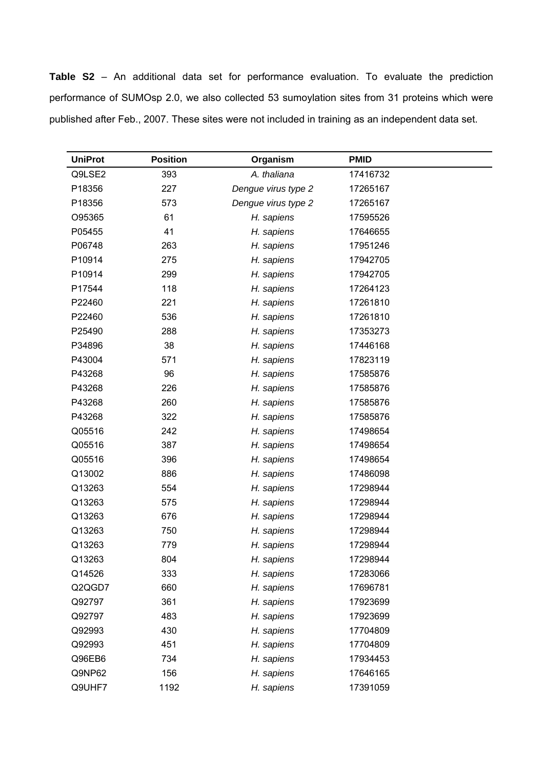**Table S2** – An additional data set for performance evaluation. To evaluate the prediction performance of SUMOsp 2.0, we also collected 53 sumoylation sites from 31 proteins which were published after Feb., 2007. These sites were not included in training as an independent data set.

| <b>UniProt</b> | <b>Position</b> | Organism            | <b>PMID</b> |
|----------------|-----------------|---------------------|-------------|
| Q9LSE2         | 393             | A. thaliana         | 17416732    |
| P18356         | 227             | Dengue virus type 2 | 17265167    |
| P18356         | 573             | Dengue virus type 2 | 17265167    |
| O95365         | 61              | H. sapiens          | 17595526    |
| P05455         | 41              | H. sapiens          | 17646655    |
| P06748         | 263             | H. sapiens          | 17951246    |
| P10914         | 275             | H. sapiens          | 17942705    |
| P10914         | 299             | H. sapiens          | 17942705    |
| P17544         | 118             | H. sapiens          | 17264123    |
| P22460         | 221             | H. sapiens          | 17261810    |
| P22460         | 536             | H. sapiens          | 17261810    |
| P25490         | 288             | H. sapiens          | 17353273    |
| P34896         | 38              | H. sapiens          | 17446168    |
| P43004         | 571             | H. sapiens          | 17823119    |
| P43268         | 96              | H. sapiens          | 17585876    |
| P43268         | 226             | H. sapiens          | 17585876    |
| P43268         | 260             | H. sapiens          | 17585876    |
| P43268         | 322             | H. sapiens          | 17585876    |
| Q05516         | 242             | H. sapiens          | 17498654    |
| Q05516         | 387             | H. sapiens          | 17498654    |
| Q05516         | 396             | H. sapiens          | 17498654    |
| Q13002         | 886             | H. sapiens          | 17486098    |
| Q13263         | 554             | H. sapiens          | 17298944    |
| Q13263         | 575             | H. sapiens          | 17298944    |
| Q13263         | 676             | H. sapiens          | 17298944    |
| Q13263         | 750             | H. sapiens          | 17298944    |
| Q13263         | 779             | H. sapiens          | 17298944    |
| Q13263         | 804             | H. sapiens          | 17298944    |
| Q14526         | 333             | H. sapiens          | 17283066    |
| Q2QGD7         | 660             | H. sapiens          | 17696781    |
| Q92797         | 361             | H. sapiens          | 17923699    |
| Q92797         | 483             | H. sapiens          | 17923699    |
| Q92993         | 430             | H. sapiens          | 17704809    |
| Q92993         | 451             | H. sapiens          | 17704809    |
| Q96EB6         | 734             | H. sapiens          | 17934453    |
| Q9NP62         | 156             | H. sapiens          | 17646165    |
| Q9UHF7         | 1192            | H. sapiens          | 17391059    |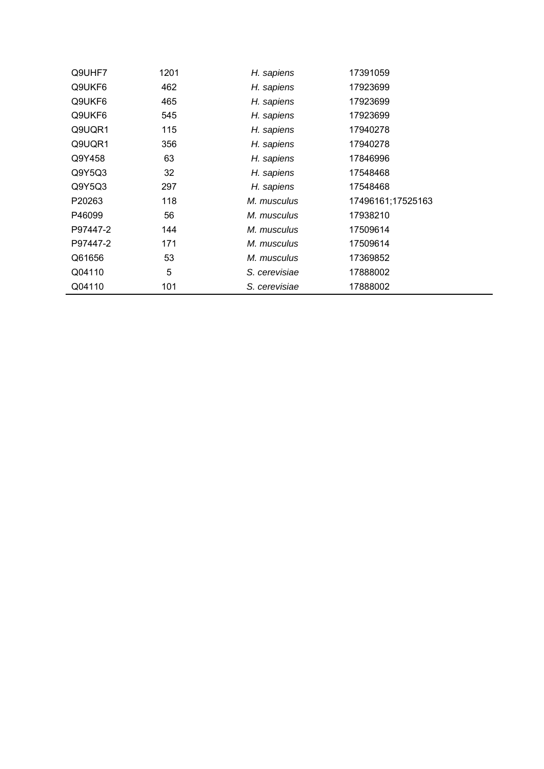| Q9UHF7   | 1201 | H. sapiens    | 17391059          |  |
|----------|------|---------------|-------------------|--|
| Q9UKF6   | 462  | H. sapiens    | 17923699          |  |
| Q9UKF6   | 465  | H. sapiens    | 17923699          |  |
| Q9UKF6   | 545  | H. sapiens    | 17923699          |  |
| Q9UQR1   | 115  | H. sapiens    | 17940278          |  |
| Q9UQR1   | 356  | H. sapiens    | 17940278          |  |
| Q9Y458   | 63   | H. sapiens    | 17846996          |  |
| Q9Y5Q3   | 32   | H. sapiens    | 17548468          |  |
| Q9Y5Q3   | 297  | H. sapiens    | 17548468          |  |
| P20263   | 118  | M. musculus   | 17496161;17525163 |  |
| P46099   | 56   | M. musculus   | 17938210          |  |
| P97447-2 | 144  | M. musculus   | 17509614          |  |
| P97447-2 | 171  | M. musculus   | 17509614          |  |
| Q61656   | 53   | M. musculus   | 17369852          |  |
| Q04110   | 5    | S. cerevisiae | 17888002          |  |
| Q04110   | 101  | S. cerevisiae | 17888002          |  |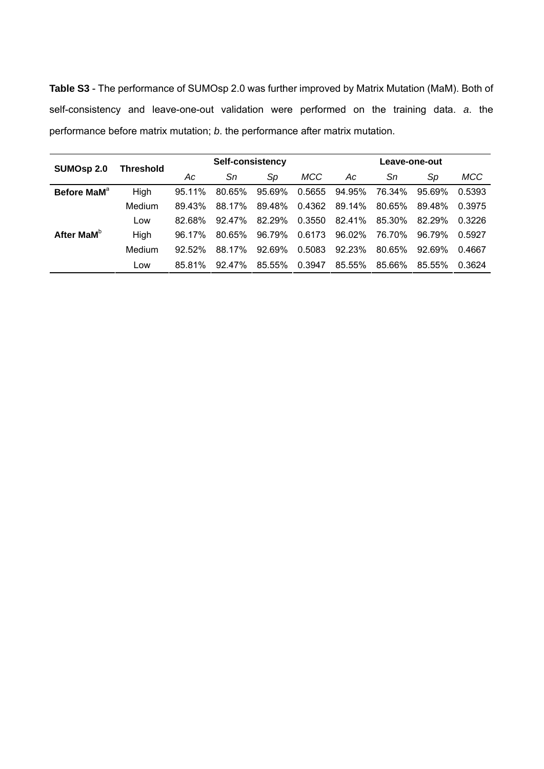**Table S3** - The performance of SUMOsp 2.0 was further improved by Matrix Mutation (MaM). Both of self-consistency and leave-one-out validation were performed on the training data. *a*. the performance before matrix mutation; *b*. the performance after matrix mutation.

| SUMOsp 2.0              | <b>Threshold</b> | Self-consistency |           |        |            | Leave-one-out |        |        |        |
|-------------------------|------------------|------------------|-----------|--------|------------|---------------|--------|--------|--------|
|                         |                  | Aс               | Sn        | Sp     | <b>MCC</b> | Aс            | Sn     | Sp     | MCC    |
| Before MaM <sup>a</sup> | High             | 95.11%           | 80.65%    | 95.69% | 0.5655     | 94.95%        | 76.34% | 95.69% | 0.5393 |
|                         | Medium           | 89.43%           | 88.17%    | 89.48% | 0.4362     | 89.14%        | 80.65% | 89.48% | 0.3975 |
|                         | Low              | 82.68%           | $92.47\%$ | 82.29% | 0.3550     | 82.41%        | 85.30% | 82.29% | 0.3226 |
| After MaM <sup>b</sup>  | High             | 96.17%           | 80.65%    | 96.79% | 0.6173     | 96.02%        | 76.70% | 96.79% | 0.5927 |
|                         | Medium           | 92.52%           | 88.17%    | 92.69% | 0.5083     | 92.23%        | 80.65% | 92.69% | 0.4667 |
|                         | Low              | 85.81%           | $92.47\%$ | 85.55% | 0.3947     | 85.55%        | 85.66% | 85.55% | 0.3624 |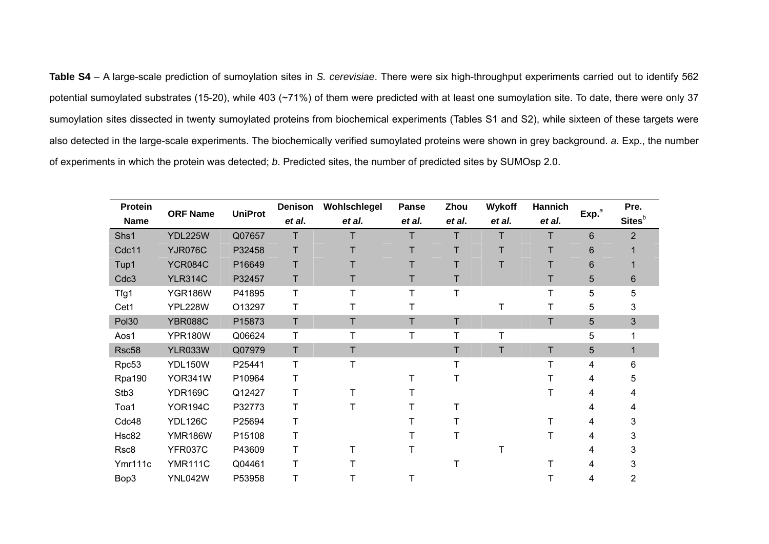**Table S4** – A large-scale prediction of sumoylation sites in *S. cerevisiae*. There were six high-throughput experiments carried out to identify 562 potential sumoylated substrates (15-20), while 403 (~71%) of them were predicted with at least one sumoylation site. To date, there were only 37 sumoylation sites dissected in twenty sumoylated proteins from biochemical experiments (Tables S1 and S2), while sixteen of these targets were also detected in the large-scale experiments. The biochemically verified sumoylated proteins were shown in grey background. *a*. Exp., the number of experiments in which the protein was detected; *b*. Predicted sites, the number of predicted sites by SUMOsp 2.0.

| <b>Protein</b>   |                 |                | <b>Denison</b> | Wohlschlegel | <b>Panse</b> | Zhou   | Wykoff | <b>Hannich</b> |                   | Pre.           |
|------------------|-----------------|----------------|----------------|--------------|--------------|--------|--------|----------------|-------------------|----------------|
| <b>Name</b>      | <b>ORF Name</b> | <b>UniProt</b> | et al.         | et al.       | et al.       | et al. | et al. | et al.         | Exp. <sup>a</sup> | Sites $b$      |
| Shs1             | YDL225W         | Q07657         | т              | т            |              | т      | т      |                | 6                 | $\overline{2}$ |
| Cdc11            | <b>YJR076C</b>  | P32458         |                |              |              |        | T      |                | $6\phantom{1}$    |                |
| Tup1             | <b>YCR084C</b>  | P16649         | т              |              |              | т      | T      | Т              | 6                 |                |
| Cdc <sub>3</sub> | <b>YLR314C</b>  | P32457         | Τ              | Τ            | Τ            | Τ      |        | Τ              | 5                 | 6              |
| Tfg1             | <b>YGR186W</b>  | P41895         | т              |              | т            | T      |        | т              | 5                 | 5              |
| Cet1             | <b>YPL228W</b>  | O13297         | Т              |              |              |        | т      | T              | 5                 | 3              |
| <b>Pol30</b>     | <b>YBR088C</b>  | P15873         | T              | T            | т            | T      |        | T.             | $\overline{5}$    | 3              |
| Aos1             | <b>YPR180W</b>  | Q06624         | т              | т            | т            | т      | т      |                | 5                 |                |
| Rsc58            | <b>YLR033W</b>  | Q07979         | T              | Τ            |              | T      | T      | Τ              | 5                 |                |
| Rpc53            | <b>YDL150W</b>  | P25441         | т              | т            |              |        |        | т              | 4                 | 6              |
| <b>Rpa190</b>    | <b>YOR341W</b>  | P10964         | т              |              |              |        |        |                | 4                 | 5              |
| Stb <sub>3</sub> | <b>YDR169C</b>  | Q12427         | т              |              |              |        |        |                | 4                 | 4              |
| Toa1             | <b>YOR194C</b>  | P32773         | т              |              |              | T      |        |                | 4                 | 4              |
| Cdc48            | <b>YDL126C</b>  | P25694         | т              |              |              | Т      |        | т              | 4                 | 3              |
| Hsc82            | <b>YMR186W</b>  | P15108         | т              |              |              |        |        |                | 4                 | 3              |
| Rsc <sub>8</sub> | YFR037C         | P43609         | T              | т            |              |        | т      |                | 4                 | 3              |
| Ymr111c          | <b>YMR111C</b>  | Q04461         | т              |              |              | т      |        |                | 4                 | 3              |
| Bop3             | YNL042W         | P53958         | т              |              |              |        |        |                | 4                 | $\overline{2}$ |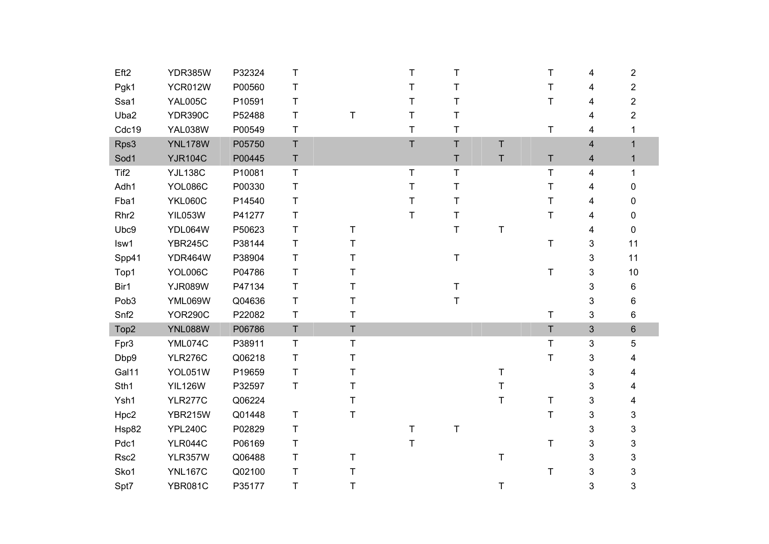| Eft <sub>2</sub> | <b>YDR385W</b> | P32324 | T            |             | Т           | $\sf T$     |              | $\sf T$     | 4 | $\overline{2}$ |
|------------------|----------------|--------|--------------|-------------|-------------|-------------|--------------|-------------|---|----------------|
| Pgk1             | <b>YCR012W</b> | P00560 | T            |             | т           | T           |              | $\mathsf T$ | 4 | $\overline{2}$ |
| Ssa1             | <b>YAL005C</b> | P10591 | $\mathsf T$  |             | т           | Τ           |              | $\mathsf T$ | 4 | $\overline{2}$ |
| Uba2             | <b>YDR390C</b> | P52488 | T            | T           | т           | T           |              |             | 4 | $\overline{2}$ |
| Cdc19            | YAL038W        | P00549 | $\mathsf T$  |             | T           | $\mathsf T$ |              | $\mathsf T$ | 4 |                |
| Rps3             | <b>YNL178W</b> | P05750 | $\mathsf{T}$ |             | $\top$      | $\mathsf T$ | $\mathsf{T}$ |             | 4 | 1              |
| Sod1             | <b>YJR104C</b> | P00445 | T            |             |             | $\mathsf T$ | $\sf T$      | $\sf T$     | 4 |                |
| Tif <sub>2</sub> | <b>YJL138C</b> | P10081 | $\top$       |             | T           | $\top$      |              | $\top$      | 4 | 1              |
| Adh1             | <b>YOL086C</b> | P00330 | $\top$       |             | Τ           | $\mathsf T$ |              | $\top$      | 4 | 0              |
| Fba1             | <b>YKL060C</b> | P14540 | $\top$       |             | Τ           | T           |              | $\top$      | 4 | 0              |
| Rhr <sub>2</sub> | <b>YIL053W</b> | P41277 | $\mathsf T$  |             | T           | Т           |              | $\top$      | 4 | 0              |
| Ubc9             | YDL064W        | P50623 | T            | T           |             | $\mathsf T$ | T            |             | 4 | 0              |
| Isw1             | <b>YBR245C</b> | P38144 | T            | т           |             |             |              | $\top$      | 3 | 11             |
| Spp41            | YDR464W        | P38904 | $\mathsf T$  | Т           |             | $\sf T$     |              |             | 3 | 11             |
| Top1             | YOL006C        | P04786 | $\mathsf T$  | Т           |             |             |              | $\top$      | 3 | 10             |
| Bir1             | <b>YJR089W</b> | P47134 | $\mathsf T$  | Т           |             | $\mathsf T$ |              |             | 3 | 6              |
| Pob <sub>3</sub> | YML069W        | Q04636 | T            | T           |             | $\mathsf T$ |              |             | 3 | 6              |
| Snf <sub>2</sub> | <b>YOR290C</b> | P22082 | Τ            | Τ           |             |             |              | $\sf T$     | 3 | 6              |
| Top2             | <b>YNL088W</b> | P06786 | $\mathsf T$  | $\sf T$     |             |             |              | $\top$      | 3 | $\,6\,$        |
| Fpr3             | YML074C        | P38911 | $\top$       | T           |             |             |              | $\sf T$     | 3 | 5              |
| Dbp9             | <b>YLR276C</b> | Q06218 | $\mathsf T$  | т           |             |             |              | $\sf T$     | 3 | 4              |
| Gal11            | YOL051W        | P19659 | T            | т           |             |             | $\mathsf T$  |             | 3 | 4              |
| Sth1             | <b>YIL126W</b> | P32597 | $\top$       | Т           |             |             | T            |             | 3 | 4              |
| Ysh1             | <b>YLR277C</b> | Q06224 |              | т           |             |             | T            | $\sf T$     | 3 | 4              |
| Hpc2             | <b>YBR215W</b> | Q01448 | T            | Τ           |             |             |              | $\top$      | 3 | 3              |
| Hsp82            | <b>YPL240C</b> | P02829 | T            |             | $\mathsf T$ | $\sf T$     |              |             | 3 | 3              |
| Pdc1             | <b>YLR044C</b> | P06169 | $\mathsf T$  |             | T           |             |              | $\sf T$     | 3 | 3              |
| Rsc2             | <b>YLR357W</b> | Q06488 | T            | T           |             |             | T            |             | 3 | 3              |
| Sko1             | <b>YNL167C</b> | Q02100 | $\mathsf T$  | Т           |             |             |              | $\sf T$     | 3 | 3              |
| Spt7             | <b>YBR081C</b> | P35177 | T            | $\mathsf T$ |             |             | $\mathsf T$  |             | 3 | 3              |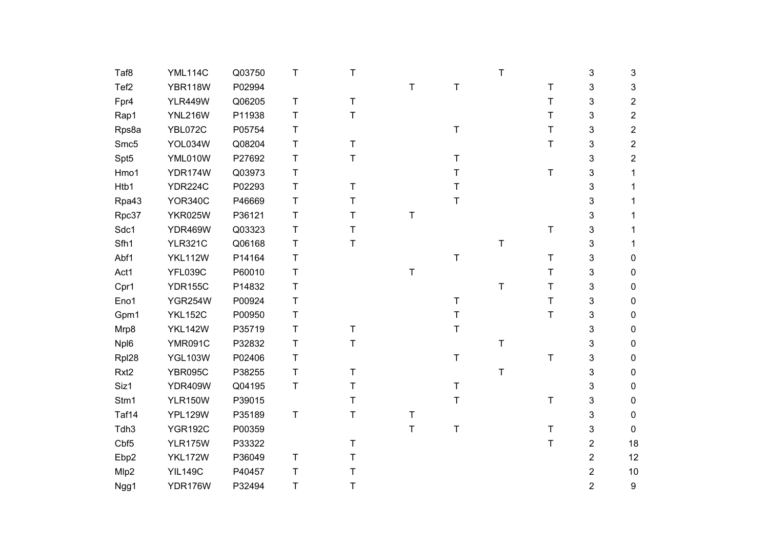| Taf <sub>8</sub> | <b>YML114C</b> | Q03750 | $\mathsf T$  | $\mathsf T$ |         |         | $\mathsf{T}$ |             | 3                       | 3              |
|------------------|----------------|--------|--------------|-------------|---------|---------|--------------|-------------|-------------------------|----------------|
| Tef <sub>2</sub> | <b>YBR118W</b> | P02994 |              |             | $\sf T$ | $\sf T$ |              | $\mathsf T$ | 3                       | 3              |
| Fpr4             | <b>YLR449W</b> | Q06205 | $\mathsf T$  | $\mathsf T$ |         |         |              | $\mathsf T$ | 3                       | $\overline{2}$ |
| Rap1             | <b>YNL216W</b> | P11938 | $\mathsf T$  | $\mathsf T$ |         |         |              | $\mathsf T$ | 3                       | $\overline{2}$ |
| Rps8a            | YBL072C        | P05754 | $\mathsf T$  |             |         | $\sf T$ |              | $\mathsf T$ | $\mathbf{3}$            | $\overline{2}$ |
| Smc <sub>5</sub> | YOL034W        | Q08204 | $\mathsf T$  | Т           |         |         |              | $\mathsf T$ | 3                       | 2              |
| Spt5             | YML010W        | P27692 | $\mathsf T$  | $\sf T$     |         | T       |              |             | 3                       | 2              |
| Hmo1             | YDR174W        | Q03973 | $\mathsf T$  |             |         | т       |              | $\top$      | 3                       | 1              |
| Htb1             | <b>YDR224C</b> | P02293 | $\mathsf T$  | $\mathsf T$ |         | Τ       |              |             | 3                       |                |
| Rpa43            | <b>YOR340C</b> | P46669 | $\mathsf T$  | T           |         | Τ       |              |             | 3                       |                |
| Rpc37            | <b>YKR025W</b> | P36121 | $\mathsf T$  | T           | Τ       |         |              |             | 3                       |                |
| Sdc1             | <b>YDR469W</b> | Q03323 | $\mathsf T$  | Τ           |         |         |              | $\sf T$     | 3                       |                |
| Sfh1             | <b>YLR321C</b> | Q06168 | $\mathsf T$  | $\mathsf T$ |         |         | $\mathsf T$  |             | 3                       |                |
| Abf1             | <b>YKL112W</b> | P14164 | T            |             |         | Τ       |              | $\mathsf T$ | 3                       | 0              |
| Act1             | <b>YFL039C</b> | P60010 | $\mathsf T$  |             | T       |         |              | $\mathsf T$ | 3                       | 0              |
| Cpr1             | <b>YDR155C</b> | P14832 | $\mathsf T$  |             |         |         | $\sf T$      | $\top$      | 3                       | 0              |
| Eno1             | YGR254W        | P00924 | $\mathsf T$  |             |         | T       |              | $\mathsf T$ | 3                       | 0              |
| Gpm1             | <b>YKL152C</b> | P00950 | $\top$       |             |         | Τ       |              | $\top$      | 3                       | 0              |
| Mrp8             | <b>YKL142W</b> | P35719 | $\mathsf T$  | $\mathsf T$ |         | $\sf T$ |              |             | 3                       | 0              |
| Npl6             | <b>YMR091C</b> | P32832 | $\mathsf{T}$ | $\mathsf T$ |         |         | T            |             | 3                       | 0              |
| Rpl28            | <b>YGL103W</b> | P02406 | T            |             |         | $\sf T$ |              | $\top$      | 3                       | 0              |
| Rxt <sub>2</sub> | <b>YBR095C</b> | P38255 | T            | т           |         |         | T            |             | 3                       | 0              |
| Siz1             | <b>YDR409W</b> | Q04195 | T            | T           |         | $\sf T$ |              |             | 3                       | 0              |
| Stm1             | <b>YLR150W</b> | P39015 |              | T           |         | Τ       |              | $\mathsf T$ | 3                       | 0              |
| Taf14            | <b>YPL129W</b> | P35189 | $\mathsf T$  | $\sf T$     | Τ       |         |              |             | 3                       | 0              |
| Tdh <sub>3</sub> | <b>YGR192C</b> | P00359 |              |             | Τ       | $\sf T$ |              | $\mathsf T$ | 3                       | 0              |
| Cbf <sub>5</sub> | <b>YLR175W</b> | P33322 |              | Т           |         |         |              | $\top$      | $\overline{\mathbf{c}}$ | 18             |
| Ebp2             | <b>YKL172W</b> | P36049 | $\mathsf T$  | т           |         |         |              |             | $\overline{2}$          | 12             |
| Mlp2             | <b>YIL149C</b> | P40457 | T            | Т           |         |         |              |             | $\overline{2}$          | 10             |
| Ngg1             | <b>YDR176W</b> | P32494 | $\mathsf{T}$ | T           |         |         |              |             | $\overline{2}$          | 9              |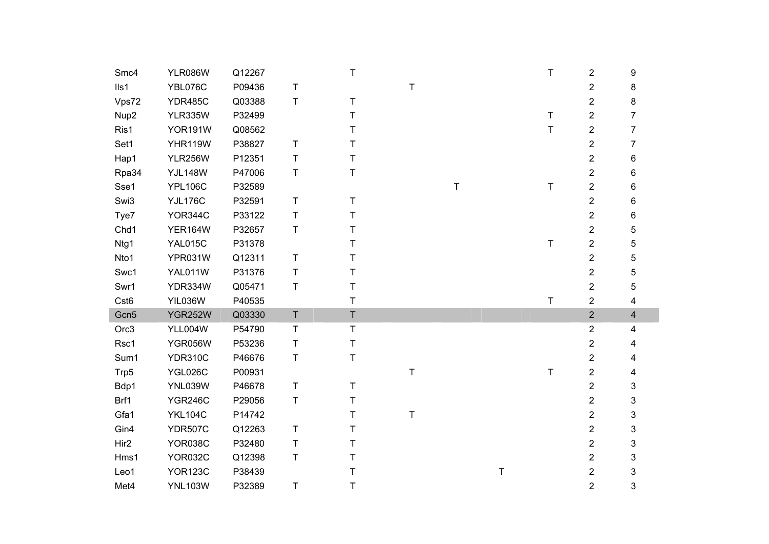| Smc4             | <b>YLR086W</b> | Q12267 |              | $\mathsf T$ |   |             |   | $\mathsf T$ | 2                       | 9              |
|------------------|----------------|--------|--------------|-------------|---|-------------|---|-------------|-------------------------|----------------|
| Ils1             | YBL076C        | P09436 | T            |             | T |             |   |             | 2                       | 8              |
| Vps72            | <b>YDR485C</b> | Q03388 | $\mathsf T$  | Τ           |   |             |   |             | $\overline{2}$          | 8              |
| Nup2             | <b>YLR335W</b> | P32499 |              | Τ           |   |             |   | T           | 2                       | 7              |
| Ris1             | <b>YOR191W</b> | Q08562 |              | Т           |   |             |   | $\top$      | $\overline{\mathbf{c}}$ | 7              |
| Set1             | <b>YHR119W</b> | P38827 | Τ            | Τ           |   |             |   |             | 2                       | 7              |
| Hap1             | <b>YLR256W</b> | P12351 | $\top$       | $\sf T$     |   |             |   |             | $\overline{2}$          | 6              |
| Rpa34            | <b>YJL148W</b> | P47006 | $\top$       | $\sf T$     |   |             |   |             | 2                       | 6              |
| Sse1             | <b>YPL106C</b> | P32589 |              |             |   | $\mathsf T$ |   | $\sf T$     | $\overline{c}$          | 6              |
| Swi3             | <b>YJL176C</b> | P32591 | $\mathsf{T}$ | $\top$      |   |             |   |             | $\overline{2}$          | 6              |
| Tye7             | <b>YOR344C</b> | P33122 | $\top$       | Τ           |   |             |   |             | $\overline{\mathbf{c}}$ | 6              |
| Chd1             | <b>YER164W</b> | P32657 | $\mathsf T$  | Τ           |   |             |   |             | $\overline{2}$          | 5              |
| Ntg1             | YAL015C        | P31378 |              | Τ           |   |             |   | $\sf T$     | $\overline{2}$          | 5              |
| Nto1             | YPR031W        | Q12311 | $\mathsf T$  | T           |   |             |   |             | $\overline{\mathbf{c}}$ | 5              |
| Swc1             | YAL011W        | P31376 | $\mathsf T$  | Τ           |   |             |   |             | $\overline{\mathbf{c}}$ | 5              |
| Swr1             | YDR334W        | Q05471 | $\mathsf T$  | T           |   |             |   |             | 2                       | 5              |
| Cst <sub>6</sub> | YIL036W        | P40535 |              | $\mathsf T$ |   |             |   | $\sf T$     | $\overline{\mathbf{c}}$ | 4              |
| Gcn <sub>5</sub> | <b>YGR252W</b> | Q03330 | $\mathsf T$  | $\mathsf T$ |   |             |   |             | $\overline{2}$          | $\overline{4}$ |
| Orc <sub>3</sub> | YLL004W        | P54790 | $\mathsf T$  | $\mathsf T$ |   |             |   |             | $\overline{\mathbf{c}}$ | 4              |
| Rsc1             | <b>YGR056W</b> | P53236 | $\mathsf T$  | $\top$      |   |             |   |             | 2                       | 4              |
| Sum1             | <b>YDR310C</b> | P46676 | T            | $\top$      |   |             |   |             | $\overline{2}$          | 4              |
| Trp5             | YGL026C        | P00931 |              |             | Τ |             |   | $\sf T$     | 2                       | 4              |
| Bdp1             | <b>YNL039W</b> | P46678 | $\mathsf T$  | $\mathsf T$ |   |             |   |             | $\overline{\mathbf{c}}$ | 3              |
| Brf1             | <b>YGR246C</b> | P29056 | T            | T           |   |             |   |             | 2                       | 3              |
| Gfa1             | <b>YKL104C</b> | P14742 |              | Τ           | T |             |   |             | $\overline{2}$          | 3              |
| Gin4             | <b>YDR507C</b> | Q12263 | T            | Τ           |   |             |   |             | 2                       | 3              |
| Hir <sub>2</sub> | <b>YOR038C</b> | P32480 | $\top$       | Τ           |   |             |   |             | $\overline{2}$          | 3              |
| Hms1             | <b>YOR032C</b> | Q12398 | T            | Τ           |   |             |   |             | 2                       | 3              |
| Leo1             | <b>YOR123C</b> | P38439 |              | Τ           |   |             | Τ |             | $\overline{\mathbf{c}}$ | 3              |
| Met4             | <b>YNL103W</b> | P32389 | T            | T           |   |             |   |             | $\overline{2}$          | 3              |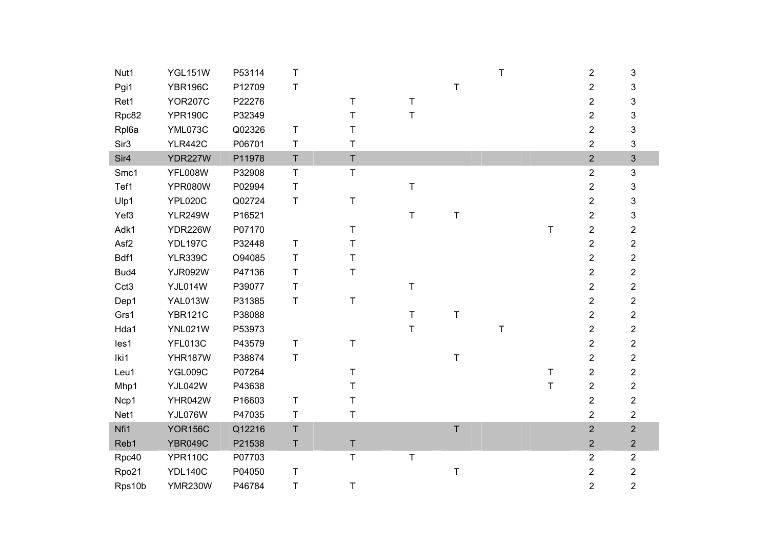| Nut1             | <b>YGL151W</b> | P53114 | T.           |              |             |             | T |             | $\overline{2}$          | 3                       |
|------------------|----------------|--------|--------------|--------------|-------------|-------------|---|-------------|-------------------------|-------------------------|
| Pgi1             | <b>YBR196C</b> | P12709 | $\mathsf T$  |              |             | $\top$      |   |             | $\overline{c}$          | 3                       |
| Ret1             | <b>YOR207C</b> | P22276 |              | $\mathsf T$  | $\sf T$     |             |   |             | $\overline{2}$          | 3                       |
| Rpc82            | <b>YPR190C</b> | P32349 |              | $\mathsf{T}$ | $\top$      |             |   |             | $\overline{2}$          | 3                       |
| Rpl6a            | YML073C        | Q02326 | $\mathsf T$  | т            |             |             |   |             | $\overline{2}$          | 3                       |
| Sir <sub>3</sub> | <b>YLR442C</b> | P06701 | $\mathsf T$  | T            |             |             |   |             | $\overline{2}$          | 3                       |
| Sir <sub>4</sub> | <b>YDR227W</b> | P11978 | $\mathsf T$  | $\top$       |             |             |   |             | $\overline{2}$          | 3                       |
| Smc1             | YFL008W        | P32908 | $\mathsf T$  | $\mathsf T$  |             |             |   |             | $\overline{2}$          | 3                       |
| Tef1             | <b>YPR080W</b> | P02994 | $\top$       |              | $\top$      |             |   |             | $\overline{2}$          | 3                       |
| Ulp1             | <b>YPL020C</b> | Q02724 | $\top$       | $\sf T$      |             |             |   |             | $\overline{c}$          | 3                       |
| Yef3             | <b>YLR249W</b> | P16521 |              |              | $\top$      | $\top$      |   |             | $\overline{2}$          | 3                       |
| Adk1             | <b>YDR226W</b> | P07170 |              | $\top$       |             |             |   | $\top$      | $\overline{c}$          | $\overline{\mathbf{c}}$ |
| Asf2             | <b>YDL197C</b> | P32448 | $\top$       | T            |             |             |   |             | $\overline{2}$          | $\overline{c}$          |
| Bdf1             | <b>YLR339C</b> | O94085 | $\mathsf T$  | $\sf T$      |             |             |   |             | $\overline{c}$          | $\overline{2}$          |
| Bud4             | <b>YJR092W</b> | P47136 | $\mathsf T$  | $\top$       |             |             |   |             | $\overline{2}$          | $\overline{c}$          |
| Cct <sub>3</sub> | YJL014W        | P39077 | $\sf T$      |              | $\sf T$     |             |   |             | $\overline{\mathbf{c}}$ | $\overline{c}$          |
| Dep1             | YAL013W        | P31385 | $\mathsf T$  | $\top$       |             |             |   |             | $\overline{2}$          | $\overline{c}$          |
| Grs1             | <b>YBR121C</b> | P38088 |              |              | $\sf T$     | $\sf T$     |   |             | $\overline{c}$          | $\overline{\mathbf{c}}$ |
| Hda1             | YNL021W        | P53973 |              |              | $\mathsf T$ |             | T |             | $\overline{c}$          | $\overline{2}$          |
| les1             | YFL013C        | P43579 | $\sf T$      | $\mathsf T$  |             |             |   |             | $\overline{\mathbf{c}}$ | $\overline{2}$          |
| Iki1             | YHR187W        | P38874 | $\top$       |              |             | $\top$      |   |             | $\overline{2}$          | $\overline{\mathbf{c}}$ |
| Leu1             | YGL009C        | P07264 |              | $\mathsf T$  |             |             |   | $\mathsf T$ | $\overline{2}$          | $\overline{\mathbf{c}}$ |
| Mhp1             | YJL042W        | P43638 |              | T            |             |             |   | $\top$      | $\overline{\mathbf{c}}$ | $\overline{2}$          |
| Ncp1             | YHR042W        | P16603 | $\mathsf T$  | T            |             |             |   |             | $\overline{2}$          | 2                       |
| Net1             | YJL076W        | P47035 | T            | $\sf T$      |             |             |   |             | $\overline{2}$          | $\overline{2}$          |
| Nfi1             | <b>YOR156C</b> | Q12216 | $\mathsf{T}$ |              |             | $\mathsf T$ |   |             | $\overline{2}$          | $\overline{2}$          |
| Reb1             | <b>YBR049C</b> | P21538 | $\sf T$      | $\sf T$      |             |             |   |             | $\overline{2}$          | $\overline{2}$          |
| Rpc40            | <b>YPR110C</b> | P07703 |              | $\top$       | $\top$      |             |   |             | $\overline{2}$          | $\overline{2}$          |
| Rpo21            | <b>YDL140C</b> | P04050 | $\sf T$      |              |             | $\sf T$     |   |             | $\overline{c}$          | $\overline{2}$          |
| Rps10b           | <b>YMR230W</b> | P46784 | $\top$       | T            |             |             |   |             | $\overline{2}$          | $\overline{2}$          |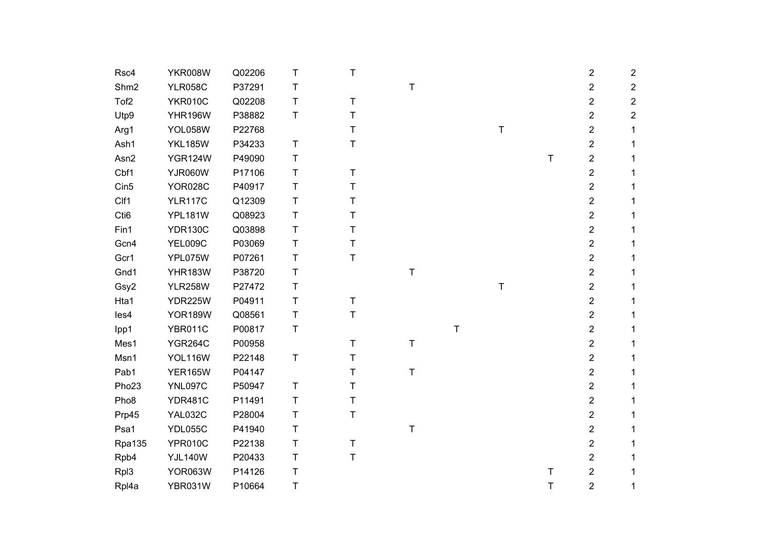| Rsc4              | <b>YKR008W</b> | Q02206 | $\sf T$      | $\sf T$      |   |   |         |             | $\overline{2}$          | $\overline{2}$ |
|-------------------|----------------|--------|--------------|--------------|---|---|---------|-------------|-------------------------|----------------|
| Shm2              | <b>YLR058C</b> | P37291 | $\mathsf T$  |              | T |   |         |             | $\overline{2}$          | 2              |
| Tof <sub>2</sub>  | <b>YKR010C</b> | Q02208 | $\sf T$      | Τ            |   |   |         |             | 2                       | $\overline{2}$ |
| Utp9              | <b>YHR196W</b> | P38882 | $\mathsf{T}$ | T            |   |   |         |             | $\overline{2}$          | $\overline{2}$ |
| Arg1              | <b>YOL058W</b> | P22768 |              | T            |   |   | $\sf T$ |             | $\overline{2}$          |                |
| Ash1              | <b>YKL185W</b> | P34233 | T            | T            |   |   |         |             | $\overline{\mathbf{c}}$ |                |
| Asn <sub>2</sub>  | <b>YGR124W</b> | P49090 | $\sf T$      |              |   |   |         | $\top$      | $\overline{2}$          |                |
| Cbf1              | <b>YJR060W</b> | P17106 | $\top$       | $\mathsf T$  |   |   |         |             | $\overline{\mathbf{c}}$ |                |
| Cin5              | <b>YOR028C</b> | P40917 | $\mathsf{T}$ | Τ            |   |   |         |             | $\overline{2}$          |                |
| Clf1              | <b>YLR117C</b> | Q12309 | $\sf T$      | T            |   |   |         |             | $\overline{\mathbf{c}}$ |                |
| Cti6              | <b>YPL181W</b> | Q08923 | $\mathsf{T}$ | T            |   |   |         |             | $\overline{2}$          |                |
| Fin1              | <b>YDR130C</b> | Q03898 | $\top$       | T            |   |   |         |             | $\overline{\mathbf{c}}$ |                |
| Gcn4              | YEL009C        | P03069 | $\sf T$      | Τ            |   |   |         |             | 2                       |                |
| Gcr1              | YPL075W        | P07261 | $\mathsf T$  | $\top$       |   |   |         |             | $\overline{c}$          |                |
| Gnd1              | <b>YHR183W</b> | P38720 | $\sf T$      |              | Τ |   |         |             | $\overline{\mathbf{c}}$ |                |
| Gsy2              | <b>YLR258W</b> | P27472 | $\mathsf T$  |              |   |   | Τ       |             | $\overline{2}$          |                |
| Hta1              | <b>YDR225W</b> | P04911 | $\sf T$      | $\sf T$      |   |   |         |             | $\overline{2}$          |                |
| les4              | <b>YOR189W</b> | Q08561 | $\top$       | $\top$       |   |   |         |             | $\overline{2}$          |                |
| Ipp1              | <b>YBR011C</b> | P00817 | $\sf T$      |              |   | T |         |             | 2                       |                |
| Mes1              | <b>YGR264C</b> | P00958 |              | $\mathsf{T}$ | Τ |   |         |             | $\overline{\mathbf{c}}$ |                |
| Msn1              | <b>YOL116W</b> | P22148 | $\top$       | T            |   |   |         |             | $\overline{2}$          |                |
| Pab1              | <b>YER165W</b> | P04147 |              | T            | T |   |         |             | $\overline{\mathbf{c}}$ |                |
| Pho <sub>23</sub> | <b>YNL097C</b> | P50947 | $\mathsf T$  | T            |   |   |         |             | $\overline{2}$          |                |
| Pho <sub>8</sub>  | <b>YDR481C</b> | P11491 | $\top$       | T            |   |   |         |             | $\overline{2}$          |                |
| Prp45             | <b>YAL032C</b> | P28004 | $\mathsf T$  | T            |   |   |         |             | $\overline{2}$          |                |
| Psa1              | YDL055C        | P41940 | $\top$       |              | Τ |   |         |             | $\overline{2}$          |                |
| Rpa135            | <b>YPR010C</b> | P22138 | $\mathsf T$  | T            |   |   |         |             | $\overline{2}$          |                |
| Rpb4              | <b>YJL140W</b> | P20433 | $\top$       | $\sf T$      |   |   |         |             | $\overline{2}$          |                |
| Rpl3              | <b>YOR063W</b> | P14126 | $\sf T$      |              |   |   |         | Τ           | 2                       |                |
| Rpl4a             | <b>YBR031W</b> | P10664 | $\top$       |              |   |   |         | $\mathsf T$ | $\overline{2}$          | 1              |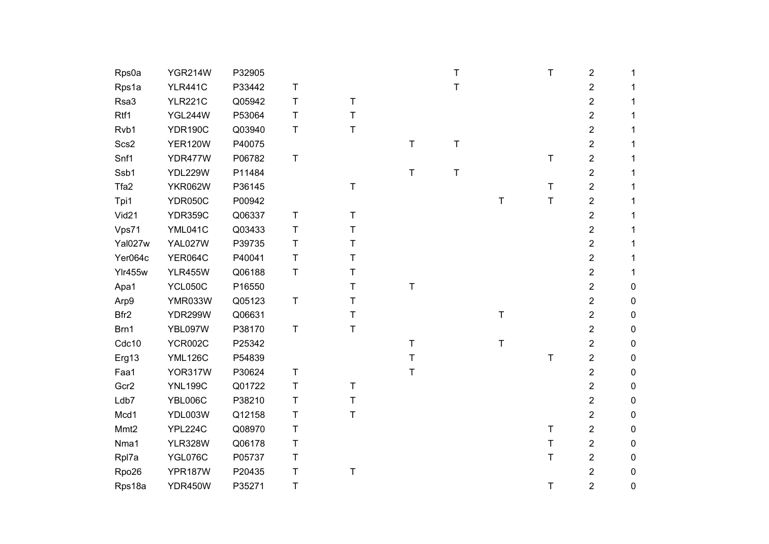| Rps0a   | <b>YGR214W</b> | P32905 |              |             |         | T       |             | $\sf T$     | $\mathbf{2}$   |    |
|---------|----------------|--------|--------------|-------------|---------|---------|-------------|-------------|----------------|----|
| Rps1a   | <b>YLR441C</b> | P33442 | $\top$       |             |         | $\sf T$ |             |             | $\overline{2}$ |    |
| Rsa3    | <b>YLR221C</b> | Q05942 | $\sf T$      | $\mathsf T$ |         |         |             |             | $\overline{2}$ |    |
| Rtf1    | YGL244W        | P53064 | $\sf T$      | $\mathsf T$ |         |         |             |             | $\overline{2}$ | 1. |
| Rvb1    | <b>YDR190C</b> | Q03940 | $\mathsf T$  | $\top$      |         |         |             |             | $\overline{2}$ |    |
| Scs2    | <b>YER120W</b> | P40075 |              |             | Τ       | T       |             |             | $\overline{2}$ |    |
| Snf1    | YDR477W        | P06782 | $\top$       |             |         |         |             | $\top$      | $\overline{2}$ | 1  |
| Ssb1    | <b>YDL229W</b> | P11484 |              |             | $\sf T$ | $\sf T$ |             |             | $\overline{c}$ | 1. |
| Tfa2    | <b>YKR062W</b> | P36145 |              | $\mathsf T$ |         |         |             | $\top$      | $\overline{2}$ | 1  |
| Tpi1    | <b>YDR050C</b> | P00942 |              |             |         |         | $\top$      | $\top$      | $\overline{2}$ | 1  |
| Vid21   | <b>YDR359C</b> | Q06337 | $\mathsf T$  | $\mathsf T$ |         |         |             |             | $\overline{2}$ | 1  |
| Vps71   | YML041C        | Q03433 | $\mathsf{T}$ | Τ           |         |         |             |             | $\overline{2}$ | 1. |
| Yal027w | YAL027W        | P39735 | $\sf T$      | Т           |         |         |             |             | $\overline{2}$ | 1  |
| Yer064c | <b>YER064C</b> | P40041 | $\mathsf T$  | T           |         |         |             |             | $\overline{2}$ | 1. |
| Ylr455w | <b>YLR455W</b> | Q06188 | $\sf T$      | Τ           |         |         |             |             | $\overline{2}$ | 1  |
| Apa1    | <b>YCL050C</b> | P16550 |              | T           | T       |         |             |             | $\overline{2}$ | 0  |
| Arp9    | YMR033W        | Q05123 | T            | Τ           |         |         |             |             | $\overline{2}$ | 0  |
| Bfr2    | <b>YDR299W</b> | Q06631 |              | $\sf T$     |         |         | $\top$      |             | $\overline{2}$ | 0  |
| Brn1    | YBL097W        | P38170 | $\sf T$      | T           |         |         |             |             | $\overline{2}$ | 0  |
| Cdc10   | <b>YCR002C</b> | P25342 |              |             | T       |         | $\mathsf T$ |             | $\overline{2}$ | 0  |
| Erg13   | <b>YML126C</b> | P54839 |              |             | $\sf T$ |         |             | $\top$      | $\overline{2}$ | 0  |
| Faa1    | YOR317W        | P30624 | $\mathsf T$  |             | T       |         |             |             | $\overline{2}$ | 0  |
| Gcr2    | <b>YNL199C</b> | Q01722 | $\top$       | T           |         |         |             |             | $\overline{2}$ | 0  |
| Ldb7    | <b>YBL006C</b> | P38210 | $\top$       | $\mathsf T$ |         |         |             |             | $\overline{2}$ | 0  |
| Mcd1    | YDL003W        | Q12158 | $\top$       | Τ           |         |         |             |             | $\overline{2}$ | 0  |
| Mmt2    | YPL224C        | Q08970 | $\mathsf T$  |             |         |         |             | $\mathsf T$ | $\overline{2}$ | 0  |
| Nma1    | <b>YLR328W</b> | Q06178 | $\sf T$      |             |         |         |             | $\top$      | $\overline{2}$ | 0  |
| Rpl7a   | YGL076C        | P05737 | $\mathsf T$  |             |         |         |             | T           | $\overline{2}$ | 0  |
| Rpo26   | YPR187W        | P20435 | Τ            | T           |         |         |             |             | $\mathbf{2}$   | 0  |
| Rps18a  | <b>YDR450W</b> | P35271 | $\top$       |             |         |         |             | $\top$      | $\overline{2}$ | 0  |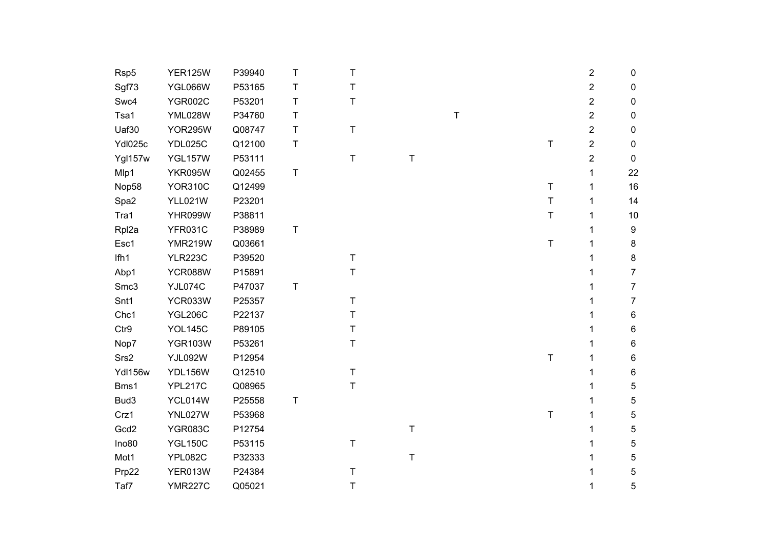| Rsp <sub>5</sub> | <b>YER125W</b> | P39940 | T           | $\sf T$     |         |   |        | $\overline{2}$          | $\pmb{0}$        |
|------------------|----------------|--------|-------------|-------------|---------|---|--------|-------------------------|------------------|
| Sgf73            | YGL066W        | P53165 | T           | Τ           |         |   |        | $\overline{c}$          | $\pmb{0}$        |
| Swc4             | <b>YGR002C</b> | P53201 | $\mathsf T$ | $\sf T$     |         |   |        | $\overline{\mathbf{c}}$ | 0                |
| Tsa1             | YML028W        | P34760 | $\sf T$     |             |         | Τ |        | $\overline{\mathbf{c}}$ | $\pmb{0}$        |
| Uaf30            | <b>YOR295W</b> | Q08747 | $\sf T$     | $\sf T$     |         |   |        | $\overline{\mathbf{c}}$ | $\mathbf 0$      |
| YdI025c          | YDL025C        | Q12100 | $\sf T$     |             |         |   | T      | $\overline{\mathbf{c}}$ | $\pmb{0}$        |
| Ygl157w          | <b>YGL157W</b> | P53111 |             | $\mathsf T$ | Τ       |   |        | 2                       | $\pmb{0}$        |
| Mlp1             | <b>YKR095W</b> | Q02455 | $\mathsf T$ |             |         |   |        | 1                       | 22               |
| Nop58            | <b>YOR310C</b> | Q12499 |             |             |         |   | T      | 1                       | 16               |
| Spa2             | <b>YLL021W</b> | P23201 |             |             |         |   | $\top$ | 1                       | 14               |
| Tra1             | YHR099W        | P38811 |             |             |         |   | T      | 1                       | $10$             |
| Rpl2a            | <b>YFR031C</b> | P38989 | $\sf T$     |             |         |   |        | 1                       | $\boldsymbol{9}$ |
| Esc1             | <b>YMR219W</b> | Q03661 |             |             |         |   | T      |                         | 8                |
| Ifh1             | <b>YLR223C</b> | P39520 |             | $\sf T$     |         |   |        |                         | $\bf 8$          |
| Abp1             | <b>YCR088W</b> | P15891 |             | $\sf T$     |         |   |        |                         | 7                |
| Smc3             | YJL074C        | P47037 | $\mathsf T$ |             |         |   |        |                         | $\overline{7}$   |
| Snt1             | YCR033W        | P25357 |             | $\mathsf T$ |         |   |        |                         | 7                |
| Chc1             | <b>YGL206C</b> | P22137 |             | Т           |         |   |        |                         | 6                |
| Ctr9             | <b>YOL145C</b> | P89105 |             | Τ           |         |   |        |                         | 6                |
| Nop7             | <b>YGR103W</b> | P53261 |             | $\top$      |         |   |        |                         | 6                |
| Srs2             | YJL092W        | P12954 |             |             |         |   | T      |                         | 6                |
| Ydl156w          | <b>YDL156W</b> | Q12510 |             | $\sf T$     |         |   |        |                         | $\,6$            |
| Bms1             | YPL217C        | Q08965 |             | $\mathsf T$ |         |   |        |                         | 5                |
| Bud3             | YCL014W        | P25558 | $\sf T$     |             |         |   |        |                         | 5                |
| Crz1             | YNL027W        | P53968 |             |             |         |   | T      |                         | 5                |
| Gcd2             | <b>YGR083C</b> | P12754 |             |             | $\sf T$ |   |        |                         | 5                |
| Ino80            | <b>YGL150C</b> | P53115 |             | $\sf T$     |         |   |        |                         | 5                |
| Mot1             | <b>YPL082C</b> | P32333 |             |             | $\sf T$ |   |        |                         | 5                |
| Prp22            | YER013W        | P24384 |             | т           |         |   |        |                         | 5                |
| Taf7             | <b>YMR227C</b> | Q05021 |             | $\mathsf T$ |         |   |        |                         | 5                |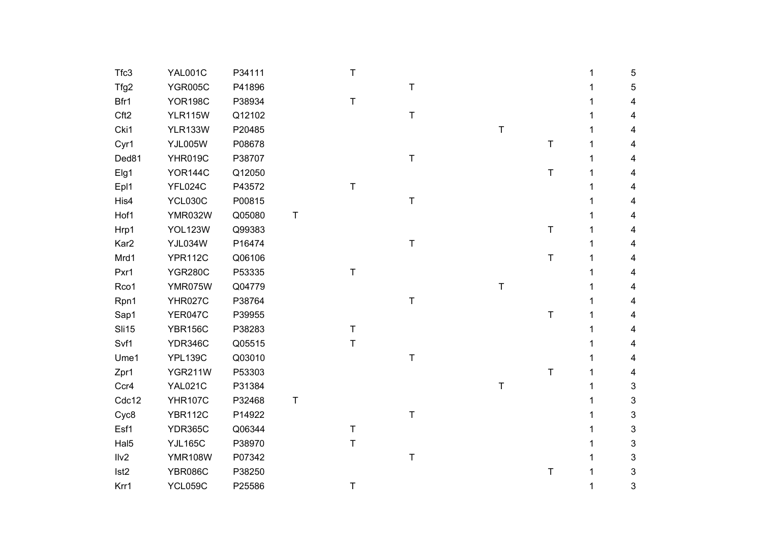| Tfc3             | <b>YAL001C</b> | P34111 |   | $\mathsf T$ |         |              |         | 1 | 5                         |
|------------------|----------------|--------|---|-------------|---------|--------------|---------|---|---------------------------|
| Tfg2             | <b>YGR005C</b> | P41896 |   |             | Τ       |              |         |   | 5                         |
| Bfr1             | <b>YOR198C</b> | P38934 |   | $\mathsf T$ |         |              |         |   | 4                         |
| Cft2             | <b>YLR115W</b> | Q12102 |   |             | T       |              |         |   | 4                         |
| Cki1             | <b>YLR133W</b> | P20485 |   |             |         | $\mathsf{T}$ |         |   | 4                         |
| Cyr1             | YJL005W        | P08678 |   |             |         |              | Τ       |   | 4                         |
| Ded81            | YHR019C        | P38707 |   |             | T       |              |         |   | 4                         |
| Elg1             | <b>YOR144C</b> | Q12050 |   |             |         |              | $\sf T$ |   | 4                         |
| Epl1             | YFL024C        | P43572 |   | $\sf T$     |         |              |         |   | 4                         |
| His4             | <b>YCL030C</b> | P00815 |   |             | T       |              |         |   | 4                         |
| Hof1             | YMR032W        | Q05080 | Τ |             |         |              |         |   | 4                         |
| Hrp1             | <b>YOL123W</b> | Q99383 |   |             |         |              | $\sf T$ |   | 4                         |
| Kar <sub>2</sub> | YJL034W        | P16474 |   |             | Τ       |              |         |   | 4                         |
| Mrd1             | <b>YPR112C</b> | Q06106 |   |             |         |              | $\sf T$ |   | 4                         |
| Pxr1             | <b>YGR280C</b> | P53335 |   | $\mathsf T$ |         |              |         |   | 4                         |
| Rco1             | YMR075W        | Q04779 |   |             |         | $\sf T$      |         |   | 4                         |
| Rpn1             | <b>YHR027C</b> | P38764 |   |             | T       |              |         |   | 4                         |
| Sap1             | YER047C        | P39955 |   |             |         |              | $\sf T$ |   | 4                         |
| <b>Sli15</b>     | <b>YBR156C</b> | P38283 |   | $\sf T$     |         |              |         |   | 4                         |
| Svf1             | <b>YDR346C</b> | Q05515 |   | $\top$      |         |              |         |   | 4                         |
| Ume1             | <b>YPL139C</b> | Q03010 |   |             | Τ       |              |         |   | 4                         |
| Zpr1             | <b>YGR211W</b> | P53303 |   |             |         |              | $\top$  |   | 4                         |
| Ccr4             | <b>YAL021C</b> | P31384 |   |             |         | т            |         |   | 3                         |
| Cdc12            | <b>YHR107C</b> | P32468 | Τ |             |         |              |         |   | 3                         |
| Cyc8             | <b>YBR112C</b> | P14922 |   |             | Τ       |              |         |   | 3                         |
| Esf1             | <b>YDR365C</b> | Q06344 |   | $\sf T$     |         |              |         |   | $\ensuremath{\mathsf{3}}$ |
| Hal5             | <b>YJL165C</b> | P38970 |   | $\top$      |         |              |         |   | 3                         |
| Ilv2             | <b>YMR108W</b> | P07342 |   |             | $\sf T$ |              |         |   | 3                         |
| Ist <sub>2</sub> | <b>YBR086C</b> | P38250 |   |             |         |              | $\sf T$ |   | 3                         |
| Krr1             | <b>YCL059C</b> | P25586 |   | T           |         |              |         |   | 3                         |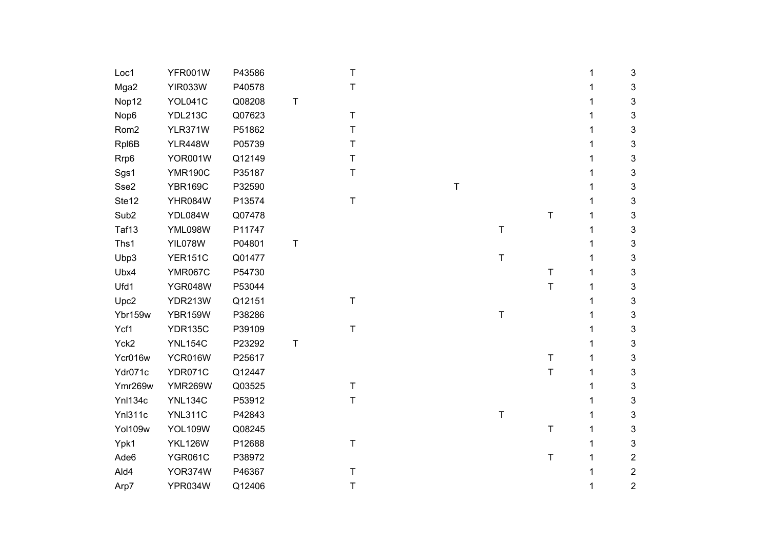| Loc1             | YFR001W        | P43586 |   | $\sf T$     |   |             |             | 1 | 3                       |
|------------------|----------------|--------|---|-------------|---|-------------|-------------|---|-------------------------|
| Mga2             | <b>YIR033W</b> | P40578 |   | Τ           |   |             |             |   | 3                       |
| Nop12            | YOL041C        | Q08208 | Τ |             |   |             |             |   | 3                       |
| Nop6             | <b>YDL213C</b> | Q07623 |   | $\mathsf T$ |   |             |             |   | 3                       |
| Rom <sub>2</sub> | YLR371W        | P51862 |   | Τ           |   |             |             |   | 3                       |
| RpI6B            | <b>YLR448W</b> | P05739 |   | Τ           |   |             |             |   | 3                       |
| Rrp6             | <b>YOR001W</b> | Q12149 |   | Т           |   |             |             |   | 3                       |
| Sgs1             | <b>YMR190C</b> | P35187 |   | $\top$      |   |             |             |   | 3                       |
| Sse2             | <b>YBR169C</b> | P32590 |   |             | T |             |             |   | 3                       |
| Ste12            | YHR084W        | P13574 |   | $\sf T$     |   |             |             |   | 3                       |
| Sub <sub>2</sub> | YDL084W        | Q07478 |   |             |   |             | Т           |   | 3                       |
| Taf13            | YML098W        | P11747 |   |             |   | T           |             |   | 3                       |
| Ths1             | <b>YIL078W</b> | P04801 | T |             |   |             |             |   | 3                       |
| Ubp3             | <b>YER151C</b> | Q01477 |   |             |   | Τ           |             |   | 3                       |
| Ubx4             | <b>YMR067C</b> | P54730 |   |             |   |             | $\mathsf T$ |   | 3                       |
| Ufd1             | <b>YGR048W</b> | P53044 |   |             |   |             | T           | 1 | 3                       |
| Upc2             | <b>YDR213W</b> | Q12151 |   | т           |   |             |             |   | 3                       |
| Ybr159w          | <b>YBR159W</b> | P38286 |   |             |   | $\mathsf T$ |             |   | 3                       |
| Ycf1             | <b>YDR135C</b> | P39109 |   | $\mathsf T$ |   |             |             |   | 3                       |
| Yck2             | <b>YNL154C</b> | P23292 | T |             |   |             |             |   | 3                       |
| Ycr016w          | <b>YCR016W</b> | P25617 |   |             |   |             | $\sf T$     |   | 3                       |
| Ydr071c          | YDR071C        | Q12447 |   |             |   |             | T           |   | 3                       |
| Ymr269w          | <b>YMR269W</b> | Q03525 |   | $\sf T$     |   |             |             |   | 3                       |
| Ynl134c          | <b>YNL134C</b> | P53912 |   | Τ           |   |             |             |   | 3                       |
| Ynl311c          | <b>YNL311C</b> | P42843 |   |             |   | $\mathsf T$ |             |   | 3                       |
| Yol109w          | <b>YOL109W</b> | Q08245 |   |             |   |             | $\sf T$     |   | 3                       |
| Ypk1             | <b>YKL126W</b> | P12688 |   | $\mathsf T$ |   |             |             |   | 3                       |
| Ade <sub>6</sub> | <b>YGR061C</b> | P38972 |   |             |   |             | T           |   | $\overline{\mathbf{c}}$ |
| Ald4             | YOR374W        | P46367 |   | Τ           |   |             |             |   | $\overline{2}$          |
| Arp7             | YPR034W        | Q12406 |   | Τ           |   |             |             |   | $\overline{2}$          |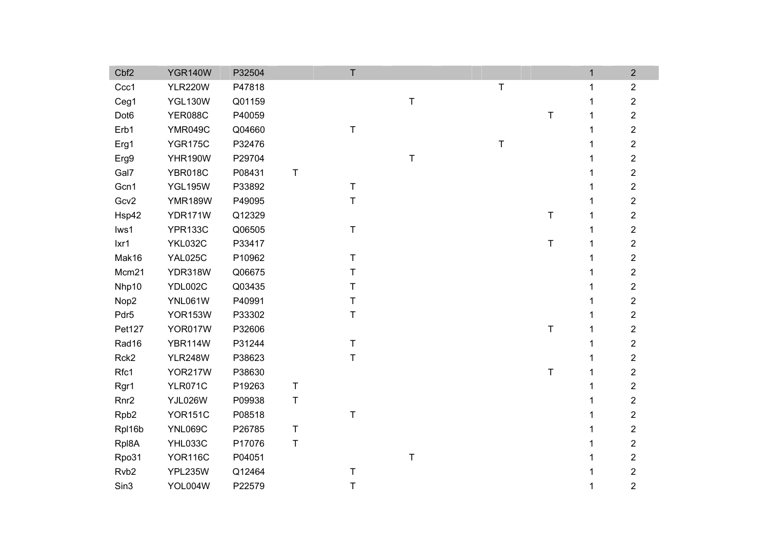| Cbf <sub>2</sub> | <b>YGR140W</b> | P32504 |             | T           |   |         |         | $\mathbf{1}$ | $\overline{2}$ |
|------------------|----------------|--------|-------------|-------------|---|---------|---------|--------------|----------------|
| Ccc1             | <b>YLR220W</b> | P47818 |             |             |   | $\sf T$ |         | 1            | $\overline{2}$ |
| Ceg1             | <b>YGL130W</b> | Q01159 |             |             | T |         |         | 1            | $\overline{c}$ |
| Dot <sub>6</sub> | <b>YER088C</b> | P40059 |             |             |   |         | T       | 1            | $\overline{2}$ |
| Erb1             | YMR049C        | Q04660 |             | $\top$      |   |         |         | 1            | $\overline{2}$ |
| Erg1             | <b>YGR175C</b> | P32476 |             |             |   | $\sf T$ |         | 1            | $\overline{2}$ |
| Erg9             | <b>YHR190W</b> | P29704 |             |             | T |         |         | 1            | $\overline{2}$ |
| Gal7             | <b>YBR018C</b> | P08431 | $\top$      |             |   |         |         |              | $\overline{2}$ |
| Gcn1             | <b>YGL195W</b> | P33892 |             | Τ           |   |         |         |              | $\overline{2}$ |
| Gcv2             | <b>YMR189W</b> | P49095 |             | T           |   |         |         |              | $\overline{2}$ |
| Hsp42            | YDR171W        | Q12329 |             |             |   |         | $\sf T$ | 1            | $\overline{c}$ |
| lws1             | <b>YPR133C</b> | Q06505 |             | $\mathsf T$ |   |         |         | 1            | $\overline{2}$ |
| Ixr1             | <b>YKL032C</b> | P33417 |             |             |   |         | Τ       | 1            | $\overline{2}$ |
| Mak16            | <b>YAL025C</b> | P10962 |             | T           |   |         |         | 1            | $\overline{2}$ |
| Mcm21            | <b>YDR318W</b> | Q06675 |             | Τ           |   |         |         | 1            | $\overline{2}$ |
| Nhp10            | YDL002C        | Q03435 |             | T           |   |         |         | 1            | $\overline{2}$ |
| Nop2             | <b>YNL061W</b> | P40991 |             | T           |   |         |         | 1            | $\overline{2}$ |
| Pdr <sub>5</sub> | <b>YOR153W</b> | P33302 |             | T           |   |         |         | 1            | $\overline{2}$ |
| Pet127           | YOR017W        | P32606 |             |             |   |         | Τ       | 1            | $\overline{2}$ |
| Rad16            | <b>YBR114W</b> | P31244 |             | $\mathsf T$ |   |         |         | 1            | $\overline{2}$ |
| Rck2             | <b>YLR248W</b> | P38623 |             | T           |   |         |         | 1            | $\overline{2}$ |
| Rfc1             | <b>YOR217W</b> | P38630 |             |             |   |         | $\top$  | 1            | $\overline{2}$ |
| Rgr1             | <b>YLR071C</b> | P19263 | $\top$      |             |   |         |         | 1            | $\overline{2}$ |
| Rnr <sub>2</sub> | YJL026W        | P09938 | $\mathsf T$ |             |   |         |         | 1            | $\overline{2}$ |
| Rpb <sub>2</sub> | <b>YOR151C</b> | P08518 |             | $\sf T$     |   |         |         |              | $\overline{2}$ |
| RpI16b           | <b>YNL069C</b> | P26785 | $\top$      |             |   |         |         | 1            | $\overline{2}$ |
| RpI8A            | YHL033C        | P17076 | $\top$      |             |   |         |         |              | $\overline{2}$ |
| Rpo31            | <b>YOR116C</b> | P04051 |             |             | T |         |         | 1            | $\overline{2}$ |
| Rvb <sub>2</sub> | YPL235W        | Q12464 |             | Τ           |   |         |         |              | $\overline{c}$ |
| Sin3             | YOL004W        | P22579 |             | T           |   |         |         | 1            | $\overline{2}$ |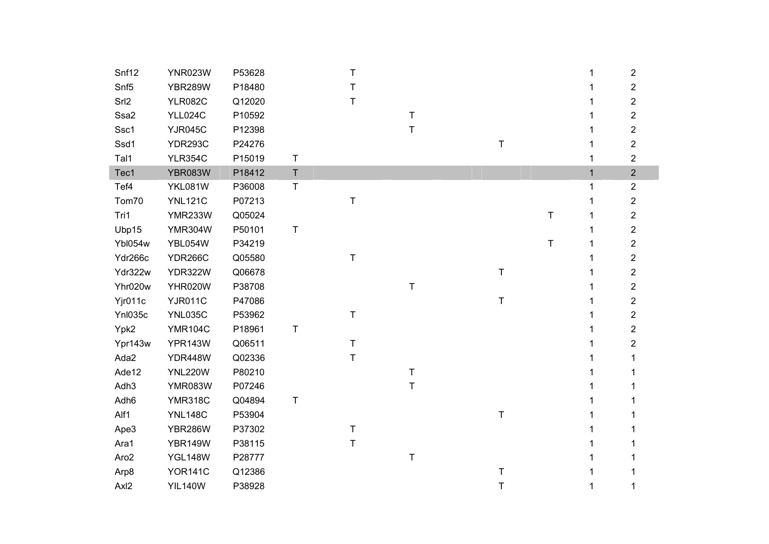| Snf12            | <b>YNR023W</b> | P53628 |             | т           |             |             |         | 1            | $\overline{2}$ |
|------------------|----------------|--------|-------------|-------------|-------------|-------------|---------|--------------|----------------|
| Snf <sub>5</sub> | <b>YBR289W</b> | P18480 |             | т           |             |             |         |              | $\mathbf{2}$   |
| Srl <sub>2</sub> | <b>YLR082C</b> | Q12020 |             | T.          |             |             |         |              | $\overline{2}$ |
| Ssa2             | <b>YLL024C</b> | P10592 |             |             | $\mathsf T$ |             |         |              | $\overline{2}$ |
| Ssc1             | <b>YJR045C</b> | P12398 |             |             | $\mathsf T$ |             |         |              | $\overline{2}$ |
| Ssd1             | <b>YDR293C</b> | P24276 |             |             |             | $\sf T$     |         |              | $\overline{c}$ |
| Tal1             | <b>YLR354C</b> | P15019 | T           |             |             |             |         |              | $\overline{2}$ |
| Tec1             | <b>YBR083W</b> | P18412 | $\mathsf T$ |             |             |             |         | $\mathbf{1}$ | $\overline{2}$ |
| Tef4             | YKL081W        | P36008 | T           |             |             |             |         | 1            | $\overline{c}$ |
| Tom70            | <b>YNL121C</b> | P07213 |             | $\mathsf T$ |             |             |         |              | $\overline{2}$ |
| Tri1             | <b>YMR233W</b> | Q05024 |             |             |             |             | Τ       | 1            | $\overline{c}$ |
| Ubp15            | <b>YMR304W</b> | P50101 | $\top$      |             |             |             |         |              | $\overline{2}$ |
| Ybl054w          | YBL054W        | P34219 |             |             |             |             | $\sf T$ |              | $\overline{c}$ |
| Ydr266c          | <b>YDR266C</b> | Q05580 |             | $\mathsf T$ |             |             |         |              | $\overline{2}$ |
| Ydr322w          | <b>YDR322W</b> | Q06678 |             |             |             | $\mathsf T$ |         |              | $\overline{2}$ |
| Yhr020w          | <b>YHR020W</b> | P38708 |             |             | $\top$      |             |         |              | $\overline{2}$ |
| Yjr011c          | <b>YJR011C</b> | P47086 |             |             |             | $\sf T$     |         |              | $\overline{c}$ |
| Ynl035c          | <b>YNL035C</b> | P53962 |             | $\mathsf T$ |             |             |         |              | $\overline{2}$ |
| Ypk2             | <b>YMR104C</b> | P18961 | Τ           |             |             |             |         |              | $\overline{2}$ |
| Ypr143w          | <b>YPR143W</b> | Q06511 |             | $\sf T$     |             |             |         |              | $\overline{2}$ |
| Ada2             | <b>YDR448W</b> | Q02336 |             | $\mathsf T$ |             |             |         |              |                |
| Ade12            | <b>YNL220W</b> | P80210 |             |             | $\top$      |             |         |              |                |
| Adh <sub>3</sub> | <b>YMR083W</b> | P07246 |             |             | $\mathsf T$ |             |         |              |                |
| Adh <sub>6</sub> | <b>YMR318C</b> | Q04894 | $\top$      |             |             |             |         |              |                |
| Alf1             | <b>YNL148C</b> | P53904 |             |             |             | $\sf T$     |         |              |                |
| Ape3             | <b>YBR286W</b> | P37302 |             | T           |             |             |         |              |                |
| Ara1             | <b>YBR149W</b> | P38115 |             | T.          |             |             |         |              |                |
| Aro <sub>2</sub> | <b>YGL148W</b> | P28777 |             |             | $\top$      |             |         |              |                |
| Arp8             | <b>YOR141C</b> | Q12386 |             |             |             | Τ           |         |              |                |
| Axl2             | <b>YIL140W</b> | P38928 |             |             |             | T           |         |              |                |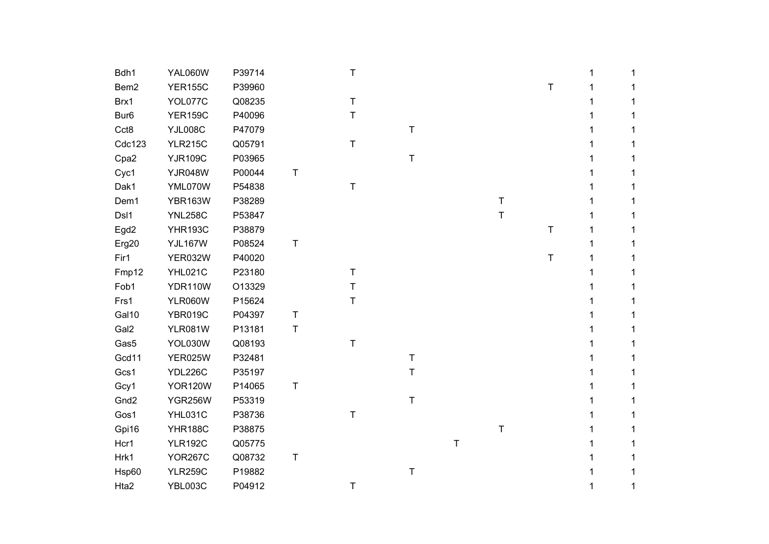| Bdh1             | YAL060W        | P39714 |             | $\mathsf T$  |         |   |             |         | 1 |   |
|------------------|----------------|--------|-------------|--------------|---------|---|-------------|---------|---|---|
| Bem2             | <b>YER155C</b> | P39960 |             |              |         |   |             | $\sf T$ |   |   |
| Brx1             | YOL077C        | Q08235 |             | $\mathsf{T}$ |         |   |             |         |   |   |
| Bur <sub>6</sub> | <b>YER159C</b> | P40096 |             | $\top$       |         |   |             |         |   |   |
| Cct8             | <b>YJL008C</b> | P47079 |             |              | T       |   |             |         |   | 1 |
| Cdc123           | <b>YLR215C</b> | Q05791 |             | $\mathsf{T}$ |         |   |             |         |   |   |
| Cpa <sub>2</sub> | <b>YJR109C</b> | P03965 |             |              | Τ       |   |             |         |   |   |
| Cyc1             | <b>YJR048W</b> | P00044 | T           |              |         |   |             |         |   |   |
| Dak1             | YML070W        | P54838 |             | т            |         |   |             |         |   |   |
| Dem1             | <b>YBR163W</b> | P38289 |             |              |         |   | $\top$      |         |   |   |
| Dsl1             | <b>YNL258C</b> | P53847 |             |              |         |   | $\mathsf T$ |         |   |   |
| Egd2             | <b>YHR193C</b> | P38879 |             |              |         |   |             | $\top$  | 1 |   |
| Erg20            | <b>YJL167W</b> | P08524 | T           |              |         |   |             |         | 1 |   |
| Fir1             | <b>YER032W</b> | P40020 |             |              |         |   |             | $\top$  |   |   |
| Fmp12            | <b>YHL021C</b> | P23180 |             | т            |         |   |             |         |   |   |
| Fob1             | <b>YDR110W</b> | O13329 |             | Τ            |         |   |             |         |   |   |
| Frs1             | <b>YLR060W</b> | P15624 |             | Τ            |         |   |             |         |   |   |
| Gal10            | YBR019C        | P04397 | $\mathsf T$ |              |         |   |             |         |   |   |
| Gal2             | <b>YLR081W</b> | P13181 | $\mathsf T$ |              |         |   |             |         |   |   |
| Gas5             | YOL030W        | Q08193 |             | $\sf T$      |         |   |             |         |   |   |
| Gcd11            | YER025W        | P32481 |             |              | T       |   |             |         |   |   |
| Gcs1             | YDL226C        | P35197 |             |              | $\sf T$ |   |             |         |   |   |
| Gcy1             | <b>YOR120W</b> | P14065 | Τ           |              |         |   |             |         |   |   |
| Gnd2             | YGR256W        | P53319 |             |              | Τ       |   |             |         |   |   |
| Gos1             | YHL031C        | P38736 |             | $\mathsf T$  |         |   |             |         |   |   |
| Gpi16            | <b>YHR188C</b> | P38875 |             |              |         |   | $\top$      |         |   |   |
| Hcr1             | <b>YLR192C</b> | Q05775 |             |              |         | T |             |         |   |   |
| Hrk1             | <b>YOR267C</b> | Q08732 | T           |              |         |   |             |         |   |   |
| Hsp60            | <b>YLR259C</b> | P19882 |             |              | $\sf T$ |   |             |         |   |   |
| Hta2             | YBL003C        | P04912 |             | т            |         |   |             |         |   |   |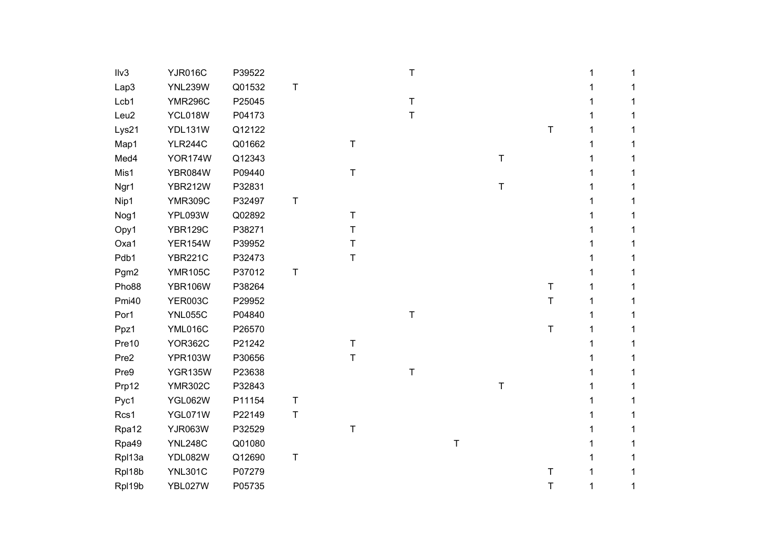| IIv3             | <b>YJR016C</b> | P39522 |             |         | Τ       |         |             |             | 1 |   |
|------------------|----------------|--------|-------------|---------|---------|---------|-------------|-------------|---|---|
| Lap3             | <b>YNL239W</b> | Q01532 | $\mathsf T$ |         |         |         |             |             |   |   |
| Lcb1             | <b>YMR296C</b> | P25045 |             |         | Τ       |         |             |             |   |   |
| Leu <sub>2</sub> | YCL018W        | P04173 |             |         | $\sf T$ |         |             |             |   |   |
| Lys21            | YDL131W        | Q12122 |             |         |         |         |             | $\sf T$     |   |   |
| Map1             | <b>YLR244C</b> | Q01662 |             | Τ       |         |         |             |             |   |   |
| Med4             | YOR174W        | Q12343 |             |         |         |         | $\mathsf T$ |             |   |   |
| Mis1             | YBR084W        | P09440 |             | $\sf T$ |         |         |             |             |   | 1 |
| Ngr1             | <b>YBR212W</b> | P32831 |             |         |         |         | Τ           |             |   |   |
| Nip1             | <b>YMR309C</b> | P32497 | $\mathsf T$ |         |         |         |             |             |   |   |
| Nog1             | YPL093W        | Q02892 |             | Т       |         |         |             |             |   |   |
| Opy1             | <b>YBR129C</b> | P38271 |             | T       |         |         |             |             |   | 1 |
| Oxa1             | <b>YER154W</b> | P39952 |             | Т       |         |         |             |             |   |   |
| Pdb1             | <b>YBR221C</b> | P32473 |             | T       |         |         |             |             |   |   |
| Pgm2             | <b>YMR105C</b> | P37012 | T           |         |         |         |             |             |   |   |
| Pho88            | <b>YBR106W</b> | P38264 |             |         |         |         |             | T           |   |   |
| Pmi40            | YER003C        | P29952 |             |         |         |         |             | $\sf T$     |   |   |
| Por1             | <b>YNL055C</b> | P04840 |             |         | Τ       |         |             |             |   |   |
| Ppz1             | YML016C        | P26570 |             |         |         |         |             | $\top$      |   |   |
| Pre10            | <b>YOR362C</b> | P21242 |             | T       |         |         |             |             |   | 1 |
| Pre2             | <b>YPR103W</b> | P30656 |             | T       |         |         |             |             |   |   |
| Pre9             | <b>YGR135W</b> | P23638 |             |         | T       |         |             |             |   |   |
| Prp12            | <b>YMR302C</b> | P32843 |             |         |         |         | Τ           |             |   |   |
| Pyc1             | <b>YGL062W</b> | P11154 | $\sf T$     |         |         |         |             |             |   | 1 |
| Rcs1             | YGL071W        | P22149 | $\sf T$     |         |         |         |             |             |   |   |
| Rpa12            | <b>YJR063W</b> | P32529 |             | Τ       |         |         |             |             |   |   |
| Rpa49            | <b>YNL248C</b> | Q01080 |             |         |         | $\sf T$ |             |             |   |   |
| Rpl13a           | YDL082W        | Q12690 | T           |         |         |         |             |             |   |   |
| RpI18b           | <b>YNL301C</b> | P07279 |             |         |         |         |             | $\mathsf T$ |   |   |
| RpI19b           | YBL027W        | P05735 |             |         |         |         |             | T           | 1 | 1 |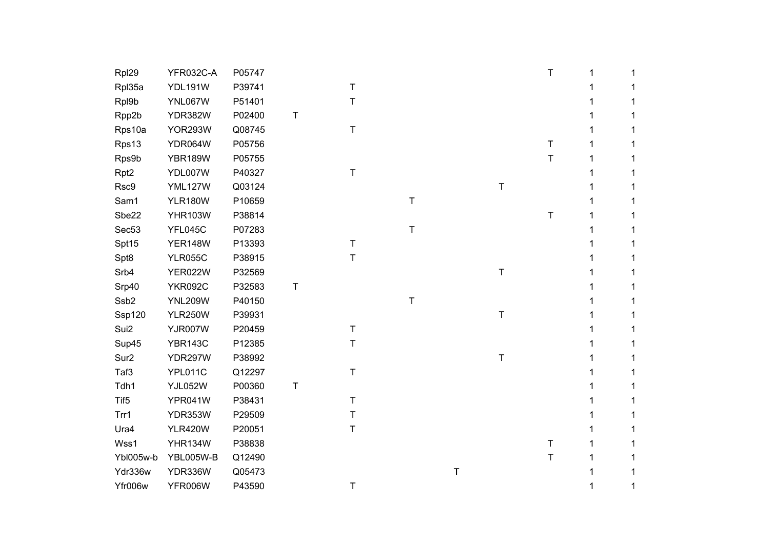| Rpl29            | YFR032C-A      | P05747 |             |             |         |   |             | $\top$      | 1 | 1  |
|------------------|----------------|--------|-------------|-------------|---------|---|-------------|-------------|---|----|
| Rpl35a           | <b>YDL191W</b> | P39741 |             | Τ           |         |   |             |             |   | 1  |
| RpI9b            | YNL067W        | P51401 |             | Τ           |         |   |             |             |   |    |
| Rpp2b            | <b>YDR382W</b> | P02400 | $\mathsf T$ |             |         |   |             |             |   | 1  |
| Rps10a           | <b>YOR293W</b> | Q08745 |             | $\mathsf T$ |         |   |             |             |   | 1  |
| Rps13            | YDR064W        | P05756 |             |             |         |   |             | $\top$      | 1 | 1. |
| Rps9b            | <b>YBR189W</b> | P05755 |             |             |         |   |             | $\top$      | 1 | 1  |
| Rpt <sub>2</sub> | YDL007W        | P40327 |             | $\mathsf T$ |         |   |             |             | 1 | 1  |
| Rsc9             | <b>YML127W</b> | Q03124 |             |             |         |   | $\mathsf T$ |             | 1 | 1  |
| Sam1             | <b>YLR180W</b> | P10659 |             |             | T       |   |             |             | 1 | 1  |
| Sbe22            | <b>YHR103W</b> | P38814 |             |             |         |   |             | $\top$      | 1 | 1  |
| Sec53            | YFL045C        | P07283 |             |             | $\sf T$ |   |             |             | 1 | 1  |
| Spt15            | <b>YER148W</b> | P13393 |             | T           |         |   |             |             |   | 1  |
| Spt8             | <b>YLR055C</b> | P38915 |             | $\sf T$     |         |   |             |             | 1 | 1  |
| Srb4             | <b>YER022W</b> | P32569 |             |             |         |   | $\mathsf T$ |             | 1 | 1  |
| Srp40            | <b>YKR092C</b> | P32583 | $\mathsf T$ |             |         |   |             |             |   | 1  |
| Ssb <sub>2</sub> | <b>YNL209W</b> | P40150 |             |             | Τ       |   |             |             |   | 1  |
| Ssp120           | <b>YLR250W</b> | P39931 |             |             |         |   | Τ           |             |   | 1  |
| Sui <sub>2</sub> | YJR007W        | P20459 |             | $\mathsf T$ |         |   |             |             |   | 1  |
| Sup45            | <b>YBR143C</b> | P12385 |             | $\mathsf T$ |         |   |             |             |   | 1  |
| Sur <sub>2</sub> | <b>YDR297W</b> | P38992 |             |             |         |   | Т           |             | 1 | 1  |
| Taf3             | YPL011C        | Q12297 |             | $\mathsf T$ |         |   |             |             |   | 1  |
| Tdh1             | YJL052W        | P00360 | T           |             |         |   |             |             |   | 1  |
| Tif <sub>5</sub> | YPR041W        | P38431 |             | $\mathsf T$ |         |   |             |             |   | 1  |
| Trr1             | YDR353W        | P29509 |             | Τ           |         |   |             |             | 1 | 1  |
| Ura4             | <b>YLR420W</b> | P20051 |             | $\sf T$     |         |   |             |             |   | 1  |
| Wss1             | YHR134W        | P38838 |             |             |         |   |             | $\mathsf T$ | 1 | 1  |
| Ybl005w-b        | YBL005W-B      | Q12490 |             |             |         |   |             | $\sf T$     | 1 |    |
| Ydr336w          | YDR336W        | Q05473 |             |             |         | T |             |             |   | 1  |
| Yfr006w          | <b>YFR006W</b> | P43590 |             | $\mathsf T$ |         |   |             |             | 1 | 1  |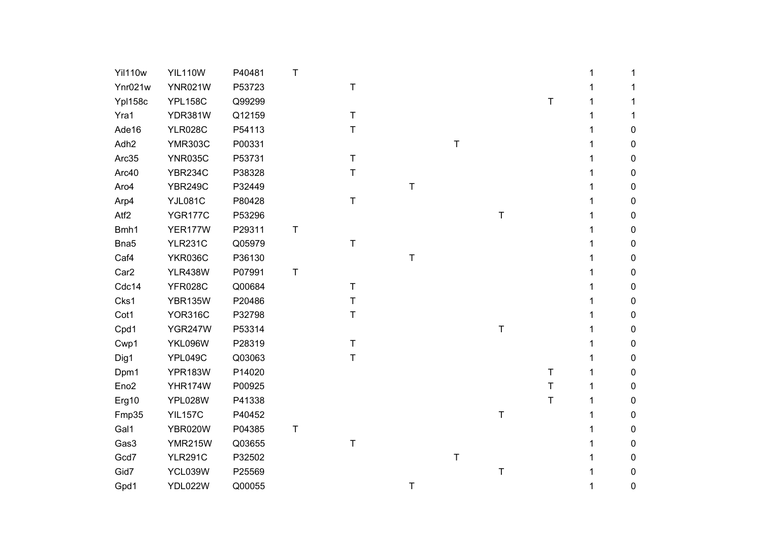| Yil110w          | <b>YIL110W</b> | P40481 | Τ           |             |   |             |              |         |   |             |
|------------------|----------------|--------|-------------|-------------|---|-------------|--------------|---------|---|-------------|
| Ynr021w          | <b>YNR021W</b> | P53723 |             | $\sf T$     |   |             |              |         |   |             |
| Ypl158c          | <b>YPL158C</b> | Q99299 |             |             |   |             |              | $\sf T$ |   |             |
| Yra1             | YDR381W        | Q12159 |             | $\sf T$     |   |             |              |         |   | 1           |
| Ade16            | <b>YLR028C</b> | P54113 |             | $\sf T$     |   |             |              |         |   | 0           |
| Adh <sub>2</sub> | <b>YMR303C</b> | P00331 |             |             |   | T           |              |         |   | $\pmb{0}$   |
| Arc35            | <b>YNR035C</b> | P53731 |             | $\sf T$     |   |             |              |         |   | $\pmb{0}$   |
| Arc40            | <b>YBR234C</b> | P38328 |             | $\top$      |   |             |              |         |   | $\pmb{0}$   |
| Aro4             | <b>YBR249C</b> | P32449 |             |             | Τ |             |              |         |   | 0           |
| Arp4             | <b>YJL081C</b> | P80428 |             | $\sf T$     |   |             |              |         |   | $\pmb{0}$   |
| Atf <sub>2</sub> | YGR177C        | P53296 |             |             |   |             | $\mathsf{T}$ |         |   | $\pmb{0}$   |
| Bmh1             | YER177W        | P29311 | $\mathsf T$ |             |   |             |              |         |   | $\pmb{0}$   |
| Bna5             | <b>YLR231C</b> | Q05979 |             | $\sf T$     |   |             |              |         |   | 0           |
| Caf4             | <b>YKR036C</b> | P36130 |             |             | Τ |             |              |         |   | $\pmb{0}$   |
| Car <sub>2</sub> | <b>YLR438W</b> | P07991 | Τ           |             |   |             |              |         |   | 0           |
| Cdc14            | <b>YFR028C</b> | Q00684 |             | $\mathsf T$ |   |             |              |         |   | $\pmb{0}$   |
| Cks1             | <b>YBR135W</b> | P20486 |             | Τ           |   |             |              |         |   | $\mathbf 0$ |
| Cot1             | <b>YOR316C</b> | P32798 |             | $\top$      |   |             |              |         |   | $\pmb{0}$   |
| Cpd1             | YGR247W        | P53314 |             |             |   |             | Т            |         |   | 0           |
| Cwp1             | YKL096W        | P28319 |             | $\top$      |   |             |              |         |   | $\pmb{0}$   |
| Dig1             | YPL049C        | Q03063 |             | Τ           |   |             |              |         |   | 0           |
| Dpm1             | <b>YPR183W</b> | P14020 |             |             |   |             |              | $\top$  |   | 0           |
| Eno <sub>2</sub> | YHR174W        | P00925 |             |             |   |             |              | $\sf T$ | 1 | $\mathbf 0$ |
| Erg10            | <b>YPL028W</b> | P41338 |             |             |   |             |              | $\sf T$ |   | $\pmb{0}$   |
| Fmp35            | <b>YIL157C</b> | P40452 |             |             |   |             | Τ            |         |   | $\mathbf 0$ |
| Gal1             | <b>YBR020W</b> | P04385 | $\sf T$     |             |   |             |              |         |   | 0           |
| Gas3             | <b>YMR215W</b> | Q03655 |             | Τ           |   |             |              |         |   | $\mathbf 0$ |
| Gcd7             | <b>YLR291C</b> | P32502 |             |             |   | $\mathsf T$ |              |         |   | 0           |
| Gid7             | YCL039W        | P25569 |             |             |   |             | Т            |         |   | 0           |
| Gpd1             | YDL022W        | Q00055 |             |             | T |             |              |         |   | $\mathbf 0$ |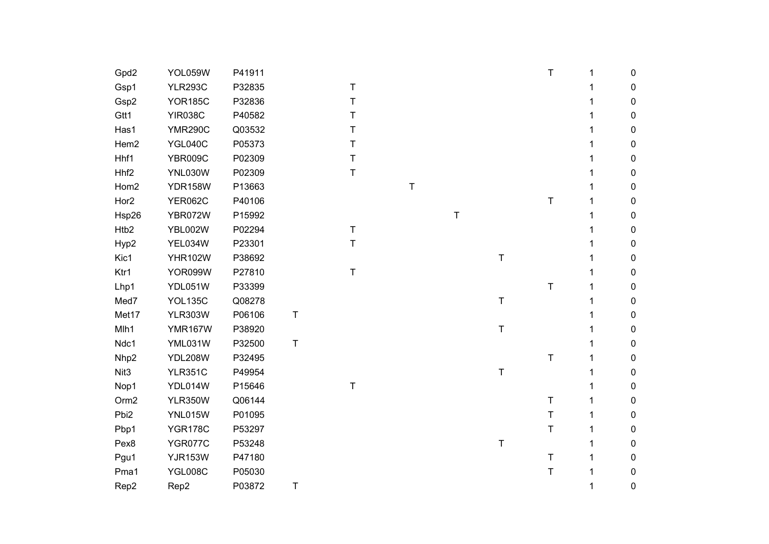| Gpd2             | YOL059W        | P41911 |        |             |   |             |             | Τ       | 1 | 0           |
|------------------|----------------|--------|--------|-------------|---|-------------|-------------|---------|---|-------------|
| Gsp1             | <b>YLR293C</b> | P32835 |        | Τ           |   |             |             |         | 1 | $\mathbf 0$ |
| Gsp2             | <b>YOR185C</b> | P32836 |        | Τ           |   |             |             |         | 1 | 0           |
| Gtt1             | <b>YIR038C</b> | P40582 |        | T           |   |             |             |         | 1 | $\mathbf 0$ |
| Has1             | <b>YMR290C</b> | Q03532 |        | Т           |   |             |             |         | 1 | 0           |
| Hem2             | YGL040C        | P05373 |        | Τ           |   |             |             |         |   | $\mathbf 0$ |
| Hhf1             | YBR009C        | P02309 |        | T           |   |             |             |         |   | 0           |
| Hhf <sub>2</sub> | <b>YNL030W</b> | P02309 |        | $\mathsf T$ |   |             |             |         |   | $\mathbf 0$ |
| Hom2             | <b>YDR158W</b> | P13663 |        |             | T |             |             |         | 1 | 0           |
| Hor <sub>2</sub> | <b>YER062C</b> | P40106 |        |             |   |             |             | $\sf T$ | 1 | $\mathbf 0$ |
| Hsp26            | YBR072W        | P15992 |        |             |   | $\mathsf T$ |             |         | 1 | 0           |
| Htb2             | <b>YBL002W</b> | P02294 |        | Τ           |   |             |             |         |   | $\mathbf 0$ |
| Hyp2             | YEL034W        | P23301 |        | T           |   |             |             |         | 1 | 0           |
| Kic1             | <b>YHR102W</b> | P38692 |        |             |   |             | $\sf T$     |         | 1 | 0           |
| Ktr1             | YOR099W        | P27810 |        | $\mathsf T$ |   |             |             |         | 1 | 0           |
| Lhp1             | YDL051W        | P33399 |        |             |   |             |             | Τ       | 1 | 0           |
| Med7             | <b>YOL135C</b> | Q08278 |        |             |   |             | T           |         | 1 | 0           |
| Met17            | <b>YLR303W</b> | P06106 | T      |             |   |             |             |         |   | 0           |
| Mlh1             | <b>YMR167W</b> | P38920 |        |             |   |             | $\mathsf T$ |         |   | 0           |
| Ndc1             | YML031W        | P32500 | T      |             |   |             |             |         |   | 0           |
| Nhp2             | <b>YDL208W</b> | P32495 |        |             |   |             |             | $\top$  | 1 | 0           |
| Nit <sub>3</sub> | <b>YLR351C</b> | P49954 |        |             |   |             | $\sf T$     |         | 1 | 0           |
| Nop1             | YDL014W        | P15646 |        | Τ           |   |             |             |         |   | 0           |
| Orm <sub>2</sub> | <b>YLR350W</b> | Q06144 |        |             |   |             |             | $\sf T$ | 1 | 0           |
| Pbi <sub>2</sub> | YNL015W        | P01095 |        |             |   |             |             | $\top$  | 1 | 0           |
| Pbp1             | <b>YGR178C</b> | P53297 |        |             |   |             |             | $\sf T$ | 1 | 0           |
| Pex8             | YGR077C        | P53248 |        |             |   |             | T           |         | 1 | 0           |
| Pgu1             | <b>YJR153W</b> | P47180 |        |             |   |             |             | $\sf T$ | 1 | 0           |
| Pma1             | <b>YGL008C</b> | P05030 |        |             |   |             |             | $\sf T$ | 1 | 0           |
| Rep2             | Rep2           | P03872 | $\top$ |             |   |             |             |         | 1 | 0           |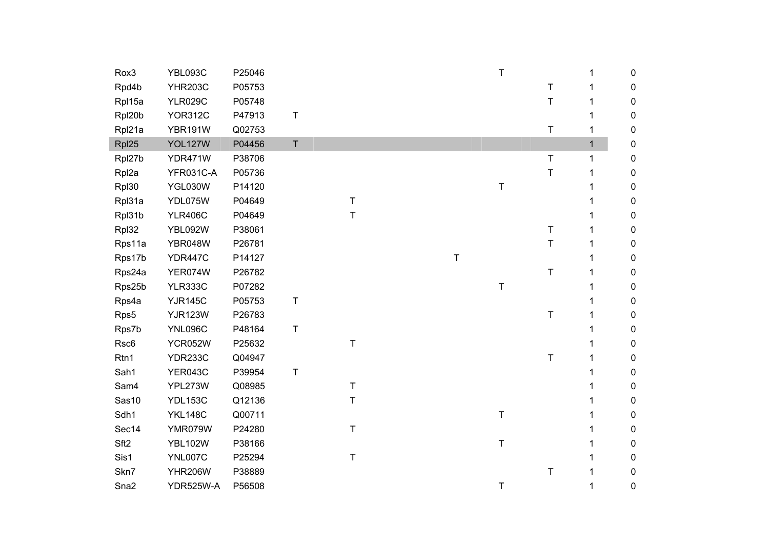| Rox3             | YBL093C          | P25046 |             |         |         | $\mathsf T$ |             | 1            | 0           |
|------------------|------------------|--------|-------------|---------|---------|-------------|-------------|--------------|-------------|
| Rpd4b            | <b>YHR203C</b>   | P05753 |             |         |         |             | $\sf T$     | 1            | $\pmb{0}$   |
| Rpl15a           | <b>YLR029C</b>   | P05748 |             |         |         |             | $\sf T$     | 1            | 0           |
| Rpl20b           | <b>YOR312C</b>   | P47913 | Τ           |         |         |             |             | 1            | $\pmb{0}$   |
| Rpl21a           | <b>YBR191W</b>   | Q02753 |             |         |         |             | $\sf T$     | 1            | 0           |
| Rpl25            | <b>YOL127W</b>   | P04456 | $\mathsf T$ |         |         |             |             | $\mathbf{1}$ | $\pmb{0}$   |
| Rpl27b           | YDR471W          | P38706 |             |         |         |             | $\mathsf T$ | 1            | 0           |
| Rpl2a            | <b>YFR031C-A</b> | P05736 |             |         |         |             | $\top$      | 1            | $\pmb{0}$   |
| RpI30            | YGL030W          | P14120 |             |         |         | $\mathsf T$ |             | 1            | 0           |
| Rpl31a           | YDL075W          | P04649 |             | T       |         |             |             | 1            | $\pmb{0}$   |
| Rpl31b           | <b>YLR406C</b>   | P04649 |             | T       |         |             |             | 1            | 0           |
| Rpl32            | <b>YBL092W</b>   | P38061 |             |         |         |             | $\sf T$     | 1            | $\pmb{0}$   |
| Rps11a           | <b>YBR048W</b>   | P26781 |             |         |         |             | $\top$      | 1            | 0           |
| Rps17b           | <b>YDR447C</b>   | P14127 |             |         | $\sf T$ |             |             |              | 0           |
| Rps24a           | YER074W          | P26782 |             |         |         |             | $\top$      | 1            | 0           |
| Rps25b           | <b>YLR333C</b>   | P07282 |             |         |         | $\sf T$     |             | 1            | $\pmb{0}$   |
| Rps4a            | <b>YJR145C</b>   | P05753 | Τ           |         |         |             |             | 1            | 0           |
| Rps5             | <b>YJR123W</b>   | P26783 |             |         |         |             | $\sf T$     | 1            | $\pmb{0}$   |
| Rps7b            | <b>YNL096C</b>   | P48164 | $\sf T$     |         |         |             |             | 1            | 0           |
| Rsc <sub>6</sub> | <b>YCR052W</b>   | P25632 |             | T       |         |             |             | 1            | $\pmb{0}$   |
| Rtn1             | YDR233C          | Q04947 |             |         |         |             | $\sf T$     | 1            | 0           |
| Sah1             | YER043C          | P39954 | $\sf T$     |         |         |             |             |              | $\pmb{0}$   |
| Sam4             | YPL273W          | Q08985 |             | T       |         |             |             |              | $\mathbf 0$ |
| Sas10            | <b>YDL153C</b>   | Q12136 |             | T       |         |             |             |              | 0           |
| Sdh1             | <b>YKL148C</b>   | Q00711 |             |         |         | T           |             |              | $\mathbf 0$ |
| Sec14            | YMR079W          | P24280 |             | $\sf T$ |         |             |             |              | 0           |
| Sft <sub>2</sub> | <b>YBL102W</b>   | P38166 |             |         |         | $\top$      |             |              | $\mathbf 0$ |
| Sis1             | <b>YNL007C</b>   | P25294 |             | Τ       |         |             |             |              | 0           |
| Skn7             | <b>YHR206W</b>   | P38889 |             |         |         |             | $\sf T$     | 1            | 0           |
| Sna <sub>2</sub> | YDR525W-A        | P56508 |             |         |         | $\top$      |             | 1            | $\pmb{0}$   |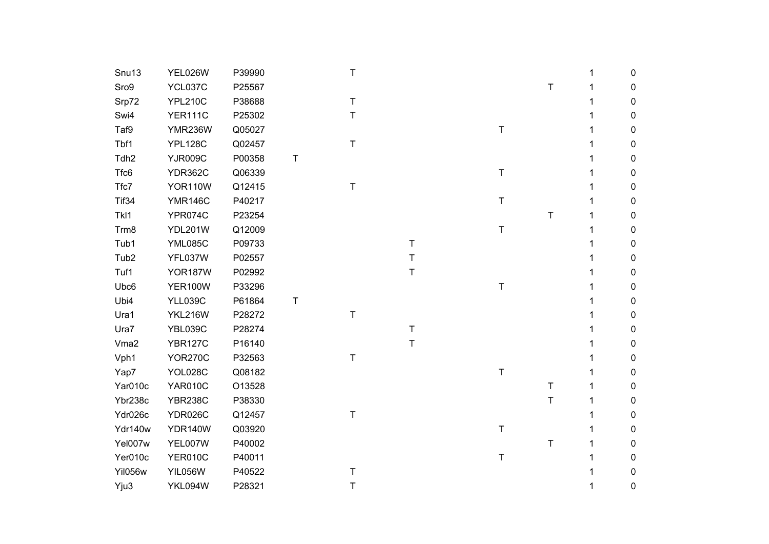| Snu13            | YEL026W        | P39990 |             | T       |         |             |         | 1 | 0           |
|------------------|----------------|--------|-------------|---------|---------|-------------|---------|---|-------------|
| Sro9             | YCL037C        | P25567 |             |         |         |             | T       | 1 | 0           |
| Srp72            | <b>YPL210C</b> | P38688 |             | Т       |         |             |         | 1 | 0           |
| Swi4             | <b>YER111C</b> | P25302 |             | $\top$  |         |             |         | 1 | $\mathbf 0$ |
| Taf9             | <b>YMR236W</b> | Q05027 |             |         |         | $\mathsf T$ |         | 1 | 0           |
| Tbf1             | <b>YPL128C</b> | Q02457 |             | $\sf T$ |         |             |         | 1 | 0           |
| Tdh <sub>2</sub> | <b>YJR009C</b> | P00358 | $\mathsf T$ |         |         |             |         | 1 | 0           |
| Tfc6             | <b>YDR362C</b> | Q06339 |             |         |         | T           |         | 1 | 0           |
| Tfc7             | <b>YOR110W</b> | Q12415 |             | Τ       |         |             |         | 1 | 0           |
| Tif34            | <b>YMR146C</b> | P40217 |             |         |         | T           |         | 1 | 0           |
| TkI1             | YPR074C        | P23254 |             |         |         |             | $\sf T$ | 1 | 0           |
| Trm8             | <b>YDL201W</b> | Q12009 |             |         |         | $\top$      |         | 1 | 0           |
| Tub1             | <b>YML085C</b> | P09733 |             |         | Τ       |             |         | 1 | 0           |
| Tub <sub>2</sub> | YFL037W        | P02557 |             |         | T       |             |         | 1 | 0           |
| Tuf1             | <b>YOR187W</b> | P02992 |             |         | T       |             |         | 1 | 0           |
| Ubc6             | <b>YER100W</b> | P33296 |             |         |         | Τ           |         |   | 0           |
| Ubi4             | <b>YLL039C</b> | P61864 | T           |         |         |             |         | 1 | 0           |
| Ura1             | <b>YKL216W</b> | P28272 |             | $\sf T$ |         |             |         |   | 0           |
| Ura7             | YBL039C        | P28274 |             |         | T       |             |         |   | 0           |
| Vma <sub>2</sub> | <b>YBR127C</b> | P16140 |             |         | $\sf T$ |             |         |   | 0           |
| Vph1             | <b>YOR270C</b> | P32563 |             | Τ       |         |             |         |   | 0           |
| Yap7             | YOL028C        | Q08182 |             |         |         | Τ           |         |   | 0           |
| Yar010c          | <b>YAR010C</b> | O13528 |             |         |         |             | Т       | 1 | 0           |
| Ybr238c          | <b>YBR238C</b> | P38330 |             |         |         |             | $\sf T$ | 1 | 0           |
| Ydr026c          | <b>YDR026C</b> | Q12457 |             | Τ       |         |             |         | 1 | 0           |
| Ydr140w          | <b>YDR140W</b> | Q03920 |             |         |         | Τ           |         |   | 0           |
| Yel007w          | YEL007W        | P40002 |             |         |         |             | $\sf T$ | 1 | 0           |
| Yer010c          | YER010C        | P40011 |             |         |         | Τ           |         | 1 | 0           |
| Yil056w          | <b>YIL056W</b> | P40522 |             | Τ       |         |             |         |   | 0           |
| Yju3             | YKL094W        | P28321 |             | T       |         |             |         | 1 | 0           |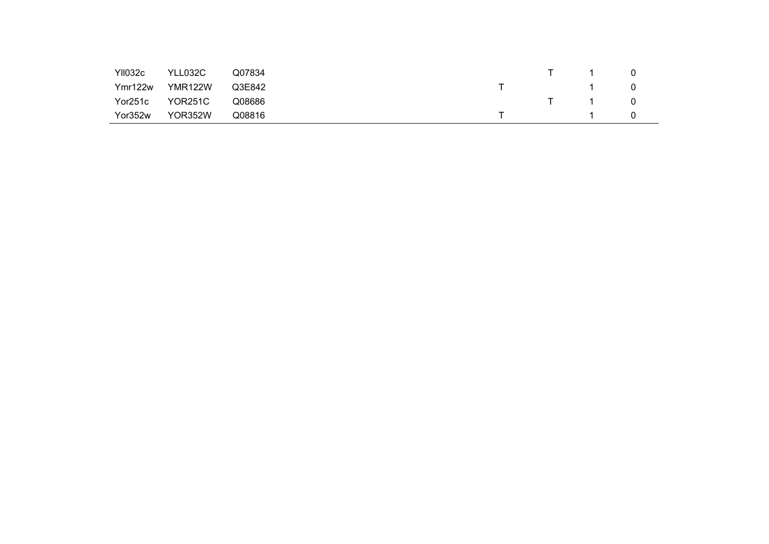| <b>YII032c</b> | YLL032C        | Q07834 |                                                                                                                                                                                                                                                                                                  |                  |  |
|----------------|----------------|--------|--------------------------------------------------------------------------------------------------------------------------------------------------------------------------------------------------------------------------------------------------------------------------------------------------|------------------|--|
| Ymr122w        | <b>YMR122W</b> | Q3E842 | $\mathsf{T}$ and $\mathsf{S}$ and $\mathsf{S}$ and $\mathsf{S}$ and $\mathsf{S}$ and $\mathsf{S}$ and $\mathsf{S}$ and $\mathsf{S}$ and $\mathsf{S}$ are $\mathsf{S}$ and $\mathsf{S}$ and $\mathsf{S}$ are $\mathsf{S}$ and $\mathsf{S}$ are $\mathsf{S}$ and $\mathsf{S}$ are $\mathsf{S}$ and |                  |  |
| Yor251c        | YOR251C        | Q08686 |                                                                                                                                                                                                                                                                                                  | $\mathsf{T}$ 1 0 |  |
| Yor352w        | YOR352W        | Q08816 | T.                                                                                                                                                                                                                                                                                               |                  |  |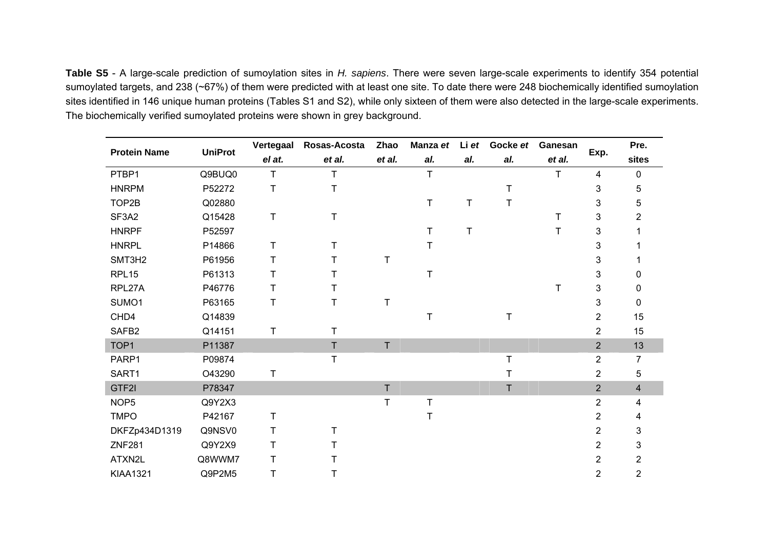**Table S5** - A large-scale prediction of sumoylation sites in *H. sapiens*. There were seven large-scale experiments to identify 354 potential sumoylated targets, and 238 (~67%) of them were predicted with at least one site. To date there were 248 biochemically identified sumoylation sites identified in 146 unique human proteins (Tables S1 and S2), while only sixteen of them were also detected in the large-scale experiments. The biochemically verified sumoylated proteins were shown in grey background.

| <b>Protein Name</b> | <b>UniProt</b> | Vertegaal | Rosas-Acosta | Zhao         | Manza et | Li et | Gocke et | Ganesan |                | Pre.                    |
|---------------------|----------------|-----------|--------------|--------------|----------|-------|----------|---------|----------------|-------------------------|
|                     |                | el at.    | et al.       | et al.       | al.      | al.   | al.      | et al.  | Exp.           | sites                   |
| PTBP1               | Q9BUQ0         | $\top$    | T            |              | T        |       |          | T       | 4              | $\pmb{0}$               |
| <b>HNRPM</b>        | P52272         | T         | Τ            |              |          |       | Т        |         | 3              | 5                       |
| TOP2B               | Q02880         |           |              |              | Τ        | T     | Τ        |         | 3              | 5                       |
| SF3A2               | Q15428         | T         | T            |              |          |       |          | T       | 3              | $\overline{2}$          |
| <b>HNRPF</b>        | P52597         |           |              |              | Τ        | Τ     |          | T       | 3              |                         |
| <b>HNRPL</b>        | P14866         | Τ         | т            |              | Τ        |       |          |         | 3              |                         |
| SMT3H2              | P61956         | $\top$    | т            | T            |          |       |          |         | 3              |                         |
| RPL15               | P61313         | T         |              |              | Τ        |       |          |         | 3              | 0                       |
| RPL27A              | P46776         | T         | т            |              |          |       |          | T       | 3              | 0                       |
| SUMO1               | P63165         | T         | T            | $\mathsf T$  |          |       |          |         | 3              | $\pmb{0}$               |
| CHD4                | Q14839         |           |              |              | Τ        |       |          |         | 2              | 15                      |
| SAFB <sub>2</sub>   | Q14151         | Τ         | T            |              |          |       |          |         | $\overline{2}$ | 15                      |
| TOP1                | P11387         |           | $\mathsf{T}$ | $\mathsf{T}$ |          |       |          |         | $\overline{2}$ | 13                      |
| PARP1               | P09874         |           | T            |              |          |       | Τ        |         | 2              | $\overline{7}$          |
| SART1               | O43290         | Τ         |              |              |          |       | т        |         | 2              | 5                       |
| GTF2I               | P78347         |           |              | T.           |          |       | T        |         | $\overline{2}$ | $\overline{\mathbf{4}}$ |
| NOP <sub>5</sub>    | Q9Y2X3         |           |              | $\mathsf T$  | $\sf T$  |       |          |         | $\overline{2}$ | 4                       |
| <b>TMPO</b>         | P42167         | Τ         |              |              | T        |       |          |         | $\overline{2}$ | 4                       |
| DKFZp434D1319       | Q9NSV0         | Т         | T            |              |          |       |          |         | 2              | 3                       |
| <b>ZNF281</b>       | Q9Y2X9         |           |              |              |          |       |          |         | 2              | 3                       |
| ATXN2L              | Q8WWM7         | Т         |              |              |          |       |          |         | $\overline{2}$ | $\overline{c}$          |
| <b>KIAA1321</b>     | Q9P2M5         | Τ         | T            |              |          |       |          |         | 2              | $\overline{c}$          |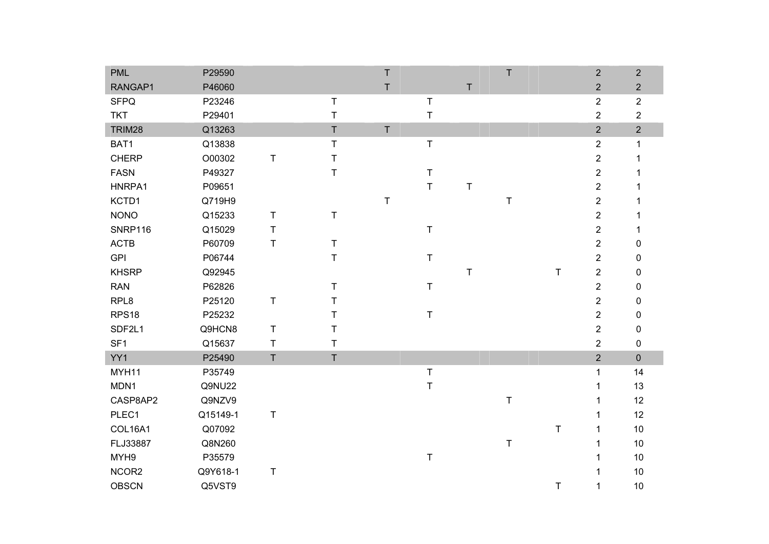| <b>PML</b>        | P29590   |             |             | $\mathsf T$ |             |             | $\top$  |             | $\overline{2}$          | $\overline{2}$ |
|-------------------|----------|-------------|-------------|-------------|-------------|-------------|---------|-------------|-------------------------|----------------|
| RANGAP1           | P46060   |             |             | $\mathsf T$ |             | $\sf T$     |         |             | $\overline{2}$          | $\mathbf{2}$   |
| <b>SFPQ</b>       | P23246   |             | T           |             | $\mathsf T$ |             |         |             | $\overline{2}$          | $\overline{2}$ |
| <b>TKT</b>        | P29401   |             | $\top$      |             | $\mathsf T$ |             |         |             | $\overline{2}$          | $\overline{2}$ |
| TRIM28            | Q13263   |             | $\top$      | $\mathsf T$ |             |             |         |             | $\overline{2}$          | $\overline{2}$ |
| BAT1              | Q13838   |             | $\sf T$     |             | $\sf T$     |             |         |             | $\overline{2}$          | 1              |
| <b>CHERP</b>      | O00302   | T           | $\sf T$     |             |             |             |         |             | 2                       |                |
| <b>FASN</b>       | P49327   |             | $\top$      |             | $\top$      |             |         |             | $\overline{2}$          |                |
| HNRPA1            | P09651   |             |             |             | $\top$      | $\mathsf T$ |         |             | $\overline{2}$          |                |
| KCTD1             | Q719H9   |             |             | $\mathsf T$ |             |             | T       |             | $\overline{2}$          |                |
| <b>NONO</b>       | Q15233   | $\top$      | T           |             |             |             |         |             | $\overline{2}$          |                |
| SNRP116           | Q15029   | $\sf T$     |             |             | $\sf T$     |             |         |             | $\overline{2}$          | 1              |
| <b>ACTB</b>       | P60709   | $\sf T$     | $\top$      |             |             |             |         |             | $\overline{2}$          | 0              |
| <b>GPI</b>        | P06744   |             | $\sf T$     |             | $\top$      |             |         |             | $\overline{2}$          | 0              |
| <b>KHSRP</b>      | Q92945   |             |             |             |             | $\mathsf T$ |         | $\top$      | $\overline{2}$          | $\pmb{0}$      |
| <b>RAN</b>        | P62826   |             | T           |             | $\top$      |             |         |             | $\overline{c}$          | $\pmb{0}$      |
| RPL8              | P25120   | $\sf T$     | T           |             |             |             |         |             | $\overline{2}$          | $\mathbf 0$    |
| RPS <sub>18</sub> | P25232   |             | T           |             | $\top$      |             |         |             | $\overline{c}$          | 0              |
| SDF2L1            | Q9HCN8   | Τ           | T           |             |             |             |         |             | $\overline{\mathbf{c}}$ | $\pmb{0}$      |
| SF <sub>1</sub>   | Q15637   | $\mathsf T$ | $\top$      |             |             |             |         |             | $\overline{2}$          | $\mathbf 0$    |
| YY1               | P25490   | $\sf T$     | $\mathsf T$ |             |             |             |         |             | $\overline{2}$          | $\pmb{0}$      |
| MYH11             | P35749   |             |             |             | $\sf T$     |             |         |             | 1                       | 14             |
| MDN1              | Q9NU22   |             |             |             | $\top$      |             |         |             | 1                       | 13             |
| CASP8AP2          | Q9NZV9   |             |             |             |             |             | $\sf T$ |             | 1                       | 12             |
| PLEC1             | Q15149-1 | T           |             |             |             |             |         |             | 1                       | 12             |
| COL16A1           | Q07092   |             |             |             |             |             |         | $\top$      | 1                       | 10             |
| FLJ33887          | Q8N260   |             |             |             |             |             | $\sf T$ |             | 1                       | $10$           |
| MYH9              | P35579   |             |             |             | $\sf T$     |             |         |             |                         | 10             |
| NCOR2             | Q9Y618-1 | Τ           |             |             |             |             |         |             |                         | 10             |
| <b>OBSCN</b>      | Q5VST9   |             |             |             |             |             |         | $\mathsf T$ | 1                       | 10             |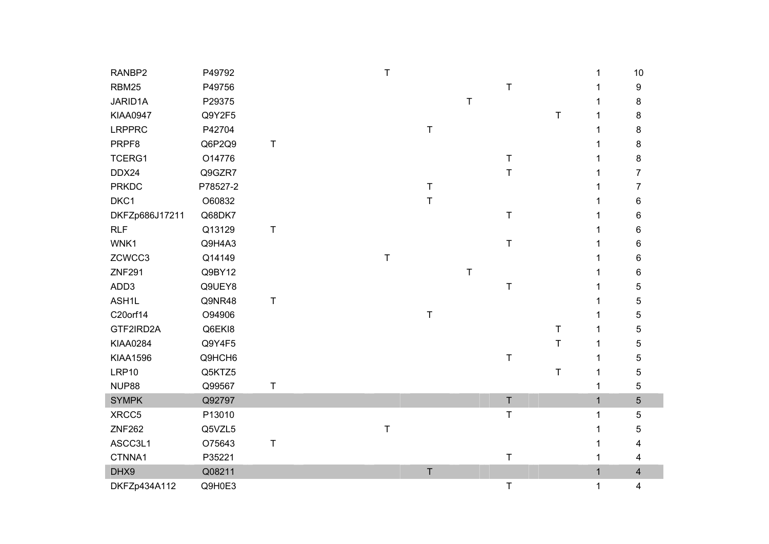| RANBP2          | P49792   |         | $\top$      |             |             |             |             | 1            | 10              |
|-----------------|----------|---------|-------------|-------------|-------------|-------------|-------------|--------------|-----------------|
| RBM25           | P49756   |         |             |             |             | Τ           |             |              | 9               |
| JARID1A         | P29375   |         |             |             | $\mathsf T$ |             |             |              | $\bf 8$         |
| <b>KIAA0947</b> | Q9Y2F5   |         |             |             |             |             | Τ           |              | 8               |
| <b>LRPPRC</b>   | P42704   |         |             | T           |             |             |             |              | 8               |
| PRPF8           | Q6P2Q9   | $\sf T$ |             |             |             |             |             |              | 8               |
| TCERG1          | O14776   |         |             |             |             | Τ           |             |              | 8               |
| DDX24           | Q9GZR7   |         |             |             |             | $\sf T$     |             |              | $\overline{7}$  |
| <b>PRKDC</b>    | P78527-2 |         |             | T           |             |             |             |              | $\overline{7}$  |
| DKC1            | O60832   |         |             | $\top$      |             |             |             |              | 6               |
| DKFZp686J17211  | Q68DK7   |         |             |             |             | $\sf T$     |             |              | 6               |
| <b>RLF</b>      | Q13129   | $\sf T$ |             |             |             |             |             |              | 6               |
| WNK1            | Q9H4A3   |         |             |             |             | T           |             |              | 6               |
| ZCWCC3          | Q14149   |         | $\mathsf T$ |             |             |             |             |              | 6               |
| <b>ZNF291</b>   | Q9BY12   |         |             |             | $\top$      |             |             |              | 6               |
| ADD3            | Q9UEY8   |         |             |             |             | $\sf T$     |             |              | 5               |
| ASH1L           | Q9NR48   | $\sf T$ |             |             |             |             |             |              | 5               |
| C20orf14        | O94906   |         |             | $\sf T$     |             |             |             |              | 5               |
| GTF2IRD2A       | Q6EKI8   |         |             |             |             |             | $\top$      | 1            | 5               |
| <b>KIAA0284</b> | Q9Y4F5   |         |             |             |             |             | T           | 1            | 5               |
| <b>KIAA1596</b> | Q9HCH6   |         |             |             |             | $\sf T$     |             | 1            | 5               |
| LRP10           | Q5KTZ5   |         |             |             |             |             | $\mathsf T$ | 1            | 5               |
| NUP88           | Q99567   | $\sf T$ |             |             |             |             |             | 1            | 5               |
| <b>SYMPK</b>    | Q92797   |         |             |             |             | $\mathsf T$ |             | $\mathbf{1}$ | $\overline{5}$  |
| XRCC5           | P13010   |         |             |             |             | Τ           |             | 1            | $5\phantom{.0}$ |
| <b>ZNF262</b>   | Q5VZL5   |         | $\top$      |             |             |             |             |              | 5               |
| ASCC3L1         | O75643   | T       |             |             |             |             |             |              | 4               |
| CTNNA1          | P35221   |         |             |             |             | T           |             | 1            | $\overline{4}$  |
| DHX9            | Q08211   |         |             | $\mathsf T$ |             |             |             | $\mathbf{1}$ | $\overline{4}$  |
| DKFZp434A112    | Q9H0E3   |         |             |             |             | T           |             | 1            | 4               |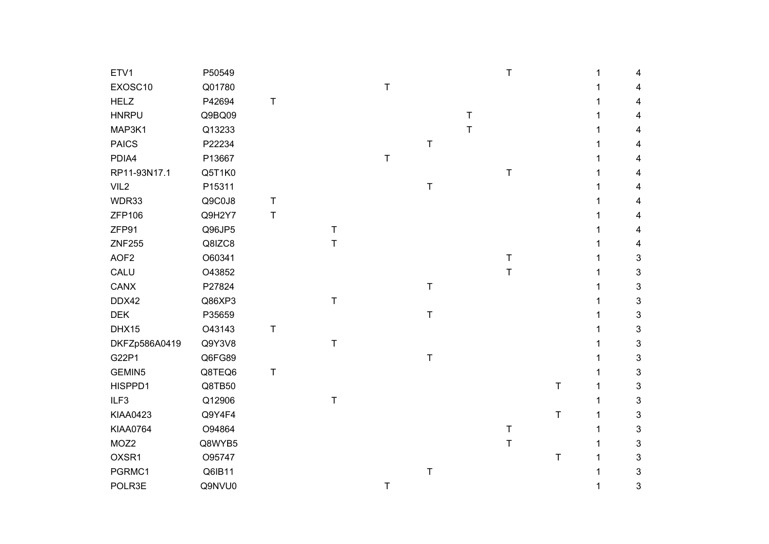| ETV1             | P50549 |         |         |             |             |         | $\top$      |   | 1 | 4                         |
|------------------|--------|---------|---------|-------------|-------------|---------|-------------|---|---|---------------------------|
| EXOSC10          | Q01780 |         |         | $\mathsf T$ |             |         |             |   |   | 4                         |
| <b>HELZ</b>      | P42694 | Τ       |         |             |             |         |             |   | 1 | 4                         |
| <b>HNRPU</b>     | Q9BQ09 |         |         |             |             | $\sf T$ |             |   | 1 | 4                         |
| MAP3K1           | Q13233 |         |         |             |             | $\sf T$ |             |   | 1 | 4                         |
| <b>PAICS</b>     | P22234 |         |         |             | $\sf T$     |         |             |   | 1 | 4                         |
| PDIA4            | P13667 |         |         | $\mathsf T$ |             |         |             |   | 1 | 4                         |
| RP11-93N17.1     | Q5T1K0 |         |         |             |             |         | $\mathsf T$ |   |   | 4                         |
| VIL <sub>2</sub> | P15311 |         |         |             | $\mathsf T$ |         |             |   | 1 | 4                         |
| WDR33            | Q9C0J8 | $\sf T$ |         |             |             |         |             |   | 1 | 4                         |
| <b>ZFP106</b>    | Q9H2Y7 | $\top$  |         |             |             |         |             |   |   | 4                         |
| ZFP91            | Q96JP5 |         | $\sf T$ |             |             |         |             |   |   | 4                         |
| <b>ZNF255</b>    | Q8IZC8 |         | $\top$  |             |             |         |             |   |   | 4                         |
| AOF <sub>2</sub> | O60341 |         |         |             |             |         | T           |   |   | $\ensuremath{\mathsf{3}}$ |
| CALU             | O43852 |         |         |             |             |         | $\top$      |   |   | $\ensuremath{\mathsf{3}}$ |
| CANX             | P27824 |         |         |             | T           |         |             |   |   | $\ensuremath{\mathsf{3}}$ |
| DDX42            | Q86XP3 |         | $\sf T$ |             |             |         |             |   |   | $\ensuremath{\mathsf{3}}$ |
| <b>DEK</b>       | P35659 |         |         |             | $\mathsf T$ |         |             |   |   | $\sqrt{3}$                |
| DHX15            | O43143 | Τ       |         |             |             |         |             |   |   | $\ensuremath{\mathsf{3}}$ |
| DKFZp586A0419    | Q9Y3V8 |         | $\sf T$ |             |             |         |             |   |   | $\sqrt{3}$                |
| G22P1            | Q6FG89 |         |         |             | $\mathsf T$ |         |             |   | 1 | $\ensuremath{\mathsf{3}}$ |
| GEMIN5           | Q8TEQ6 | Τ       |         |             |             |         |             |   |   | $\sqrt{3}$                |
| HISPPD1          | Q8TB50 |         |         |             |             |         |             | Τ | 1 | $\ensuremath{\mathsf{3}}$ |
| ILF3             | Q12906 |         | $\sf T$ |             |             |         |             |   | 1 | $\ensuremath{\mathsf{3}}$ |
| <b>KIAA0423</b>  | Q9Y4F4 |         |         |             |             |         |             | T | 1 | $\ensuremath{\mathsf{3}}$ |
| <b>KIAA0764</b>  | O94864 |         |         |             |             |         | $\sf T$     |   | 1 | 3                         |
| MOZ2             | Q8WYB5 |         |         |             |             |         | T           |   | 1 | $\ensuremath{\mathsf{3}}$ |
| OXSR1            | O95747 |         |         |             |             |         |             | T | 1 | $\ensuremath{\mathsf{3}}$ |
| PGRMC1           | Q6IB11 |         |         |             | $\sf T$     |         |             |   | 1 | 3                         |
| POLR3E           | Q9NVU0 |         |         | T           |             |         |             |   | 1 | 3                         |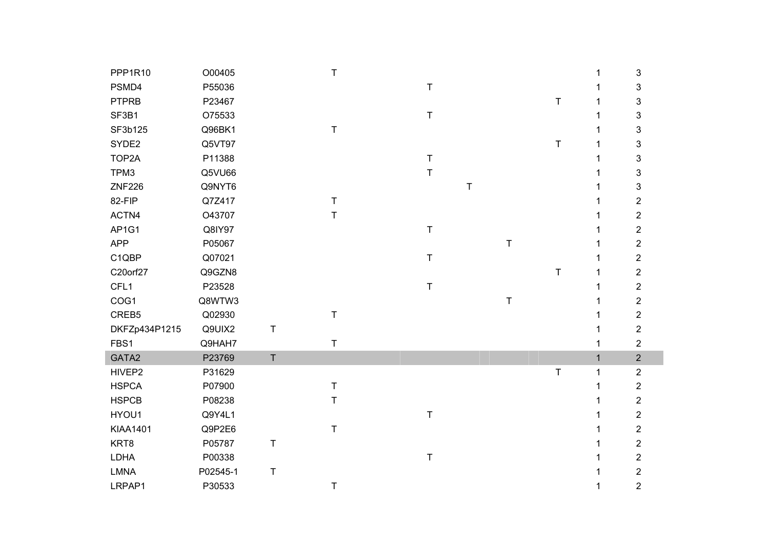| PSMD4<br>P55036<br>$\mathsf T$<br>3<br>$\mathsf T$<br><b>PTPRB</b><br>P23467<br>3<br>1<br>$\top$<br>SF3B1<br>$\mathsf 3$<br>O75533<br>1<br>SF3b125<br>$\top$<br>Q96BK1<br>$\mathsf 3$<br>1<br>SYDE2<br>$\mathsf T$<br>$\mathfrak{S}$<br>Q5VT97<br>1<br>$\mathsf T$<br>TOP2A<br>P11388<br>$\mathsf 3$<br>1<br>$\top$<br>TPM3<br>Q5VU66<br>$\mathsf 3$<br>1<br><b>ZNF226</b><br>$\sf T$<br>Q9NYT6<br>$\mathsf 3$<br>1<br>82-FIP<br>$\overline{c}$<br>Q7Z417<br>T<br>ACTN4<br>O43707<br>T<br>$\overline{2}$<br>AP1G1<br>$\mathsf T$<br>$\overline{2}$<br>Q8IY97<br>1<br><b>APP</b><br>$\overline{c}$<br>P05067<br>T<br>C1QBP<br>$\overline{2}$<br>Q07021<br>$\mathsf T$<br>1<br>$\overline{c}$<br>C20orf27<br>Q9GZN8<br>$\top$<br>1<br>CFL1<br>$\mathsf T$<br>$\mathbf 2$<br>P23528<br>1<br>COG1<br>$\mathbf 2$<br>Q8WTW3<br>$\mathsf T$<br>$\overline{c}$<br>CREB5<br>Q02930<br>$\mathsf T$<br>$\sqrt{2}$<br>$\sf T$<br>DKFZp434P1215<br>Q9UIX2<br>$\overline{c}$<br>FBS1<br>Q9HAH7<br>$\top$<br>$\mathsf T$<br>GATA2<br>P23769<br>$\mathbf{1}$<br>$\overline{2}$<br>HIVEP2<br>$\mathsf T$<br>$\overline{2}$<br>P31629<br>1<br>$\sqrt{2}$<br><b>HSPCA</b><br>P07900<br>$\mathsf T$<br>1<br><b>HSPCB</b><br>$\mathsf T$<br>$\sqrt{2}$<br>P08238<br>1<br>$\mathsf T$<br>$\sqrt{2}$<br>HYOU1<br>Q9Y4L1<br><b>KIAA1401</b><br>Q9P2E6<br>$\mathsf T$<br>$\overline{\mathbf{c}}$<br>1<br>$\overline{c}$<br>KRT8<br>T<br>P05787<br>LDHA<br>$\mathsf T$<br>$\overline{c}$<br>P00338<br><b>LMNA</b><br>$\sf T$<br>$\sqrt{2}$<br>P02545-1<br>$\overline{2}$<br>LRPAP1<br>P30533<br>$\mathsf T$<br>1 | PPP1R10 | O00405 | Τ |  |  | 1 | 3 |
|-----------------------------------------------------------------------------------------------------------------------------------------------------------------------------------------------------------------------------------------------------------------------------------------------------------------------------------------------------------------------------------------------------------------------------------------------------------------------------------------------------------------------------------------------------------------------------------------------------------------------------------------------------------------------------------------------------------------------------------------------------------------------------------------------------------------------------------------------------------------------------------------------------------------------------------------------------------------------------------------------------------------------------------------------------------------------------------------------------------------------------------------------------------------------------------------------------------------------------------------------------------------------------------------------------------------------------------------------------------------------------------------------------------------------------------------------------------------------------------------------------------------------------------------------------------------------------------------|---------|--------|---|--|--|---|---|
|                                                                                                                                                                                                                                                                                                                                                                                                                                                                                                                                                                                                                                                                                                                                                                                                                                                                                                                                                                                                                                                                                                                                                                                                                                                                                                                                                                                                                                                                                                                                                                                         |         |        |   |  |  |   |   |
|                                                                                                                                                                                                                                                                                                                                                                                                                                                                                                                                                                                                                                                                                                                                                                                                                                                                                                                                                                                                                                                                                                                                                                                                                                                                                                                                                                                                                                                                                                                                                                                         |         |        |   |  |  |   |   |
|                                                                                                                                                                                                                                                                                                                                                                                                                                                                                                                                                                                                                                                                                                                                                                                                                                                                                                                                                                                                                                                                                                                                                                                                                                                                                                                                                                                                                                                                                                                                                                                         |         |        |   |  |  |   |   |
|                                                                                                                                                                                                                                                                                                                                                                                                                                                                                                                                                                                                                                                                                                                                                                                                                                                                                                                                                                                                                                                                                                                                                                                                                                                                                                                                                                                                                                                                                                                                                                                         |         |        |   |  |  |   |   |
|                                                                                                                                                                                                                                                                                                                                                                                                                                                                                                                                                                                                                                                                                                                                                                                                                                                                                                                                                                                                                                                                                                                                                                                                                                                                                                                                                                                                                                                                                                                                                                                         |         |        |   |  |  |   |   |
|                                                                                                                                                                                                                                                                                                                                                                                                                                                                                                                                                                                                                                                                                                                                                                                                                                                                                                                                                                                                                                                                                                                                                                                                                                                                                                                                                                                                                                                                                                                                                                                         |         |        |   |  |  |   |   |
|                                                                                                                                                                                                                                                                                                                                                                                                                                                                                                                                                                                                                                                                                                                                                                                                                                                                                                                                                                                                                                                                                                                                                                                                                                                                                                                                                                                                                                                                                                                                                                                         |         |        |   |  |  |   |   |
|                                                                                                                                                                                                                                                                                                                                                                                                                                                                                                                                                                                                                                                                                                                                                                                                                                                                                                                                                                                                                                                                                                                                                                                                                                                                                                                                                                                                                                                                                                                                                                                         |         |        |   |  |  |   |   |
|                                                                                                                                                                                                                                                                                                                                                                                                                                                                                                                                                                                                                                                                                                                                                                                                                                                                                                                                                                                                                                                                                                                                                                                                                                                                                                                                                                                                                                                                                                                                                                                         |         |        |   |  |  |   |   |
|                                                                                                                                                                                                                                                                                                                                                                                                                                                                                                                                                                                                                                                                                                                                                                                                                                                                                                                                                                                                                                                                                                                                                                                                                                                                                                                                                                                                                                                                                                                                                                                         |         |        |   |  |  |   |   |
|                                                                                                                                                                                                                                                                                                                                                                                                                                                                                                                                                                                                                                                                                                                                                                                                                                                                                                                                                                                                                                                                                                                                                                                                                                                                                                                                                                                                                                                                                                                                                                                         |         |        |   |  |  |   |   |
|                                                                                                                                                                                                                                                                                                                                                                                                                                                                                                                                                                                                                                                                                                                                                                                                                                                                                                                                                                                                                                                                                                                                                                                                                                                                                                                                                                                                                                                                                                                                                                                         |         |        |   |  |  |   |   |
|                                                                                                                                                                                                                                                                                                                                                                                                                                                                                                                                                                                                                                                                                                                                                                                                                                                                                                                                                                                                                                                                                                                                                                                                                                                                                                                                                                                                                                                                                                                                                                                         |         |        |   |  |  |   |   |
|                                                                                                                                                                                                                                                                                                                                                                                                                                                                                                                                                                                                                                                                                                                                                                                                                                                                                                                                                                                                                                                                                                                                                                                                                                                                                                                                                                                                                                                                                                                                                                                         |         |        |   |  |  |   |   |
|                                                                                                                                                                                                                                                                                                                                                                                                                                                                                                                                                                                                                                                                                                                                                                                                                                                                                                                                                                                                                                                                                                                                                                                                                                                                                                                                                                                                                                                                                                                                                                                         |         |        |   |  |  |   |   |
|                                                                                                                                                                                                                                                                                                                                                                                                                                                                                                                                                                                                                                                                                                                                                                                                                                                                                                                                                                                                                                                                                                                                                                                                                                                                                                                                                                                                                                                                                                                                                                                         |         |        |   |  |  |   |   |
|                                                                                                                                                                                                                                                                                                                                                                                                                                                                                                                                                                                                                                                                                                                                                                                                                                                                                                                                                                                                                                                                                                                                                                                                                                                                                                                                                                                                                                                                                                                                                                                         |         |        |   |  |  |   |   |
|                                                                                                                                                                                                                                                                                                                                                                                                                                                                                                                                                                                                                                                                                                                                                                                                                                                                                                                                                                                                                                                                                                                                                                                                                                                                                                                                                                                                                                                                                                                                                                                         |         |        |   |  |  |   |   |
|                                                                                                                                                                                                                                                                                                                                                                                                                                                                                                                                                                                                                                                                                                                                                                                                                                                                                                                                                                                                                                                                                                                                                                                                                                                                                                                                                                                                                                                                                                                                                                                         |         |        |   |  |  |   |   |
|                                                                                                                                                                                                                                                                                                                                                                                                                                                                                                                                                                                                                                                                                                                                                                                                                                                                                                                                                                                                                                                                                                                                                                                                                                                                                                                                                                                                                                                                                                                                                                                         |         |        |   |  |  |   |   |
|                                                                                                                                                                                                                                                                                                                                                                                                                                                                                                                                                                                                                                                                                                                                                                                                                                                                                                                                                                                                                                                                                                                                                                                                                                                                                                                                                                                                                                                                                                                                                                                         |         |        |   |  |  |   |   |
|                                                                                                                                                                                                                                                                                                                                                                                                                                                                                                                                                                                                                                                                                                                                                                                                                                                                                                                                                                                                                                                                                                                                                                                                                                                                                                                                                                                                                                                                                                                                                                                         |         |        |   |  |  |   |   |
|                                                                                                                                                                                                                                                                                                                                                                                                                                                                                                                                                                                                                                                                                                                                                                                                                                                                                                                                                                                                                                                                                                                                                                                                                                                                                                                                                                                                                                                                                                                                                                                         |         |        |   |  |  |   |   |
|                                                                                                                                                                                                                                                                                                                                                                                                                                                                                                                                                                                                                                                                                                                                                                                                                                                                                                                                                                                                                                                                                                                                                                                                                                                                                                                                                                                                                                                                                                                                                                                         |         |        |   |  |  |   |   |
|                                                                                                                                                                                                                                                                                                                                                                                                                                                                                                                                                                                                                                                                                                                                                                                                                                                                                                                                                                                                                                                                                                                                                                                                                                                                                                                                                                                                                                                                                                                                                                                         |         |        |   |  |  |   |   |
|                                                                                                                                                                                                                                                                                                                                                                                                                                                                                                                                                                                                                                                                                                                                                                                                                                                                                                                                                                                                                                                                                                                                                                                                                                                                                                                                                                                                                                                                                                                                                                                         |         |        |   |  |  |   |   |
|                                                                                                                                                                                                                                                                                                                                                                                                                                                                                                                                                                                                                                                                                                                                                                                                                                                                                                                                                                                                                                                                                                                                                                                                                                                                                                                                                                                                                                                                                                                                                                                         |         |        |   |  |  |   |   |
|                                                                                                                                                                                                                                                                                                                                                                                                                                                                                                                                                                                                                                                                                                                                                                                                                                                                                                                                                                                                                                                                                                                                                                                                                                                                                                                                                                                                                                                                                                                                                                                         |         |        |   |  |  |   |   |
|                                                                                                                                                                                                                                                                                                                                                                                                                                                                                                                                                                                                                                                                                                                                                                                                                                                                                                                                                                                                                                                                                                                                                                                                                                                                                                                                                                                                                                                                                                                                                                                         |         |        |   |  |  |   |   |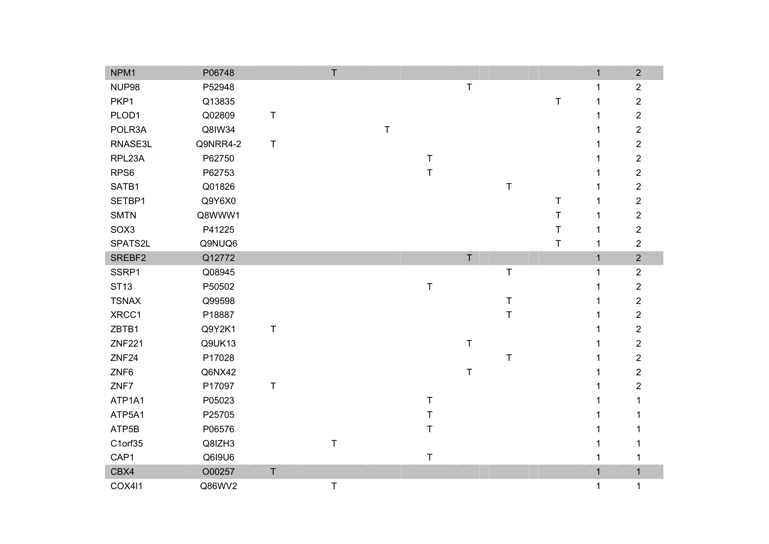| NPM1              | P06748   |   | $\top$      |             |             |             |         |   | $\mathbf{1}$ | $\mathbf{2}$     |
|-------------------|----------|---|-------------|-------------|-------------|-------------|---------|---|--------------|------------------|
| NUP98             | P52948   |   |             |             |             | $\sf T$     |         |   | 1            | $\boldsymbol{2}$ |
| PKP1              | Q13835   |   |             |             |             |             |         | T | 1            | $\mathbf{2}$     |
| PLOD1             | Q02809   | T |             |             |             |             |         |   | 1            | $\mathbf{2}$     |
| POLR3A            | Q8IW34   |   |             | $\mathsf T$ |             |             |         |   | 1            | $\overline{c}$   |
| RNASE3L           | Q9NRR4-2 | Τ |             |             |             |             |         |   | 1            | $\mathbf{2}$     |
| RPL23A            | P62750   |   |             |             | $\mathsf T$ |             |         |   | 1            | $\overline{2}$   |
| RPS6              | P62753   |   |             |             | T           |             |         |   | 1            | $\overline{c}$   |
| SATB1             | Q01826   |   |             |             |             |             | $\sf T$ |   | 1            | $\overline{2}$   |
| SETBP1            | Q9Y6X0   |   |             |             |             |             |         | T | 1            | $\overline{c}$   |
| <b>SMTN</b>       | Q8WWW1   |   |             |             |             |             |         | T | 1            | $\mathbf 2$      |
| SOX3              | P41225   |   |             |             |             |             |         | T | 1            | $\mathbf{2}$     |
| SPATS2L           | Q9NUQ6   |   |             |             |             |             |         | T | 1            | $\overline{c}$   |
| SREBF2            | Q12772   |   |             |             |             | $\top$      |         |   | $\mathbf{1}$ | $\mathbf 2$      |
| SSRP1             | Q08945   |   |             |             |             |             | $\sf T$ |   | 1            | $\boldsymbol{2}$ |
| <b>ST13</b>       | P50502   |   |             |             | $\top$      |             |         |   | 1            | $\overline{c}$   |
| <b>TSNAX</b>      | Q99598   |   |             |             |             |             | $\sf T$ |   | 1            | $\mathbf{2}$     |
| XRCC1             | P18887   |   |             |             |             |             | $\sf T$ |   | 1            | $\mathbf 2$      |
| ZBTB1             | Q9Y2K1   | T |             |             |             |             |         |   | 1            | $\overline{c}$   |
| <b>ZNF221</b>     | Q9UK13   |   |             |             |             | $\sf T$     |         |   | 1            | $\overline{c}$   |
| ZNF <sub>24</sub> | P17028   |   |             |             |             |             | $\top$  |   | 1            | $\mathbf 2$      |
| ZNF6              | Q6NX42   |   |             |             |             | $\mathsf T$ |         |   | 1            | $\mathbf 2$      |
| ZNF7              | P17097   | T |             |             |             |             |         |   | 1            | $\overline{2}$   |
| ATP1A1            | P05023   |   |             |             | T           |             |         |   | 1            | 1                |
| ATP5A1            | P25705   |   |             |             | T           |             |         |   | 1            | 1                |
| ATP5B             | P06576   |   |             |             | T           |             |         |   | 1            |                  |
| C1orf35           | Q8IZH3   |   | $\mathsf T$ |             |             |             |         |   | 1            | 1                |
| CAP1              | Q6I9U6   |   |             |             | T           |             |         |   | 1            | 1                |
| CBX4              | O00257   | T |             |             |             |             |         |   | $\mathbf{1}$ | $\mathbf{1}$     |
| <b>COX411</b>     | Q86WV2   |   | $\mathsf T$ |             |             |             |         |   | 1            | $\mathbf{1}$     |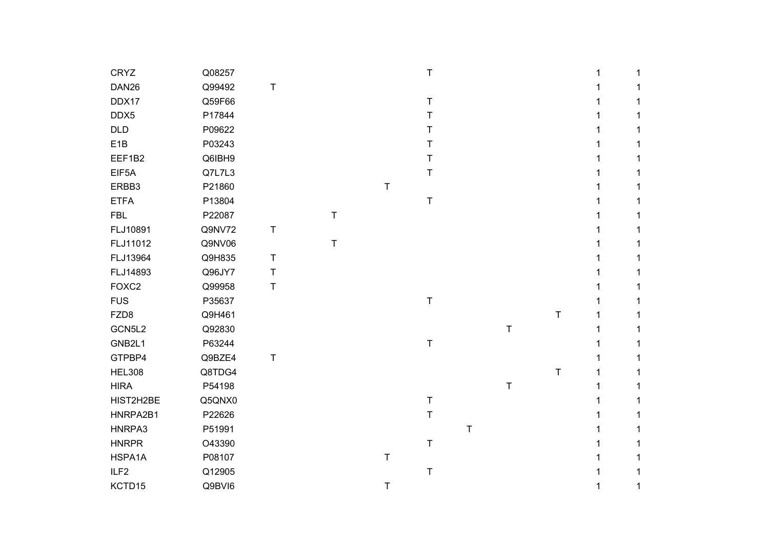| <b>CRYZ</b>       | Q08257 |         |         |             | T           |   |         |         |  |
|-------------------|--------|---------|---------|-------------|-------------|---|---------|---------|--|
| DAN <sub>26</sub> | Q99492 | $\top$  |         |             |             |   |         |         |  |
| DDX17             | Q59F66 |         |         |             | $\mathsf T$ |   |         |         |  |
| DDX5              | P17844 |         |         |             | T           |   |         |         |  |
| <b>DLD</b>        | P09622 |         |         |             | Т           |   |         |         |  |
| E1B               | P03243 |         |         |             | T           |   |         |         |  |
| EEF1B2            | Q6IBH9 |         |         |             | T           |   |         |         |  |
| EIF5A             | Q7L7L3 |         |         |             | $\mathsf T$ |   |         |         |  |
| ERBB3             | P21860 |         |         | $\mathsf T$ |             |   |         |         |  |
| <b>ETFA</b>       | P13804 |         |         |             | $\mathsf T$ |   |         |         |  |
| <b>FBL</b>        | P22087 |         | $\top$  |             |             |   |         |         |  |
| FLJ10891          | Q9NV72 | $\top$  |         |             |             |   |         |         |  |
| FLJ11012          | Q9NV06 |         | $\sf T$ |             |             |   |         |         |  |
| FLJ13964          | Q9H835 | $\sf T$ |         |             |             |   |         |         |  |
| FLJ14893          | Q96JY7 | $\sf T$ |         |             |             |   |         |         |  |
| FOXC2             | Q99958 | $\sf T$ |         |             |             |   |         |         |  |
| <b>FUS</b>        | P35637 |         |         |             | $\sf T$     |   |         |         |  |
| FZD8              | Q9H461 |         |         |             |             |   |         | $\sf T$ |  |
| GCN5L2            | Q92830 |         |         |             |             |   | $\top$  |         |  |
| GNB2L1            | P63244 |         |         |             | $\sf T$     |   |         |         |  |
| GTPBP4            | Q9BZE4 | $\sf T$ |         |             |             |   |         |         |  |
| <b>HEL308</b>     | Q8TDG4 |         |         |             |             |   |         | $\top$  |  |
| <b>HIRA</b>       | P54198 |         |         |             |             |   | $\sf T$ |         |  |
| HIST2H2BE         | Q5QNX0 |         |         |             | $\mathsf T$ |   |         |         |  |
| HNRPA2B1          | P22626 |         |         |             | $\top$      |   |         |         |  |
| HNRPA3            | P51991 |         |         |             |             | Τ |         |         |  |
| <b>HNRPR</b>      | O43390 |         |         |             | $\top$      |   |         |         |  |
| HSPA1A            | P08107 |         |         | $\mathsf T$ |             |   |         |         |  |
| ILF <sub>2</sub>  | Q12905 |         |         |             | $\sf T$     |   |         |         |  |
| KCTD15            | Q9BVI6 |         |         | T           |             |   |         |         |  |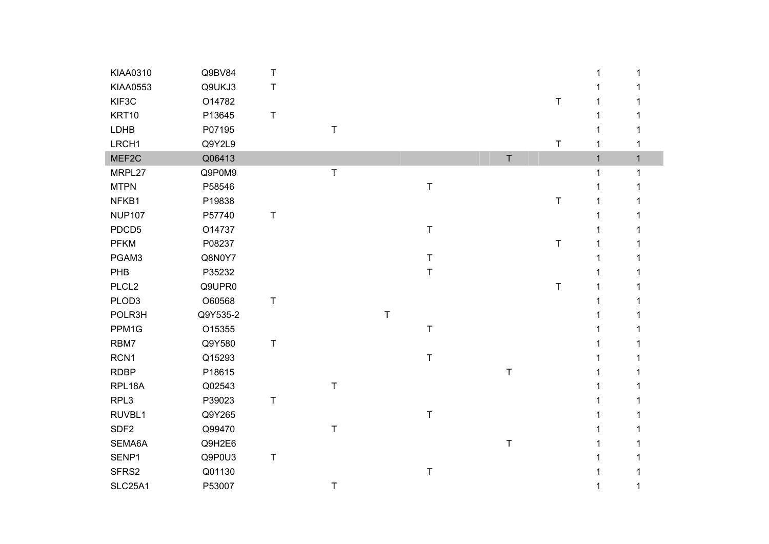| KIAA0310         | Q9BV84   | T       |             |             |             |             |         | $\mathbf 1$  | 1            |
|------------------|----------|---------|-------------|-------------|-------------|-------------|---------|--------------|--------------|
| <b>KIAA0553</b>  | Q9UKJ3   | T       |             |             |             |             |         |              | 1            |
| KIF3C            | O14782   |         |             |             |             |             | T       |              | 1            |
| KRT10            | P13645   | $\sf T$ |             |             |             |             |         | 1            | 1            |
| LDHB             | P07195   |         | $\sf T$     |             |             |             |         | 1            | 1            |
| LRCH1            | Q9Y2L9   |         |             |             |             |             | $\sf T$ | 1            | 1            |
| MEF2C            | Q06413   |         |             |             |             | $\mathsf T$ |         | $\mathbf{1}$ | $\mathbf{1}$ |
| MRPL27           | Q9P0M9   |         | $\mathsf T$ |             |             |             |         | 1            | $\mathbf{1}$ |
| <b>MTPN</b>      | P58546   |         |             |             | $\top$      |             |         | 1            | 1            |
| NFKB1            | P19838   |         |             |             |             |             | $\sf T$ | 1            | 1            |
| <b>NUP107</b>    | P57740   | Τ       |             |             |             |             |         |              | 1            |
| PDCD5            | O14737   |         |             |             | $\mathsf T$ |             |         |              | 1            |
| <b>PFKM</b>      | P08237   |         |             |             |             |             | T       |              | 1            |
| PGAM3            | Q8N0Y7   |         |             |             | $\top$      |             |         |              | 1            |
| PHB              | P35232   |         |             |             | $\top$      |             |         |              | 1            |
| PLCL2            | Q9UPR0   |         |             |             |             |             | $\sf T$ |              | 1            |
| PLOD3            | O60568   | T       |             |             |             |             |         |              | 1            |
| POLR3H           | Q9Y535-2 |         |             | $\mathsf T$ |             |             |         |              | 1            |
| PPM1G            | O15355   |         |             |             | T           |             |         |              | 1            |
| RBM7             | Q9Y580   | Τ       |             |             |             |             |         |              | 1            |
| RCN1             | Q15293   |         |             |             | $\mathsf T$ |             |         |              | 1            |
| <b>RDBP</b>      | P18615   |         |             |             |             | T           |         |              | 1            |
| RPL18A           | Q02543   |         | $\sf T$     |             |             |             |         | 1            | 1            |
| RPL3             | P39023   | T       |             |             |             |             |         |              | 1            |
| RUVBL1           | Q9Y265   |         |             |             | $\mathsf T$ |             |         |              | 1            |
| SDF <sub>2</sub> | Q99470   |         | $\sf T$     |             |             |             |         |              | 1            |
| SEMA6A           | Q9H2E6   |         |             |             |             | T           |         |              | 1            |
| SENP1            | Q9P0U3   | T       |             |             |             |             |         |              |              |
| SFRS2            | Q01130   |         |             |             | $\mathsf T$ |             |         |              | 1            |
| <b>SLC25A1</b>   | P53007   |         | $\mathsf T$ |             |             |             |         | 1            | 1            |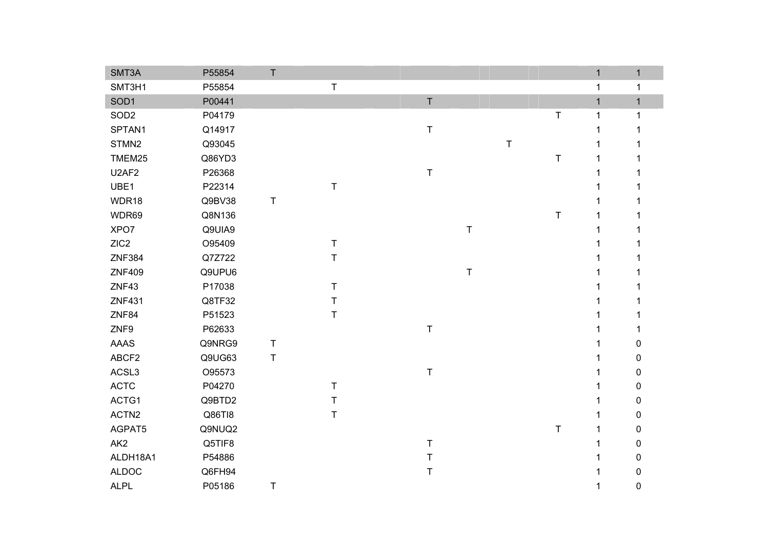| SMT3A             | P55854 | $\mathsf T$ |             |             |   |         |   | $\mathbf 1$  | $\mathbf{1}$ |
|-------------------|--------|-------------|-------------|-------------|---|---------|---|--------------|--------------|
| SMT3H1            | P55854 |             | $\mathsf T$ |             |   |         |   | 1            | $\mathbf 1$  |
| SOD <sub>1</sub>  | P00441 |             |             | $\top$      |   |         |   | $\mathbf{1}$ | $\mathbf{1}$ |
| SOD <sub>2</sub>  | P04179 |             |             |             |   |         | T | 1            | 1            |
| SPTAN1            | Q14917 |             |             | $\mathsf T$ |   |         |   |              |              |
| STMN2             | Q93045 |             |             |             |   | $\sf T$ |   |              |              |
| TMEM25            | Q86YD3 |             |             |             |   |         | T |              |              |
| U2AF2             | P26368 |             |             | $\mathsf T$ |   |         |   |              |              |
| UBE1              | P22314 |             | $\mathsf T$ |             |   |         |   |              |              |
| WDR18             | Q9BV38 | T           |             |             |   |         |   |              |              |
| WDR69             | Q8N136 |             |             |             |   |         | T | 1            |              |
| XPO7              | Q9UIA9 |             |             |             | T |         |   |              |              |
| ZIC <sub>2</sub>  | O95409 |             | $\top$      |             |   |         |   |              |              |
| <b>ZNF384</b>     | Q7Z722 |             | $\top$      |             |   |         |   |              |              |
| <b>ZNF409</b>     | Q9UPU6 |             |             |             | Τ |         |   |              |              |
| ZNF43             | P17038 |             | $\mathsf T$ |             |   |         |   |              |              |
| <b>ZNF431</b>     | Q8TF32 |             | $\mathsf T$ |             |   |         |   |              |              |
| ZNF84             | P51523 |             | $\sf T$     |             |   |         |   |              |              |
| ZNF9              | P62633 |             |             | $\mathsf T$ |   |         |   |              |              |
| AAAS              | Q9NRG9 | $\sf T$     |             |             |   |         |   |              | 0            |
| ABCF2             | Q9UG63 | $\mathsf T$ |             |             |   |         |   |              | 0            |
| ACSL3             | O95573 |             |             | $\mathsf T$ |   |         |   |              | 0            |
| <b>ACTC</b>       | P04270 |             | $\mathsf T$ |             |   |         |   |              | 0            |
| ACTG1             | Q9BTD2 |             | $\top$      |             |   |         |   |              | 0            |
| ACTN <sub>2</sub> | Q86TI8 |             | $\top$      |             |   |         |   |              | 0            |
| AGPAT5            | Q9NUQ2 |             |             |             |   |         | T |              | 0            |
| AK <sub>2</sub>   | Q5TIF8 |             |             | $\mathsf T$ |   |         |   |              | 0            |
| ALDH18A1          | P54886 |             |             | $\mathsf T$ |   |         |   |              | 0            |
| <b>ALDOC</b>      | Q6FH94 |             |             | $\sf T$     |   |         |   |              | 0            |
| <b>ALPL</b>       | P05186 | $\mathsf T$ |             |             |   |         |   |              | 0            |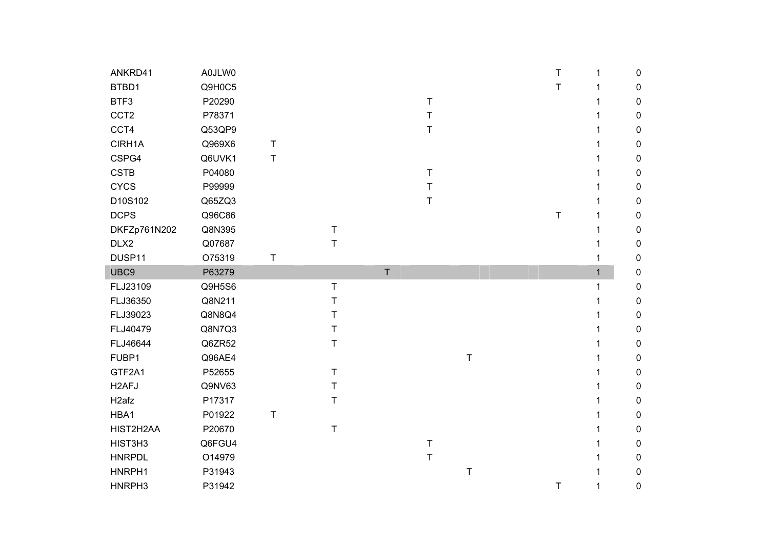| ANKRD41            | A0JLW0 |         |             |             |             |         | $\mathsf T$ | $\mathbf 1$  | 0           |
|--------------------|--------|---------|-------------|-------------|-------------|---------|-------------|--------------|-------------|
| BTBD1              | Q9H0C5 |         |             |             |             |         | $\mathsf T$ | 1            | 0           |
| BTF3               | P20290 |         |             |             | $\mathsf T$ |         |             | 1            | 0           |
| CCT <sub>2</sub>   | P78371 |         |             |             | $\mathsf T$ |         |             | 1            | 0           |
| CCT4               | Q53QP9 |         |             |             | $\mathsf T$ |         |             | 1            | 0           |
| CIRH1A             | Q969X6 | $\top$  |             |             |             |         |             | 1            | 0           |
| CSPG4              | Q6UVK1 | $\top$  |             |             |             |         |             | 1            | 0           |
| <b>CSTB</b>        | P04080 |         |             |             | T           |         |             |              | 0           |
| <b>CYCS</b>        | P99999 |         |             |             | $\mathsf T$ |         |             |              | 0           |
| D10S102            | Q65ZQ3 |         |             |             | T           |         |             |              | $\mathbf 0$ |
| <b>DCPS</b>        | Q96C86 |         |             |             |             |         | $\mathsf T$ | 1            | 0           |
| DKFZp761N202       | Q8N395 |         | $\mathsf T$ |             |             |         |             | 1            | $\mathbf 0$ |
| DLX <sub>2</sub>   | Q07687 |         | $\mathsf T$ |             |             |         |             | 1            | $\mathbf 0$ |
| DUSP11             | O75319 | $\sf T$ |             |             |             |         |             | 1            | 0           |
| UBC9               | P63279 |         |             | $\mathsf T$ |             |         |             | $\mathbf{1}$ | $\mathbf 0$ |
| FLJ23109           | Q9H5S6 |         | $\top$      |             |             |         |             | 1            | 0           |
| FLJ36350           | Q8N211 |         | $\mathsf T$ |             |             |         |             |              | $\mathbf 0$ |
| FLJ39023           | Q8N8Q4 |         | T           |             |             |         |             |              | 0           |
| FLJ40479           | Q8N7Q3 |         | $\mathsf T$ |             |             |         |             |              | $\mathbf 0$ |
| FLJ46644           | Q6ZR52 |         | $\mathsf T$ |             |             |         |             |              | $\mathbf 0$ |
| FUBP1              | Q96AE4 |         |             |             |             | $\sf T$ |             |              | 0           |
| GTF2A1             | P52655 |         | $\mathsf T$ |             |             |         |             |              | $\mathbf 0$ |
| H <sub>2</sub> AFJ | Q9NV63 |         | $\top$      |             |             |         |             |              | 0           |
| H <sub>2</sub> afz | P17317 |         | $\mathsf T$ |             |             |         |             |              | 0           |
| HBA1               | P01922 | $\sf T$ |             |             |             |         |             |              | 0           |
| HIST2H2AA          | P20670 |         | $\top$      |             |             |         |             |              | 0           |
| HIST3H3            | Q6FGU4 |         |             |             | $\mathsf T$ |         |             |              | 0           |
| <b>HNRPDL</b>      | O14979 |         |             |             | $\sf T$     |         |             |              | 0           |
| HNRPH1             | P31943 |         |             |             |             | $\sf T$ |             |              | 0           |
| HNRPH3             | P31942 |         |             |             |             |         | $\mathsf T$ | 1            | 0           |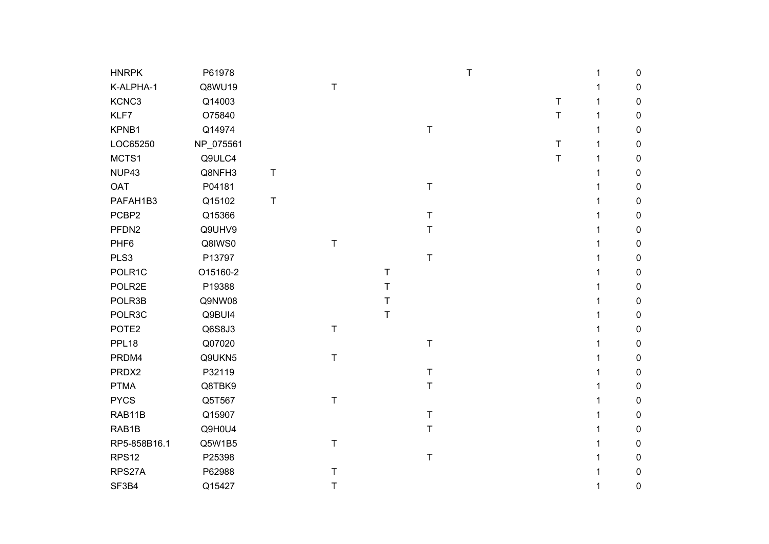| <b>HNRPK</b>     | P61978    |   |             |        |             | T |             | $\pmb{0}$   |
|------------------|-----------|---|-------------|--------|-------------|---|-------------|-------------|
| K-ALPHA-1        | Q8WU19    |   | $\top$      |        |             |   |             | $\pmb{0}$   |
| KCNC3            | Q14003    |   |             |        |             |   | $\mathsf T$ | $\mathbf 0$ |
| KLF7             | O75840    |   |             |        |             |   | T           | $\pmb{0}$   |
| KPNB1            | Q14974    |   |             |        | $\mathsf T$ |   |             | $\pmb{0}$   |
| LOC65250         | NP_075561 |   |             |        |             |   | $\mathsf T$ | 0           |
| MCTS1            | Q9ULC4    |   |             |        |             |   | $\mathsf T$ | $\mathbf 0$ |
| NUP43            | Q8NFH3    | T |             |        |             |   |             | $\mathbf 0$ |
| <b>OAT</b>       | P04181    |   |             |        | $\sf T$     |   |             | $\mathbf 0$ |
| PAFAH1B3         | Q15102    | T |             |        |             |   |             | $\pmb{0}$   |
| PCBP2            | Q15366    |   |             |        | т           |   |             | $\mathbf 0$ |
| PFDN2            | Q9UHV9    |   |             |        | T           |   |             | $\pmb{0}$   |
| PHF <sub>6</sub> | Q8IWS0    |   | $\sf T$     |        |             |   |             | 0           |
| PLS3             | P13797    |   |             |        | $\sf T$     |   |             | $\mathbf 0$ |
| POLR1C           | O15160-2  |   |             | T      |             |   |             | $\mathbf 0$ |
| POLR2E           | P19388    |   |             | T      |             |   |             | $\pmb{0}$   |
| POLR3B           | Q9NW08    |   |             | Τ      |             |   |             | 0           |
| POLR3C           | Q9BUI4    |   |             | $\top$ |             |   |             | $\mathbf 0$ |
| POTE2            | Q6S8J3    |   | $\sf T$     |        |             |   |             | $\mathbf 0$ |
| PPL18            | Q07020    |   |             |        | T           |   |             | $\mathbf 0$ |
| PRDM4            | Q9UKN5    |   | $\sf T$     |        |             |   |             | $\mathbf 0$ |
| PRDX2            | P32119    |   |             |        | Τ           |   |             | $\mathbf 0$ |
| <b>PTMA</b>      | Q8TBK9    |   |             |        | т           |   |             | $\pmb{0}$   |
| <b>PYCS</b>      | Q5T567    |   | $\top$      |        |             |   |             | $\pmb{0}$   |
| RAB11B           | Q15907    |   |             |        | Т           |   |             | $\mathbf 0$ |
| RAB1B            | Q9H0U4    |   |             |        | Τ           |   |             | $\pmb{0}$   |
| RP5-858B16.1     | Q5W1B5    |   | $\mathsf T$ |        |             |   |             | $\pmb{0}$   |
| <b>RPS12</b>     | P25398    |   |             |        | $\sf T$     |   |             | $\pmb{0}$   |
| RPS27A           | P62988    |   | $\mathsf T$ |        |             |   |             | $\mathbf 0$ |
| SF3B4            | Q15427    |   | $\mathsf T$ |        |             |   |             | 0           |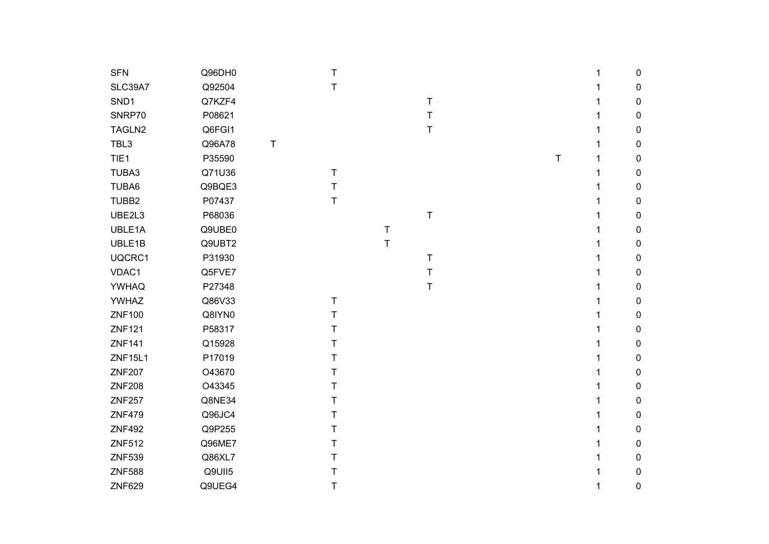| <b>SFN</b>     | Q96DH0 |         | $\mathsf T$    |         |             |             |   | $\pmb{0}$   |
|----------------|--------|---------|----------------|---------|-------------|-------------|---|-------------|
| SLC39A7        | Q92504 |         | $\top$         |         |             |             |   | $\pmb{0}$   |
| SND1           | Q7KZF4 |         |                |         | Т           |             |   | 0           |
| SNRP70         | P08621 |         |                |         | $\top$      |             |   | $\pmb{0}$   |
| TAGLN2         | Q6FGI1 |         |                |         | $\mathsf T$ |             |   | 0           |
| TBL3           | Q96A78 | $\sf T$ |                |         |             |             |   | $\pmb{0}$   |
| TIE1           | P35590 |         |                |         |             | $\mathsf T$ | 1 | $\pmb{0}$   |
| TUBA3          | Q71U36 |         | $\mathsf{T}$   |         |             |             |   | $\pmb{0}$   |
| TUBA6          | Q9BQE3 |         | T              |         |             |             |   | $\mathbf 0$ |
| TUBB2          | P07437 |         | T              |         |             |             |   | $\pmb{0}$   |
| UBE2L3         | P68036 |         |                |         | $\top$      |             |   | $\pmb{0}$   |
| UBLE1A         | Q9UBE0 |         |                | $\sf T$ |             |             |   | $\mathbf 0$ |
| UBLE1B         | Q9UBT2 |         |                | $\top$  |             |             |   | $\mathbf 0$ |
| UQCRC1         | P31930 |         |                |         | Т           |             |   | $\mathbf 0$ |
| VDAC1          | Q5FVE7 |         |                |         | Т           |             |   | $\mathbf 0$ |
| YWHAQ          | P27348 |         |                |         | T           |             |   | $\pmb{0}$   |
| YWHAZ          | Q86V33 |         | $\top$         |         |             |             |   | $\mathbf 0$ |
| <b>ZNF100</b>  | Q8IYN0 |         | T              |         |             |             |   | $\pmb{0}$   |
| <b>ZNF121</b>  | P58317 |         | т              |         |             |             |   | $\pmb{0}$   |
| <b>ZNF141</b>  | Q15928 |         | T              |         |             |             |   | $\mathbf 0$ |
| <b>ZNF15L1</b> | P17019 |         | т              |         |             |             |   | $\mathbf 0$ |
| <b>ZNF207</b>  | O43670 |         | T              |         |             |             |   | $\mathbf 0$ |
| <b>ZNF208</b>  | O43345 |         | T              |         |             |             |   | $\mathbf 0$ |
| <b>ZNF257</b>  | Q8NE34 |         | T              |         |             |             |   | $\pmb{0}$   |
| <b>ZNF479</b>  | Q96JC4 |         | T <sub>1</sub> |         |             |             |   | $\pmb{0}$   |
| <b>ZNF492</b>  | Q9P255 |         | T              |         |             |             |   | $\pmb{0}$   |
| <b>ZNF512</b>  | Q96ME7 |         | T              |         |             |             |   | $\pmb{0}$   |
| <b>ZNF539</b>  | Q86XL7 |         | T              |         |             |             |   | $\mathbf 0$ |
| <b>ZNF588</b>  | Q9UII5 |         | T              |         |             |             |   | $\mathbf 0$ |
| <b>ZNF629</b>  | Q9UEG4 |         | T              |         |             |             |   | 0           |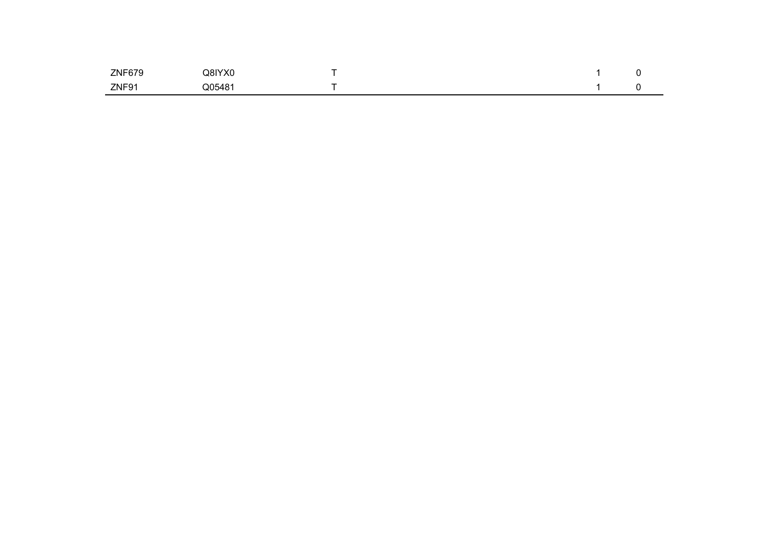| <b>ZNF679</b> | Q8IYX0 |  |  |
|---------------|--------|--|--|
| ZNF91         | Q05481 |  |  |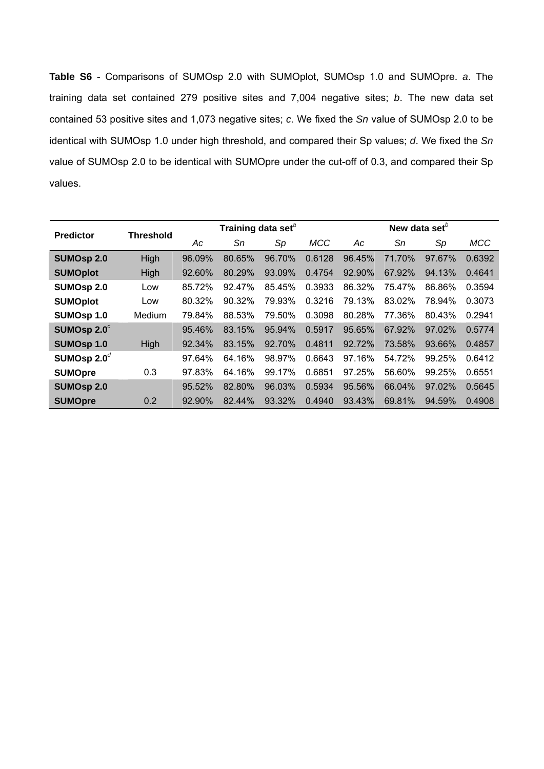**Table S6** - Comparisons of SUMOsp 2.0 with SUMOplot, SUMOsp 1.0 and SUMOpre. *a*. The training data set contained 279 positive sites and 7,004 negative sites; *b*. The new data set contained 53 positive sites and 1,073 negative sites; *c*. We fixed the *Sn* value of SUMOsp 2.0 to be identical with SUMOsp 1.0 under high threshold, and compared their Sp values; *d*. We fixed the *Sn* value of SUMOsp 2.0 to be identical with SUMOpre under the cut-off of 0.3, and compared their Sp values.

| <b>Predictor</b>   | <b>Threshold</b> |        | Training data set $^a$ |        |            | New data set $b$ |        |        |            |
|--------------------|------------------|--------|------------------------|--------|------------|------------------|--------|--------|------------|
|                    |                  | Aс     | Sn                     | Sp     | <b>MCC</b> | Aс               | Sn     | Sp     | <b>MCC</b> |
| <b>SUMOSp 2.0</b>  | High             | 96.09% | 80.65%                 | 96.70% | 0.6128     | 96.45%           | 71.70% | 97.67% | 0.6392     |
| <b>SUMOplot</b>    | <b>High</b>      | 92.60% | 80.29%                 | 93.09% | 0.4754     | 92.90%           | 67.92% | 94.13% | 0.4641     |
| SUMOsp 2.0         | Low              | 85.72% | 92.47%                 | 85.45% | 0.3933     | 86.32%           | 75.47% | 86.86% | 0.3594     |
| <b>SUMOplot</b>    | Low              | 80.32% | 90.32%                 | 79.93% | 0.3216     | 79.13%           | 83.02% | 78.94% | 0.3073     |
| SUMOsp 1.0         | Medium           | 79.84% | 88.53%                 | 79.50% | 0.3098     | 80.28%           | 77.36% | 80.43% | 0.2941     |
| SUMOsp $2.0^\circ$ |                  | 95.46% | 83.15%                 | 95.94% | 0.5917     | 95.65%           | 67.92% | 97.02% | 0.5774     |
| SUMOsp 1.0         | High             | 92.34% | 83.15%                 | 92.70% | 0.4811     | 92.72%           | 73.58% | 93.66% | 0.4857     |
| SUMOsp $2.0d$      |                  | 97.64% | 64.16%                 | 98.97% | 0.6643     | 97.16%           | 54.72% | 99.25% | 0.6412     |
| <b>SUMOpre</b>     | 0.3              | 97.83% | 64.16%                 | 99.17% | 0.6851     | 97.25%           | 56.60% | 99.25% | 0.6551     |
| <b>SUMOSP 2.0</b>  |                  | 95.52% | 82.80%                 | 96.03% | 0.5934     | 95.56%           | 66.04% | 97.02% | 0.5645     |
| <b>SUMOpre</b>     | 0.2              | 92.90% | 82.44%                 | 93.32% | 0.4940     | 93.43%           | 69.81% | 94.59% | 0.4908     |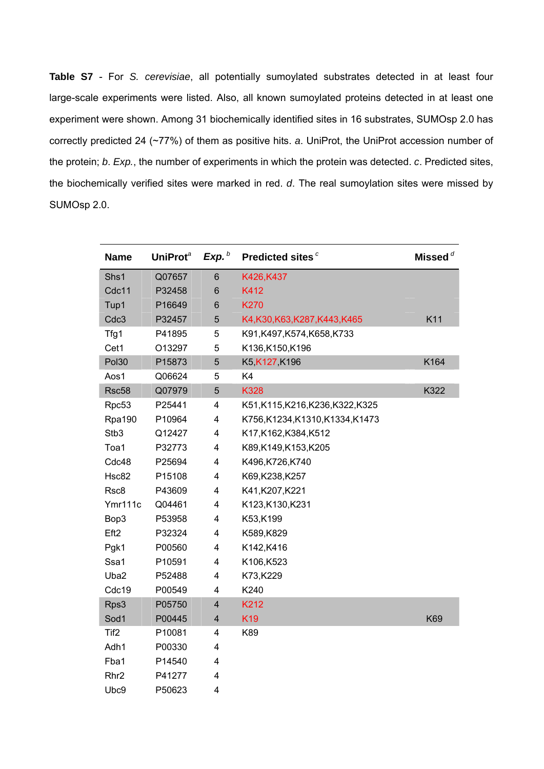**Table S7** - For *S. cerevisiae*, all potentially sumoylated substrates detected in at least four large-scale experiments were listed. Also, all known sumoylated proteins detected in at least one experiment were shown. Among 31 biochemically identified sites in 16 substrates, SUMOsp 2.0 has correctly predicted 24 (~77%) of them as positive hits. *a*. UniProt, the UniProt accession number of the protein; *b*. *Exp.*, the number of experiments in which the protein was detected. *c*. Predicted sites, the biochemically verified sites were marked in red. *d*. The real sumoylation sites were missed by SUMOsp 2.0.

| <b>Name</b>       | UniProt <sup>a</sup> | Exp. $b$                | Predicted sites <sup>c</sup> | Missed $d$ |
|-------------------|----------------------|-------------------------|------------------------------|------------|
| Shs1              | Q07657               | 6                       | K426,K437                    |            |
| Cdc11             | P32458               | 6                       | K412                         |            |
| Tup1              | P16649               | 6                       | K270                         |            |
| Cdc3              | P32457               | 5                       | K4,K30,K63,K287,K443,K465    | K11        |
| Tfg1              | P41895               | 5                       | K91,K497,K574,K658,K733      |            |
| Cet1              | O13297               | 5                       | K136,K150,K196               |            |
| Pol <sub>30</sub> | P15873               | 5                       | K5,K127,K196                 | K164       |
| Aos1              | Q06624               | 5                       | K4                           |            |
| Rsc58             | Q07979               | 5                       | K328                         | K322       |
| Rpc53             | P25441               | 4                       | K51,K115,K216,K236,K322,K325 |            |
| <b>Rpa190</b>     | P10964               | 4                       | K756,K1234,K1310,K1334,K1473 |            |
| Stb <sub>3</sub>  | Q12427               | 4                       | K17,K162,K384,K512           |            |
| Toa1              | P32773               | 4                       | K89,K149,K153,K205           |            |
| Cdc48             | P25694               | 4                       | K496,K726,K740               |            |
| Hsc82             | P15108               | 4                       | K69,K238,K257                |            |
| Rsc8              | P43609               | 4                       | K41, K207, K221              |            |
| Ymr111c           | Q04461               | 4                       | K123, K130, K231             |            |
| Bop3              | P53958               | 4                       | K53,K199                     |            |
| Eft <sub>2</sub>  | P32324               | 4                       | K589,K829                    |            |
| Pgk1              | P00560               | 4                       | K142,K416                    |            |
| Ssa1              | P10591               | 4                       | K106,K523                    |            |
| Uba2              | P52488               | 4                       | K73,K229                     |            |
| Cdc19             | P00549               | 4                       | K240                         |            |
| Rps3              | P05750               | $\overline{\mathbf{4}}$ | K212                         |            |
| Sod1              | P00445               | 4                       | K <sub>19</sub>              | K69        |
| Tif <sub>2</sub>  | P10081               | 4                       | K89                          |            |
| Adh1              | P00330               | 4                       |                              |            |
| Fba1              | P14540               | 4                       |                              |            |
| Rhr <sub>2</sub>  | P41277               | 4                       |                              |            |
| Ubc9              | P50623               | 4                       |                              |            |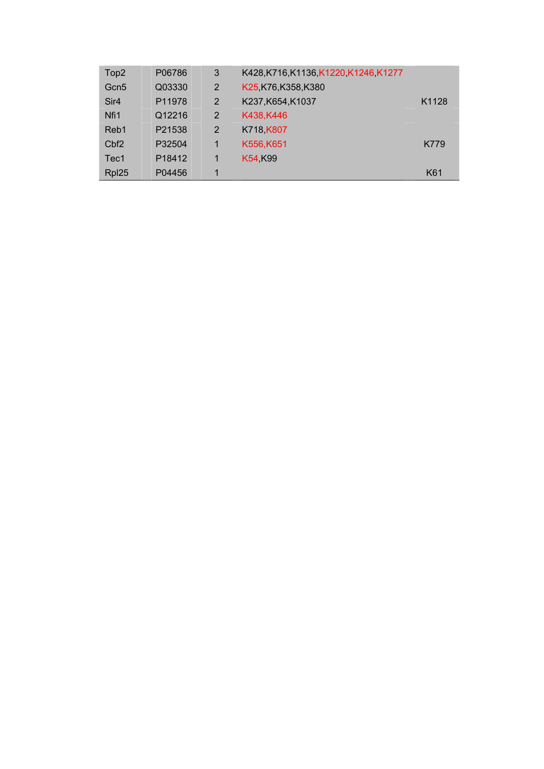| Top <sub>2</sub> | P06786 | 3              | K428, K716, K1136, K1220, K1246, K1277 |       |
|------------------|--------|----------------|----------------------------------------|-------|
| Gcn <sub>5</sub> | Q03330 | $\overline{2}$ | K25, K76, K358, K380                   |       |
| Sir <sub>4</sub> | P11978 | 2              | K237, K654, K1037                      | K1128 |
| Nfi1             | Q12216 | 2              | K438, K446                             |       |
| Reb1             | P21538 | 2              | K718,K807                              |       |
| Cbf <sub>2</sub> | P32504 | 1              | K556,K651                              | K779  |
| Tec1             | P18412 | 1              | K54 K99                                |       |
| Rpl25            | P04456 | 1              |                                        | K61   |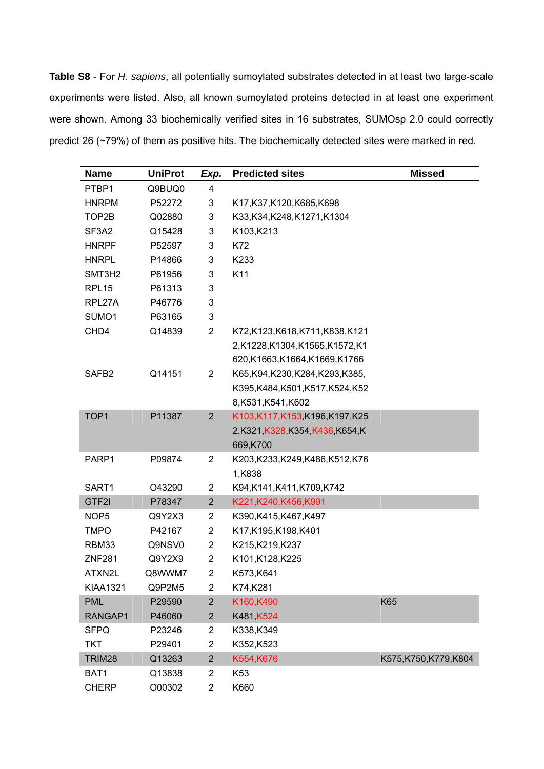**Table S8** - For *H. sapiens*, all potentially sumoylated substrates detected in at least two large-scale experiments were listed. Also, all known sumoylated proteins detected in at least one experiment were shown. Among 33 biochemically verified sites in 16 substrates, SUMOsp 2.0 could correctly predict 26 (~79%) of them as positive hits. The biochemically detected sites were marked in red.

| <b>Name</b>       | <b>UniProt</b> | Exp.           | <b>Predicted sites</b>       | <b>Missed</b>       |
|-------------------|----------------|----------------|------------------------------|---------------------|
| PTBP1             | Q9BUQ0         | 4              |                              |                     |
| <b>HNRPM</b>      | P52272         | 3              | K17, K37, K120, K685, K698   |                     |
| TOP2B             | Q02880         | 3              | K33, K34, K248, K1271, K1304 |                     |
| SF3A2             | Q15428         | 3              | K103,K213                    |                     |
| <b>HNRPF</b>      | P52597         | 3              | K72                          |                     |
| <b>HNRPL</b>      | P14866         | 3              | K233                         |                     |
| SMT3H2            | P61956         | 3              | K11                          |                     |
| RPL <sub>15</sub> | P61313         | 3              |                              |                     |
| RPL27A            | P46776         | 3              |                              |                     |
| SUMO1             | P63165         | 3              |                              |                     |
| CHD4              | Q14839         | $\overline{2}$ | K72,K123,K618,K711,K838,K121 |                     |
|                   |                |                | 2,K1228,K1304,K1565,K1572,K1 |                     |
|                   |                |                | 620,K1663,K1664,K1669,K1766  |                     |
| SAFB <sub>2</sub> | Q14151         | $\overline{2}$ | K65,K94,K230,K284,K293,K385, |                     |
|                   |                |                | K395,K484,K501,K517,K524,K52 |                     |
|                   |                |                | 8,K531,K541,K602             |                     |
| TOP <sub>1</sub>  | P11387         | $\overline{2}$ | K103,K117,K153,K196,K197,K25 |                     |
|                   |                |                | 2,K321,K328,K354,K436,K654,K |                     |
|                   |                |                | 669,K700                     |                     |
| PARP1             | P09874         | $\overline{2}$ | K203,K233,K249,K486,K512,K76 |                     |
|                   |                |                | 1,K838                       |                     |
| SART1             | O43290         | $\overline{2}$ | K94,K141,K411,K709,K742      |                     |
| GTF2I             | P78347         | $\overline{2}$ | K221, K240, K456, K991       |                     |
| NOP <sub>5</sub>  | Q9Y2X3         | $\overline{2}$ | K390,K415,K467,K497          |                     |
| <b>TMPO</b>       | P42167         | $\overline{2}$ | K17,K195,K198,K401           |                     |
| RBM33             | Q9NSV0         | $\overline{2}$ | K215, K219, K237             |                     |
| <b>ZNF281</b>     | Q9Y2X9         | $\overline{2}$ | K101, K128, K225             |                     |
| ATXN2L            | Q8WWM7         | 2              | K573,K641                    |                     |
| <b>KIAA1321</b>   | Q9P2M5         | $\overline{c}$ | K74, K281                    |                     |
| <b>PML</b>        | P29590         | $\overline{2}$ | K160,K490                    | K65                 |
| RANGAP1           | P46060         | $\overline{2}$ | K481, K524                   |                     |
| <b>SFPQ</b>       | P23246         | $\overline{2}$ | K338, K349                   |                     |
| <b>TKT</b>        | P29401         | $\overline{c}$ | K352,K523                    |                     |
| TRIM28            | Q13263         | $\overline{2}$ | K554,K676                    | K575,K750,K779,K804 |
| BAT1              | Q13838         | $\overline{2}$ | K <sub>53</sub>              |                     |
| <b>CHERP</b>      | O00302         | $\overline{c}$ | K660                         |                     |